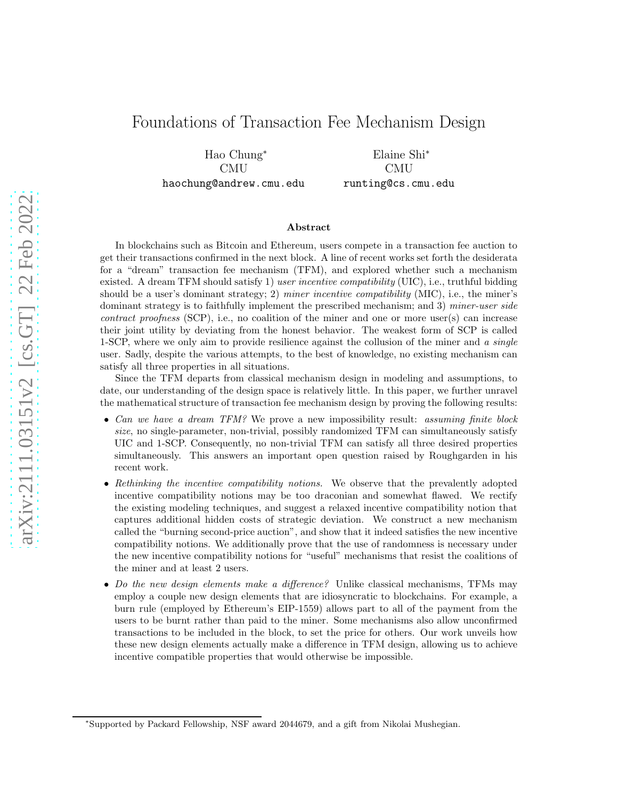## Foundations of Transaction Fee Mechanism Design

Hao Chung<sup>∗</sup> CMU haochung@andrew.cmu.edu

Elaine Shi<sup>∗</sup> CMU runting@cs.cmu.edu

#### Abstract

In blockchains such as Bitcoin and Ethereum, users compete in a transaction fee auction to get their transactions confirmed in the next block. A line of recent works set forth the desiderata for a "dream" transaction fee mechanism (TFM), and explored whether such a mechanism existed. A dream TFM should satisfy 1) user incentive compatibility (UIC), i.e., truthful bidding should be a user's dominant strategy; 2) miner incentive compatibility (MIC), i.e., the miner's dominant strategy is to faithfully implement the prescribed mechanism; and 3) *miner-user side*  $contract\ properties$  (SCP), i.e., no coalition of the miner and one or more user(s) can increase their joint utility by deviating from the honest behavior. The weakest form of SCP is called 1-SCP, where we only aim to provide resilience against the collusion of the miner and a single user. Sadly, despite the various attempts, to the best of knowledge, no existing mechanism can satisfy all three properties in all situations.

Since the TFM departs from classical mechanism design in modeling and assumptions, to date, our understanding of the design space is relatively little. In this paper, we further unravel the mathematical structure of transaction fee mechanism design by proving the following results:

- Can we have a dream TFM? We prove a new impossibility result: assuming finite block size, no single-parameter, non-trivial, possibly randomized TFM can simultaneously satisfy UIC and 1-SCP. Consequently, no non-trivial TFM can satisfy all three desired properties simultaneously. This answers an important open question raised by Roughgarden in his recent work.
- Rethinking the incentive compatibility notions. We observe that the prevalently adopted incentive compatibility notions may be too draconian and somewhat flawed. We rectify the existing modeling techniques, and suggest a relaxed incentive compatibility notion that captures additional hidden costs of strategic deviation. We construct a new mechanism called the "burning second-price auction", and show that it indeed satisfies the new incentive compatibility notions. We additionally prove that the use of randomness is necessary under the new incentive compatibility notions for "useful" mechanisms that resist the coalitions of the miner and at least 2 users.
- Do the new design elements make a difference? Unlike classical mechanisms, TFMs may employ a couple new design elements that are idiosyncratic to blockchains. For example, a burn rule (employed by Ethereum's EIP-1559) allows part to all of the payment from the users to be burnt rather than paid to the miner. Some mechanisms also allow unconfirmed transactions to be included in the block, to set the price for others. Our work unveils how these new design elements actually make a difference in TFM design, allowing us to achieve incentive compatible properties that would otherwise be impossible.

<sup>∗</sup> Supported by Packard Fellowship, NSF award 2044679, and a gift from Nikolai Mushegian.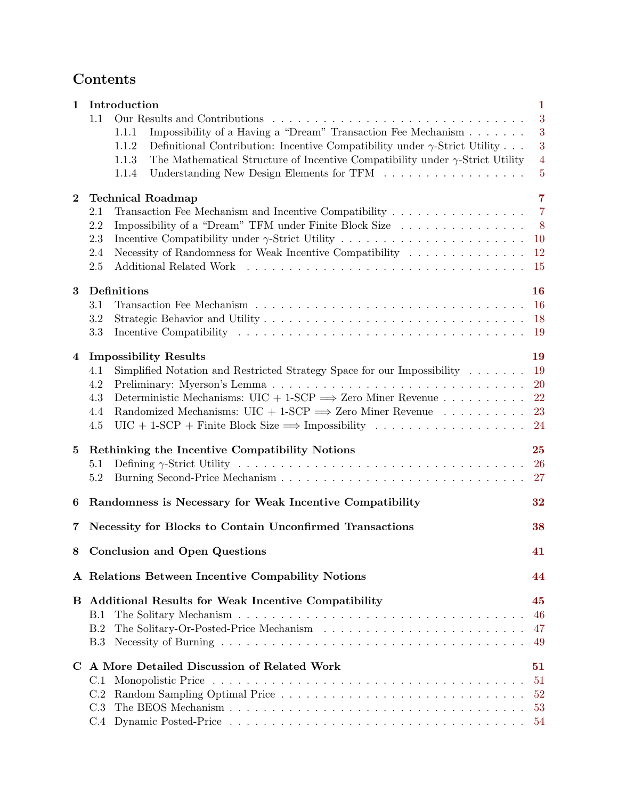# Contents

| 1               | Introduction                                                                                                                                                                                                                                                                                                                                                                                                                                     | 1                                               |  |  |  |  |  |  |
|-----------------|--------------------------------------------------------------------------------------------------------------------------------------------------------------------------------------------------------------------------------------------------------------------------------------------------------------------------------------------------------------------------------------------------------------------------------------------------|-------------------------------------------------|--|--|--|--|--|--|
|                 | 1.1<br>Impossibility of a Having a "Dream" Transaction Fee Mechanism<br>1.1.1<br>1.1.2<br>Definitional Contribution: Incentive Compatibility under $\gamma$ -Strict Utility<br>The Mathematical Structure of Incentive Compatibility under $\gamma$ -Strict Utility<br>1.1.3<br>1.1.4                                                                                                                                                            | 3<br>3<br>3<br>$\overline{4}$<br>$\overline{5}$ |  |  |  |  |  |  |
| $\bf{2}$        | <b>Technical Roadmap</b><br>Transaction Fee Mechanism and Incentive Compatibility<br>2.1<br>2.2<br>Impossibility of a "Dream" TFM under Finite Block Size<br>Incentive Compatibility under $\gamma$ -Strict Utility<br>2.3<br>Necessity of Randomness for Weak Incentive Compatibility<br>2.4<br>2.5                                                                                                                                             |                                                 |  |  |  |  |  |  |
| 3               | Definitions<br>3.1<br>3.2<br>3.3                                                                                                                                                                                                                                                                                                                                                                                                                 |                                                 |  |  |  |  |  |  |
| 4               | <b>Impossibility Results</b><br>4.1<br>Simplified Notation and Restricted Strategy Space for our Impossibility $\dots \dots$<br>4.2<br>Deterministic Mechanisms: UIC + 1-SCP $\Longrightarrow$ Zero Miner Revenue<br>4.3<br>Randomized Mechanisms: $UIC + 1$ -SCP $\implies$ Zero Miner Revenue<br>4.4<br>$\text{UIC} + 1\text{-SCP} + \text{Finite Block Size} \Longrightarrow \text{Impossibility} \dots \dots \dots \dots \dots \dots$<br>4.5 | 19<br>19<br><b>20</b><br>22<br>23<br>24         |  |  |  |  |  |  |
| $5\overline{)}$ | Rethinking the Incentive Compatibility Notions<br>5.1<br>5.2                                                                                                                                                                                                                                                                                                                                                                                     |                                                 |  |  |  |  |  |  |
| 6               | Randomness is Necessary for Weak Incentive Compatibility<br>32                                                                                                                                                                                                                                                                                                                                                                                   |                                                 |  |  |  |  |  |  |
| 7               | Necessity for Blocks to Contain Unconfirmed Transactions<br>38                                                                                                                                                                                                                                                                                                                                                                                   |                                                 |  |  |  |  |  |  |
|                 | 8 Conclusion and Open Questions<br>41                                                                                                                                                                                                                                                                                                                                                                                                            |                                                 |  |  |  |  |  |  |
|                 | A Relations Between Incentive Compability Notions                                                                                                                                                                                                                                                                                                                                                                                                | 44                                              |  |  |  |  |  |  |
| В               | <b>Additional Results for Weak Incentive Compatibility</b><br>В.1<br>B.2<br><b>B.3</b>                                                                                                                                                                                                                                                                                                                                                           | 45<br>46<br>47<br>49                            |  |  |  |  |  |  |
| $\mathbf C$     | A More Detailed Discussion of Related Work<br>C.1<br>C.2<br>C.3                                                                                                                                                                                                                                                                                                                                                                                  | 51<br>51<br>52<br>53<br>54                      |  |  |  |  |  |  |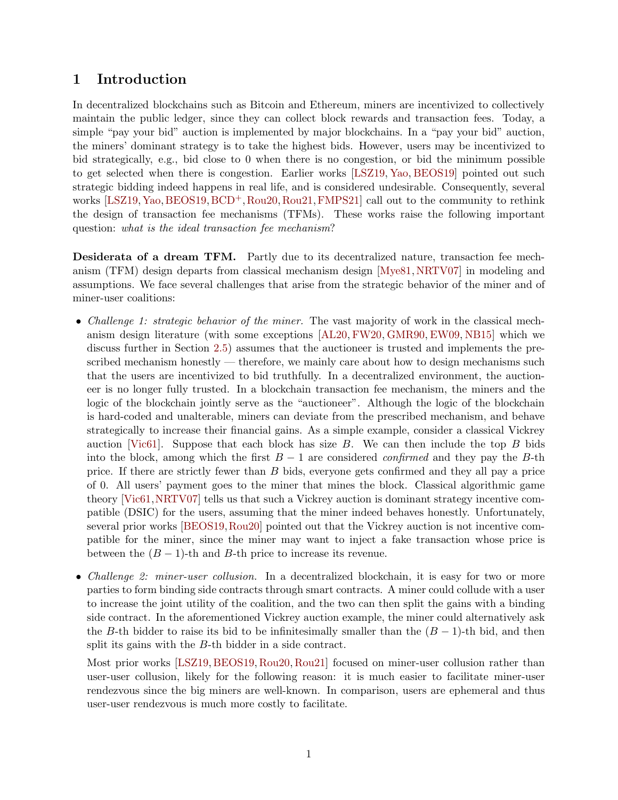## <span id="page-2-0"></span>1 Introduction

In decentralized blockchains such as Bitcoin and Ethereum, miners are incentivized to collectively maintain the public ledger, since they can collect block rewards and transaction fees. Today, a simple "pay your bid" auction is implemented by major blockchains. In a "pay your bid" auction, the miners' dominant strategy is to take the highest bids. However, users may be incentivized to bid strategically, e.g., bid close to 0 when there is no congestion, or bid the minimum possible to get selected when there is congestion. Earlier works [\[LSZ19,](#page-44-0) [Yao,](#page-45-1) [BEOS19\]](#page-43-0) pointed out such strategic bidding indeed happens in real life, and is considered undesirable. Consequently, several works [\[LSZ19,](#page-44-0) [Yao,](#page-45-1) [BEOS19,](#page-43-0) [BCD](#page-43-1)<sup>+</sup>, [Rou20,](#page-44-1) [Rou21,](#page-45-2) [FMPS21\]](#page-44-2) call out to the community to rethink the design of transaction fee mechanisms (TFMs). These works raise the following important question: what is the ideal transaction fee mechanism?

Desiderata of a dream TFM. Partly due to its decentralized nature, transaction fee mechanism (TFM) design departs from classical mechanism design [\[Mye81,](#page-44-3) [NRTV07\]](#page-44-4) in modeling and assumptions. We face several challenges that arise from the strategic behavior of the miner and of miner-user coalitions:

- Challenge 1: strategic behavior of the miner. The vast majority of work in the classical mechanism design literature (with some exceptions [\[AL20,](#page-43-2) [FW20,](#page-44-5) [GMR90,](#page-44-6) [EW09,](#page-44-7) [NB15\]](#page-44-8) which we discuss further in Section [2.5\)](#page-16-0) assumes that the auctioneer is trusted and implements the prescribed mechanism honestly — therefore, we mainly care about how to design mechanisms such that the users are incentivized to bid truthfully. In a decentralized environment, the auctioneer is no longer fully trusted. In a blockchain transaction fee mechanism, the miners and the logic of the blockchain jointly serve as the "auctioneer". Although the logic of the blockchain is hard-coded and unalterable, miners can deviate from the prescribed mechanism, and behave strategically to increase their financial gains. As a simple example, consider a classical Vickrey auction [\[Vic61\]](#page-45-3). Suppose that each block has size  $B$ . We can then include the top  $B$  bids into the block, among which the first  $B-1$  are considered *confirmed* and they pay the B-th price. If there are strictly fewer than B bids, everyone gets confirmed and they all pay a price of 0. All users' payment goes to the miner that mines the block. Classical algorithmic game theory [\[Vic61,](#page-45-3)[NRTV07\]](#page-44-4) tells us that such a Vickrey auction is dominant strategy incentive compatible (DSIC) for the users, assuming that the miner indeed behaves honestly. Unfortunately, several prior works [\[BEOS19,](#page-43-0)[Rou20\]](#page-44-1) pointed out that the Vickrey auction is not incentive compatible for the miner, since the miner may want to inject a fake transaction whose price is between the  $(B - 1)$ -th and B-th price to increase its revenue.
- *Challenge 2: miner-user collusion*. In a decentralized blockchain, it is easy for two or more parties to form binding side contracts through smart contracts. A miner could collude with a user to increase the joint utility of the coalition, and the two can then split the gains with a binding side contract. In the aforementioned Vickrey auction example, the miner could alternatively ask the B-th bidder to raise its bid to be infinitesimally smaller than the  $(B-1)$ -th bid, and then split its gains with the B-th bidder in a side contract.

Most prior works [\[LSZ19,](#page-44-0) [BEOS19,](#page-43-0) [Rou20,](#page-44-1) [Rou21\]](#page-45-2) focused on miner-user collusion rather than user-user collusion, likely for the following reason: it is much easier to facilitate miner-user rendezvous since the big miners are well-known. In comparison, users are ephemeral and thus user-user rendezvous is much more costly to facilitate.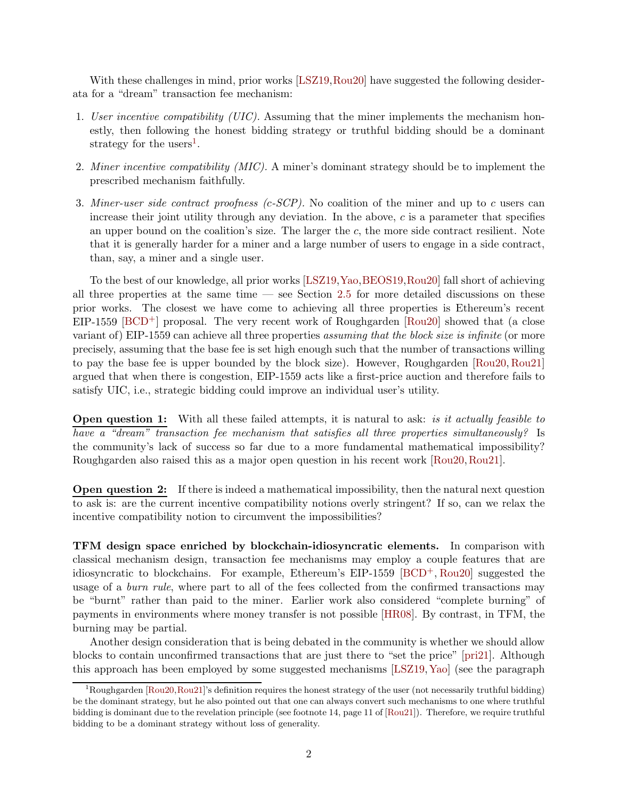With these challenges in mind, prior works [\[LSZ19,](#page-44-0) [Rou20\]](#page-44-1) have suggested the following desiderata for a "dream" transaction fee mechanism:

- 1. User incentive compatibility (UIC). Assuming that the miner implements the mechanism honestly, then following the honest bidding strategy or truthful bidding should be a dominant strategy for the users<sup>[1](#page-3-0)</sup>.
- 2. Miner incentive compatibility (MIC). A miner's dominant strategy should be to implement the prescribed mechanism faithfully.
- 3. Miner-user side contract proofness  $(c$ -SCP). No coalition of the miner and up to c users can increase their joint utility through any deviation. In the above,  $c$  is a parameter that specifies an upper bound on the coalition's size. The larger the  $c$ , the more side contract resilient. Note that it is generally harder for a miner and a large number of users to engage in a side contract, than, say, a miner and a single user.

To the best of our knowledge, all prior works [\[LSZ19,](#page-44-0)[Yao,](#page-45-1)[BEOS19,](#page-43-0)[Rou20\]](#page-44-1) fall short of achieving all three properties at the same time — see Section [2.5](#page-16-0) for more detailed discussions on these prior works. The closest we have come to achieving all three properties is Ethereum's recent  $EIP-1559$  [\[BCD](#page-43-1)<sup>+</sup>] proposal. The very recent work of Roughgarden [\[Rou20\]](#page-44-1) showed that (a close variant of) EIP-1559 can achieve all three properties assuming that the block size is infinite (or more precisely, assuming that the base fee is set high enough such that the number of transactions willing to pay the base fee is upper bounded by the block size). However, Roughgarden [\[Rou20,](#page-44-1) [Rou21\]](#page-45-2) argued that when there is congestion, EIP-1559 acts like a first-price auction and therefore fails to satisfy UIC, i.e., strategic bidding could improve an individual user's utility.

**Open question 1:** With all these failed attempts, it is natural to ask: is it actually feasible to have a "dream" transaction fee mechanism that satisfies all three properties simultaneously? Is the community's lack of success so far due to a more fundamental mathematical impossibility? Roughgarden also raised this as a major open question in his recent work [\[Rou20,](#page-44-1)[Rou21\]](#page-45-2).

Open question 2: If there is indeed a mathematical impossibility, then the natural next question to ask is: are the current incentive compatibility notions overly stringent? If so, can we relax the incentive compatibility notion to circumvent the impossibilities?

TFM design space enriched by blockchain-idiosyncratic elements. In comparison with classical mechanism design, transaction fee mechanisms may employ a couple features that are idiosyncratic to blockchains. For example, Ethereum's EIP-1559 [\[BCD](#page-43-1)+, [Rou20\]](#page-44-1) suggested the usage of a *burn rule*, where part to all of the fees collected from the confirmed transactions may be "burnt" rather than paid to the miner. Earlier work also considered "complete burning" of payments in environments where money transfer is not possible [\[HR08\]](#page-44-9). By contrast, in TFM, the burning may be partial.

Another design consideration that is being debated in the community is whether we should allow blocks to contain unconfirmed transactions that are just there to "set the price" [\[pri21\]](#page-44-10). Although this approach has been employed by some suggested mechanisms [\[LSZ19,](#page-44-0)[Yao\]](#page-45-1) (see the paragraph

<span id="page-3-0"></span><sup>&</sup>lt;sup>1</sup>Roughgarden [\[Rou20,](#page-44-1)[Rou21\]](#page-45-2)'s definition requires the honest strategy of the user (not necessarily truthful bidding) be the dominant strategy, but he also pointed out that one can always convert such mechanisms to one where truthful bidding is dominant due to the revelation principle (see footnote 14, page 11 of [\[Rou21\]](#page-45-2)). Therefore, we require truthful bidding to be a dominant strategy without loss of generality.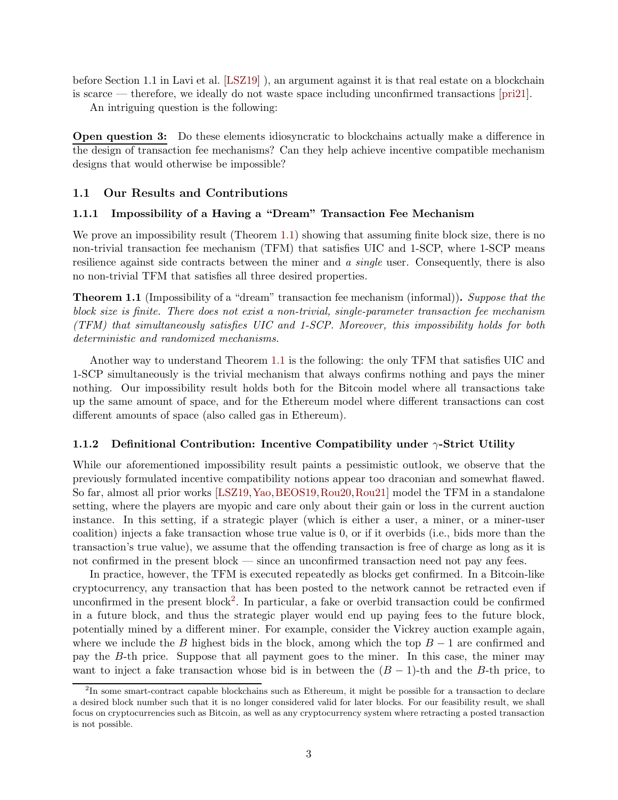before Section 1.1 in Lavi et al. [\[LSZ19\]](#page-44-0) ), an argument against it is that real estate on a blockchain is scarce — therefore, we ideally do not waste space including unconfirmed transactions [\[pri21\]](#page-44-10).

An intriguing question is the following:

Open question 3: Do these elements idiosyncratic to blockchains actually make a difference in the design of transaction fee mechanisms? Can they help achieve incentive compatible mechanism designs that would otherwise be impossible?

### <span id="page-4-1"></span><span id="page-4-0"></span>1.1 Our Results and Contributions

### 1.1.1 Impossibility of a Having a "Dream" Transaction Fee Mechanism

We prove an impossibility result (Theorem [1.1\)](#page-4-3) showing that assuming finite block size, there is no non-trivial transaction fee mechanism (TFM) that satisfies UIC and 1-SCP, where 1-SCP means resilience against side contracts between the miner and a single user. Consequently, there is also no non-trivial TFM that satisfies all three desired properties.

<span id="page-4-3"></span>**Theorem 1.1** (Impossibility of a "dream" transaction fee mechanism (informal)). Suppose that the block size is finite. There does not exist a non-trivial, single-parameter transaction fee mechanism (TFM) that simultaneously satisfies UIC and 1-SCP. Moreover, this impossibility holds for both deterministic and randomized mechanisms.

Another way to understand Theorem [1.1](#page-4-3) is the following: the only TFM that satisfies UIC and 1-SCP simultaneously is the trivial mechanism that always confirms nothing and pays the miner nothing. Our impossibility result holds both for the Bitcoin model where all transactions take up the same amount of space, and for the Ethereum model where different transactions can cost different amounts of space (also called gas in Ethereum).

#### <span id="page-4-2"></span>1.1.2 Definitional Contribution: Incentive Compatibility under  $\gamma$ -Strict Utility

While our aforementioned impossibility result paints a pessimistic outlook, we observe that the previously formulated incentive compatibility notions appear too draconian and somewhat flawed. So far, almost all prior works [\[LSZ19,](#page-44-0)[Yao,](#page-45-1)[BEOS19,](#page-43-0)[Rou20,](#page-44-1)[Rou21\]](#page-45-2) model the TFM in a standalone setting, where the players are myopic and care only about their gain or loss in the current auction instance. In this setting, if a strategic player (which is either a user, a miner, or a miner-user coalition) injects a fake transaction whose true value is 0, or if it overbids (i.e., bids more than the transaction's true value), we assume that the offending transaction is free of charge as long as it is not confirmed in the present block — since an unconfirmed transaction need not pay any fees.

In practice, however, the TFM is executed repeatedly as blocks get confirmed. In a Bitcoin-like cryptocurrency, any transaction that has been posted to the network cannot be retracted even if unconfirmed in the present block<sup>[2](#page-4-4)</sup>. In particular, a fake or overbid transaction could be confirmed in a future block, and thus the strategic player would end up paying fees to the future block, potentially mined by a different miner. For example, consider the Vickrey auction example again, where we include the B highest bids in the block, among which the top  $B-1$  are confirmed and pay the B-th price. Suppose that all payment goes to the miner. In this case, the miner may want to inject a fake transaction whose bid is in between the  $(B - 1)$ -th and the B-th price, to

<span id="page-4-4"></span> $^{2}$ In some smart-contract capable blockchains such as Ethereum, it might be possible for a transaction to declare a desired block number such that it is no longer considered valid for later blocks. For our feasibility result, we shall focus on cryptocurrencies such as Bitcoin, as well as any cryptocurrency system where retracting a posted transaction is not possible.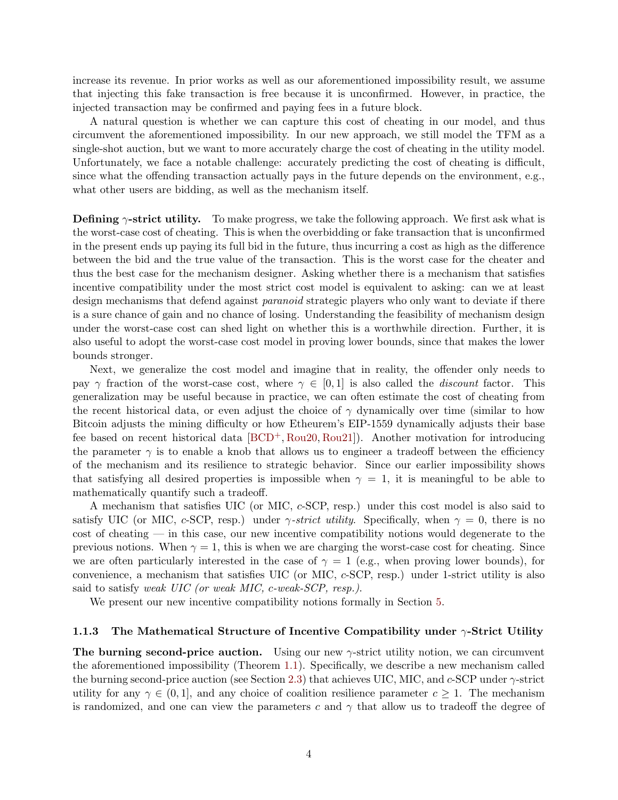increase its revenue. In prior works as well as our aforementioned impossibility result, we assume that injecting this fake transaction is free because it is unconfirmed. However, in practice, the injected transaction may be confirmed and paying fees in a future block.

A natural question is whether we can capture this cost of cheating in our model, and thus circumvent the aforementioned impossibility. In our new approach, we still model the TFM as a single-shot auction, but we want to more accurately charge the cost of cheating in the utility model. Unfortunately, we face a notable challenge: accurately predicting the cost of cheating is difficult, since what the offending transaction actually pays in the future depends on the environment, e.g., what other users are bidding, as well as the mechanism itself.

**Defining**  $\gamma$ -strict utility. To make progress, we take the following approach. We first ask what is the worst-case cost of cheating. This is when the overbidding or fake transaction that is unconfirmed in the present ends up paying its full bid in the future, thus incurring a cost as high as the difference between the bid and the true value of the transaction. This is the worst case for the cheater and thus the best case for the mechanism designer. Asking whether there is a mechanism that satisfies incentive compatibility under the most strict cost model is equivalent to asking: can we at least design mechanisms that defend against *paranoid* strategic players who only want to deviate if there is a sure chance of gain and no chance of losing. Understanding the feasibility of mechanism design under the worst-case cost can shed light on whether this is a worthwhile direction. Further, it is also useful to adopt the worst-case cost model in proving lower bounds, since that makes the lower bounds stronger.

Next, we generalize the cost model and imagine that in reality, the offender only needs to pay  $\gamma$  fraction of the worst-case cost, where  $\gamma \in [0,1]$  is also called the *discount* factor. This generalization may be useful because in practice, we can often estimate the cost of cheating from the recent historical data, or even adjust the choice of  $\gamma$  dynamically over time (similar to how Bitcoin adjusts the mining difficulty or how Etheurem's EIP-1559 dynamically adjusts their base fee based on recent historical data [\[BCD](#page-43-1)+, [Rou20,](#page-44-1) [Rou21\]](#page-45-2)). Another motivation for introducing the parameter  $\gamma$  is to enable a knob that allows us to engineer a tradeoff between the efficiency of the mechanism and its resilience to strategic behavior. Since our earlier impossibility shows that satisfying all desired properties is impossible when  $\gamma = 1$ , it is meaningful to be able to mathematically quantify such a tradeoff.

A mechanism that satisfies UIC (or MIC, c-SCP, resp.) under this cost model is also said to satisfy UIC (or MIC, c-SCP, resp.) under  $\gamma$ -strict utility. Specifically, when  $\gamma = 0$ , there is no cost of cheating — in this case, our new incentive compatibility notions would degenerate to the previous notions. When  $\gamma = 1$ , this is when we are charging the worst-case cost for cheating. Since we are often particularly interested in the case of  $\gamma = 1$  (e.g., when proving lower bounds), for convenience, a mechanism that satisfies UIC (or MIC, c-SCP, resp.) under 1-strict utility is also said to satisfy weak UIC (or weak MIC, c-weak-SCP, resp.).

We present our new incentive compatibility notions formally in Section [5.](#page-26-0)

#### <span id="page-5-0"></span>1.1.3 The Mathematical Structure of Incentive Compatibility under  $\gamma$ -Strict Utility

The burning second-price auction. Using our new  $\gamma$ -strict utility notion, we can circumvent the aforementioned impossibility (Theorem [1.1\)](#page-4-3). Specifically, we describe a new mechanism called the burning second-price auction (see Section [2.3\)](#page-11-1) that achieves UIC, MIC, and c-SCP under γ-strict utility for any  $\gamma \in (0, 1]$ , and any choice of coalition resilience parameter  $c \geq 1$ . The mechanism is randomized, and one can view the parameters c and  $\gamma$  that allow us to tradeoff the degree of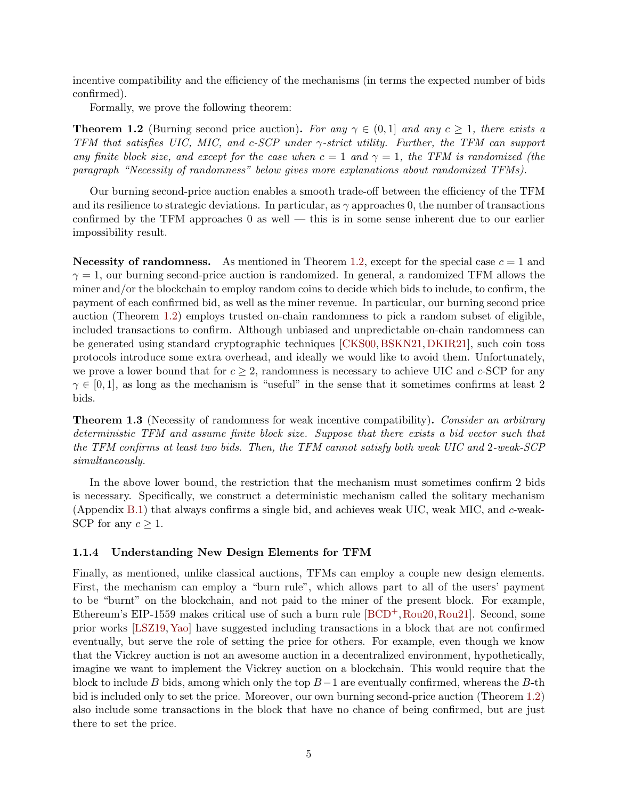incentive compatibility and the efficiency of the mechanisms (in terms the expected number of bids confirmed).

Formally, we prove the following theorem:

<span id="page-6-1"></span>**Theorem 1.2** (Burning second price auction). For any  $\gamma \in (0,1]$  and any  $c \geq 1$ , there exists a TFM that satisfies UIC, MIC, and c-SCP under  $\gamma$ -strict utility. Further, the TFM can support any finite block size, and except for the case when  $c = 1$  and  $\gamma = 1$ , the TFM is randomized (the paragraph "Necessity of randomness" below gives more explanations about randomized TFMs).

Our burning second-price auction enables a smooth trade-off between the efficiency of the TFM and its resilience to strategic deviations. In particular, as  $\gamma$  approaches 0, the number of transactions confirmed by the TFM approaches  $0$  as well — this is in some sense inherent due to our earlier impossibility result.

Necessity of randomness. As mentioned in Theorem [1.2,](#page-6-1) except for the special case  $c = 1$  and  $\gamma = 1$ , our burning second-price auction is randomized. In general, a randomized TFM allows the miner and/or the blockchain to employ random coins to decide which bids to include, to confirm, the payment of each confirmed bid, as well as the miner revenue. In particular, our burning second price auction (Theorem [1.2\)](#page-6-1) employs trusted on-chain randomness to pick a random subset of eligible, included transactions to confirm. Although unbiased and unpredictable on-chain randomness can be generated using standard cryptographic techniques [\[CKS00,](#page-43-3) [BSKN21,](#page-43-4) [DKIR21\]](#page-43-5), such coin toss protocols introduce some extra overhead, and ideally we would like to avoid them. Unfortunately, we prove a lower bound that for  $c \geq 2$ , randomness is necessary to achieve UIC and c-SCP for any  $\gamma \in [0, 1]$ , as long as the mechanism is "useful" in the sense that it sometimes confirms at least 2 bids.

<span id="page-6-2"></span>**Theorem 1.3** (Necessity of randomness for weak incentive compatibility). Consider an arbitrary deterministic TFM and assume finite block size. Suppose that there exists a bid vector such that the TFM confirms at least two bids. Then, the TFM cannot satisfy both weak UIC and 2-weak-SCP simultaneously.

In the above lower bound, the restriction that the mechanism must sometimes confirm 2 bids is necessary. Specifically, we construct a deterministic mechanism called the solitary mechanism (Appendix [B.1\)](#page-47-0) that always confirms a single bid, and achieves weak UIC, weak MIC, and c-weak-SCP for any  $c \geq 1$ .

#### <span id="page-6-0"></span>1.1.4 Understanding New Design Elements for TFM

Finally, as mentioned, unlike classical auctions, TFMs can employ a couple new design elements. First, the mechanism can employ a "burn rule", which allows part to all of the users' payment to be "burnt" on the blockchain, and not paid to the miner of the present block. For example, Ethereum's EIP-1559 makes critical use of such a burn rule  $[BCD^+, Rou20, Rou21]$  $[BCD^+, Rou20, Rou21]$  $[BCD^+, Rou20, Rou21]$  $[BCD^+, Rou20, Rou21]$ . Second, some prior works [\[LSZ19,](#page-44-0) [Yao\]](#page-45-1) have suggested including transactions in a block that are not confirmed eventually, but serve the role of setting the price for others. For example, even though we know that the Vickrey auction is not an awesome auction in a decentralized environment, hypothetically, imagine we want to implement the Vickrey auction on a blockchain. This would require that the block to include B bids, among which only the top  $B-1$  are eventually confirmed, whereas the B-th bid is included only to set the price. Moreover, our own burning second-price auction (Theorem [1.2\)](#page-6-1) also include some transactions in the block that have no chance of being confirmed, but are just there to set the price.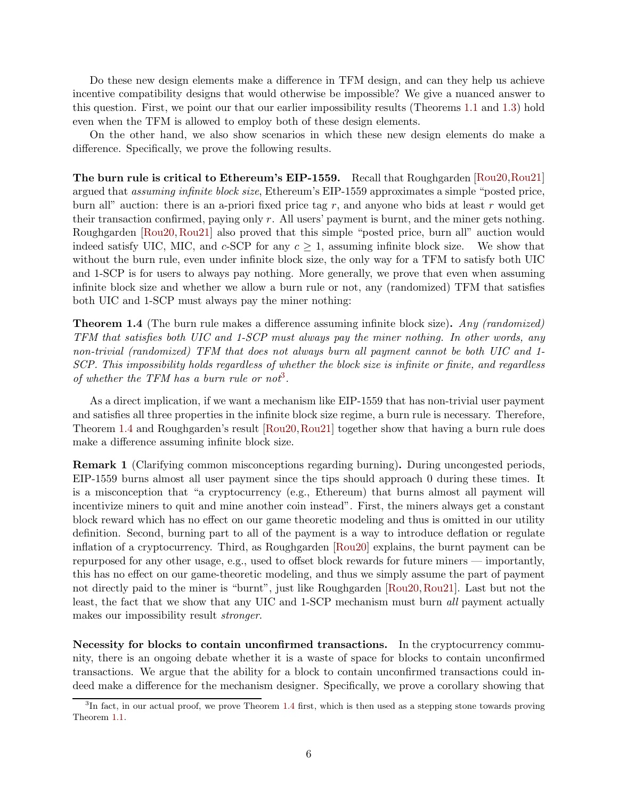Do these new design elements make a difference in TFM design, and can they help us achieve incentive compatibility designs that would otherwise be impossible? We give a nuanced answer to this question. First, we point our that our earlier impossibility results (Theorems [1.1](#page-4-3) and [1.3\)](#page-6-2) hold even when the TFM is allowed to employ both of these design elements.

On the other hand, we also show scenarios in which these new design elements do make a difference. Specifically, we prove the following results.

The burn rule is critical to Ethereum's EIP-1559. Recall that Roughgarden [\[Rou20,](#page-44-1)[Rou21\]](#page-45-2) argued that assuming infinite block size, Ethereum's EIP-1559 approximates a simple "posted price, burn all" auction: there is an a-priori fixed price tag  $r$ , and anyone who bids at least  $r$  would get their transaction confirmed, paying only r. All users' payment is burnt, and the miner gets nothing. Roughgarden [\[Rou20,](#page-44-1) [Rou21\]](#page-45-2) also proved that this simple "posted price, burn all" auction would indeed satisfy UIC, MIC, and  $c$ -SCP for any  $c \geq 1$ , assuming infinite block size. We show that without the burn rule, even under infinite block size, the only way for a TFM to satisfy both UIC and 1-SCP is for users to always pay nothing. More generally, we prove that even when assuming infinite block size and whether we allow a burn rule or not, any (randomized) TFM that satisfies both UIC and 1-SCP must always pay the miner nothing:

<span id="page-7-1"></span>**Theorem 1.4** (The burn rule makes a difference assuming infinite block size). Any (randomized) TFM that satisfies both UIC and 1-SCP must always pay the miner nothing. In other words, any non-trivial (randomized) TFM that does not always burn all payment cannot be both UIC and 1-SCP. This impossibility holds regardless of whether the block size is infinite or finite, and regardless of whether the TFM has a burn rule or not<sup>[3](#page-7-0)</sup>.

As a direct implication, if we want a mechanism like EIP-1559 that has non-trivial user payment and satisfies all three properties in the infinite block size regime, a burn rule is necessary. Therefore, Theorem [1.4](#page-7-1) and Roughgarden's result [\[Rou20,](#page-44-1)[Rou21\]](#page-45-2) together show that having a burn rule does make a difference assuming infinite block size.

Remark 1 (Clarifying common misconceptions regarding burning). During uncongested periods, EIP-1559 burns almost all user payment since the tips should approach 0 during these times. It is a misconception that "a cryptocurrency (e.g., Ethereum) that burns almost all payment will incentivize miners to quit and mine another coin instead". First, the miners always get a constant block reward which has no effect on our game theoretic modeling and thus is omitted in our utility definition. Second, burning part to all of the payment is a way to introduce deflation or regulate inflation of a cryptocurrency. Third, as Roughgarden [\[Rou20\]](#page-44-1) explains, the burnt payment can be repurposed for any other usage, e.g., used to offset block rewards for future miners — importantly, this has no effect on our game-theoretic modeling, and thus we simply assume the part of payment not directly paid to the miner is "burnt", just like Roughgarden [\[Rou20,](#page-44-1)[Rou21\]](#page-45-2). Last but not the least, the fact that we show that any UIC and 1-SCP mechanism must burn all payment actually makes our impossibility result stronger.

Necessity for blocks to contain unconfirmed transactions. In the cryptocurrency community, there is an ongoing debate whether it is a waste of space for blocks to contain unconfirmed transactions. We argue that the ability for a block to contain unconfirmed transactions could indeed make a difference for the mechanism designer. Specifically, we prove a corollary showing that

<span id="page-7-0"></span><sup>&</sup>lt;sup>3</sup>In fact, in our actual proof, we prove Theorem [1.4](#page-7-1) first, which is then used as a stepping stone towards proving Theorem [1.1.](#page-4-3)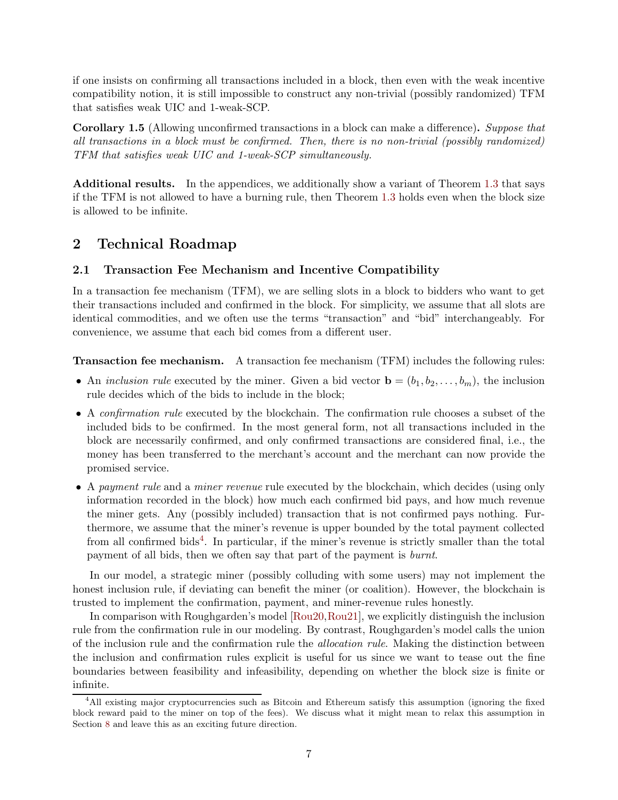if one insists on confirming all transactions included in a block, then even with the weak incentive compatibility notion, it is still impossible to construct any non-trivial (possibly randomized) TFM that satisfies weak UIC and 1-weak-SCP.

Corollary 1.5 (Allowing unconfirmed transactions in a block can make a difference). Suppose that all transactions in a block must be confirmed. Then, there is no non-trivial (possibly randomized) TFM that satisfies weak UIC and 1-weak-SCP simultaneously.

Additional results. In the appendices, we additionally show a variant of Theorem [1.3](#page-6-2) that says if the TFM is not allowed to have a burning rule, then Theorem [1.3](#page-6-2) holds even when the block size is allowed to be infinite.

## <span id="page-8-0"></span>2 Technical Roadmap

## <span id="page-8-1"></span>2.1 Transaction Fee Mechanism and Incentive Compatibility

In a transaction fee mechanism (TFM), we are selling slots in a block to bidders who want to get their transactions included and confirmed in the block. For simplicity, we assume that all slots are identical commodities, and we often use the terms "transaction" and "bid" interchangeably. For convenience, we assume that each bid comes from a different user.

Transaction fee mechanism. A transaction fee mechanism (TFM) includes the following rules:

- An inclusion rule executed by the miner. Given a bid vector  $\mathbf{b} = (b_1, b_2, \ldots, b_m)$ , the inclusion rule decides which of the bids to include in the block;
- A confirmation rule executed by the blockchain. The confirmation rule chooses a subset of the included bids to be confirmed. In the most general form, not all transactions included in the block are necessarily confirmed, and only confirmed transactions are considered final, i.e., the money has been transferred to the merchant's account and the merchant can now provide the promised service.
- A payment rule and a miner revenue rule executed by the blockchain, which decides (using only information recorded in the block) how much each confirmed bid pays, and how much revenue the miner gets. Any (possibly included) transaction that is not confirmed pays nothing. Furthermore, we assume that the miner's revenue is upper bounded by the total payment collected from all confirmed bids<sup>[4](#page-8-2)</sup>. In particular, if the miner's revenue is strictly smaller than the total payment of all bids, then we often say that part of the payment is burnt.

In our model, a strategic miner (possibly colluding with some users) may not implement the honest inclusion rule, if deviating can benefit the miner (or coalition). However, the blockchain is trusted to implement the confirmation, payment, and miner-revenue rules honestly.

In comparison with Roughgarden's model [\[Rou20,](#page-44-1)[Rou21\]](#page-45-2), we explicitly distinguish the inclusion rule from the confirmation rule in our modeling. By contrast, Roughgarden's model calls the union of the inclusion rule and the confirmation rule the *allocation rule*. Making the distinction between the inclusion and confirmation rules explicit is useful for us since we want to tease out the fine boundaries between feasibility and infeasibility, depending on whether the block size is finite or infinite.

<span id="page-8-2"></span><sup>4</sup>All existing major cryptocurrencies such as Bitcoin and Ethereum satisfy this assumption (ignoring the fixed block reward paid to the miner on top of the fees). We discuss what it might mean to relax this assumption in Section [8](#page-42-0) and leave this as an exciting future direction.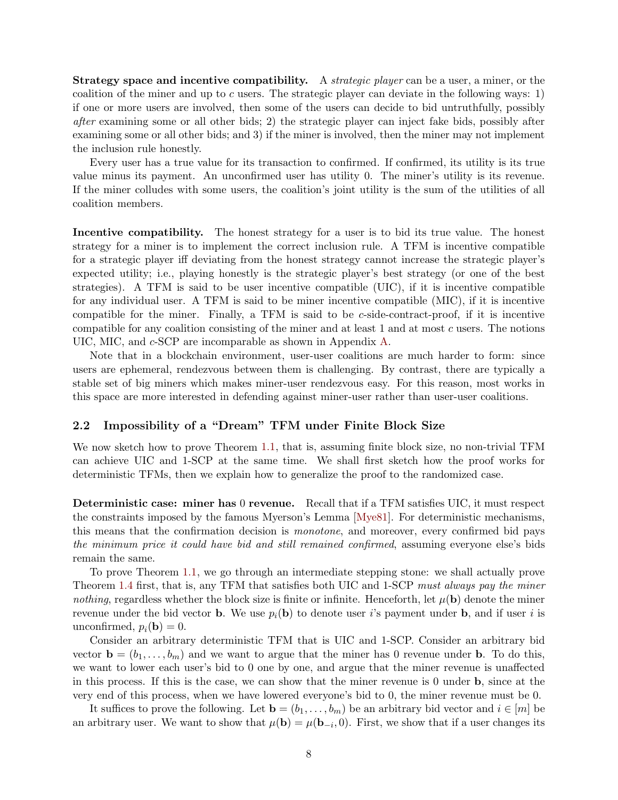**Strategy space and incentive compatibility.** A *strategic player* can be a user, a miner, or the coalition of the miner and up to c users. The strategic player can deviate in the following ways: 1) if one or more users are involved, then some of the users can decide to bid untruthfully, possibly after examining some or all other bids; 2) the strategic player can inject fake bids, possibly after examining some or all other bids; and 3) if the miner is involved, then the miner may not implement the inclusion rule honestly.

Every user has a true value for its transaction to confirmed. If confirmed, its utility is its true value minus its payment. An unconfirmed user has utility 0. The miner's utility is its revenue. If the miner colludes with some users, the coalition's joint utility is the sum of the utilities of all coalition members.

Incentive compatibility. The honest strategy for a user is to bid its true value. The honest strategy for a miner is to implement the correct inclusion rule. A TFM is incentive compatible for a strategic player iff deviating from the honest strategy cannot increase the strategic player's expected utility; i.e., playing honestly is the strategic player's best strategy (or one of the best strategies). A TFM is said to be user incentive compatible (UIC), if it is incentive compatible for any individual user. A TFM is said to be miner incentive compatible (MIC), if it is incentive compatible for the miner. Finally, a TFM is said to be  $c$ -side-contract-proof, if it is incentive compatible for any coalition consisting of the miner and at least 1 and at most c users. The notions UIC, MIC, and c-SCP are incomparable as shown in Appendix [A.](#page-45-0)

Note that in a blockchain environment, user-user coalitions are much harder to form: since users are ephemeral, rendezvous between them is challenging. By contrast, there are typically a stable set of big miners which makes miner-user rendezvous easy. For this reason, most works in this space are more interested in defending against miner-user rather than user-user coalitions.

### <span id="page-9-0"></span>2.2 Impossibility of a "Dream" TFM under Finite Block Size

We now sketch how to prove Theorem [1.1,](#page-4-3) that is, assuming finite block size, no non-trivial TFM can achieve UIC and 1-SCP at the same time. We shall first sketch how the proof works for deterministic TFMs, then we explain how to generalize the proof to the randomized case.

Deterministic case: miner has 0 revenue. Recall that if a TFM satisfies UIC, it must respect the constraints imposed by the famous Myerson's Lemma [\[Mye81\]](#page-44-3). For deterministic mechanisms, this means that the confirmation decision is monotone, and moreover, every confirmed bid pays the minimum price it could have bid and still remained confirmed, assuming everyone else's bids remain the same.

To prove Theorem [1.1,](#page-4-3) we go through an intermediate stepping stone: we shall actually prove Theorem [1.4](#page-7-1) first, that is, any TFM that satisfies both UIC and 1-SCP must always pay the miner nothing, regardless whether the block size is finite or infinite. Henceforth, let  $\mu(\mathbf{b})$  denote the miner revenue under the bid vector **b**. We use  $p_i(\mathbf{b})$  to denote user i's payment under **b**, and if user i is unconfirmed,  $p_i(\mathbf{b}) = 0$ .

Consider an arbitrary deterministic TFM that is UIC and 1-SCP. Consider an arbitrary bid vector  $\mathbf{b} = (b_1, \ldots, b_m)$  and we want to argue that the miner has 0 revenue under **b**. To do this, we want to lower each user's bid to 0 one by one, and argue that the miner revenue is unaffected in this process. If this is the case, we can show that the miner revenue is 0 under b, since at the very end of this process, when we have lowered everyone's bid to 0, the miner revenue must be 0.

It suffices to prove the following. Let  $\mathbf{b} = (b_1, \ldots, b_m)$  be an arbitrary bid vector and  $i \in [m]$  be an arbitrary user. We want to show that  $\mu(\mathbf{b}) = \mu(\mathbf{b}_{-i}, 0)$ . First, we show that if a user changes its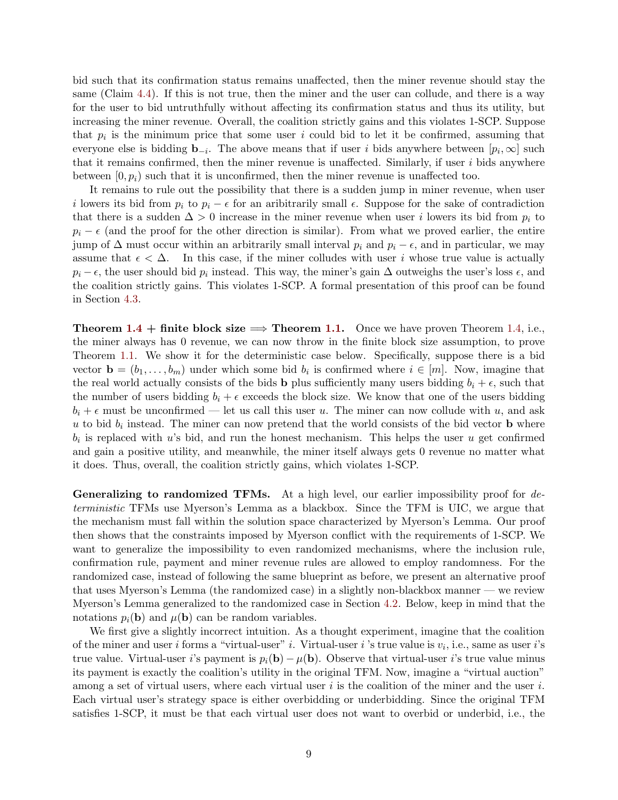bid such that its confirmation status remains unaffected, then the miner revenue should stay the same (Claim [4.4\)](#page-23-1). If this is not true, then the miner and the user can collude, and there is a way for the user to bid untruthfully without affecting its confirmation status and thus its utility, but increasing the miner revenue. Overall, the coalition strictly gains and this violates 1-SCP. Suppose that  $p_i$  is the minimum price that some user i could bid to let it be confirmed, assuming that everyone else is bidding  $\mathbf{b}_{-i}$ . The above means that if user i bids anywhere between  $[p_i,\infty]$  such that it remains confirmed, then the miner revenue is unaffected. Similarly, if user i bids anywhere between  $[0, p_i)$  such that it is unconfirmed, then the miner revenue is unaffected too.

It remains to rule out the possibility that there is a sudden jump in miner revenue, when user i lowers its bid from  $p_i$  to  $p_i - \epsilon$  for an aribitrarily small  $\epsilon$ . Suppose for the sake of contradiction that there is a sudden  $\Delta > 0$  increase in the miner revenue when user i lowers its bid from  $p_i$  to  $p_i - \epsilon$  (and the proof for the other direction is similar). From what we proved earlier, the entire jump of  $\Delta$  must occur within an arbitrarily small interval  $p_i$  and  $p_i - \epsilon$ , and in particular, we may assume that  $\epsilon < \Delta$ . In this case, if the miner colludes with user i whose true value is actually  $p_i - \epsilon$ , the user should bid  $p_i$  instead. This way, the miner's gain  $\Delta$  outweighs the user's loss  $\epsilon$ , and the coalition strictly gains. This violates 1-SCP. A formal presentation of this proof can be found in Section [4.3.](#page-23-0)

**Theorem [1.4](#page-7-1)** + finite block size  $\implies$  **Theorem [1.1.](#page-4-3)** Once we have proven Theorem [1.4,](#page-7-1) i.e., the miner always has 0 revenue, we can now throw in the finite block size assumption, to prove Theorem [1.1.](#page-4-3) We show it for the deterministic case below. Specifically, suppose there is a bid vector  $\mathbf{b} = (b_1, \ldots, b_m)$  under which some bid  $b_i$  is confirmed where  $i \in [m]$ . Now, imagine that the real world actually consists of the bids **b** plus sufficiently many users bidding  $b_i + \epsilon$ , such that the number of users bidding  $b_i + \epsilon$  exceeds the block size. We know that one of the users bidding  $b_i + \epsilon$  must be unconfirmed — let us call this user u. The miner can now collude with u, and ask u to bid  $b_i$  instead. The miner can now pretend that the world consists of the bid vector **b** where  $b_i$  is replaced with u's bid, and run the honest mechanism. This helps the user u get confirmed and gain a positive utility, and meanwhile, the miner itself always gets 0 revenue no matter what it does. Thus, overall, the coalition strictly gains, which violates 1-SCP.

Generalizing to randomized TFMs. At a high level, our earlier impossibility proof for deterministic TFMs use Myerson's Lemma as a blackbox. Since the TFM is UIC, we argue that the mechanism must fall within the solution space characterized by Myerson's Lemma. Our proof then shows that the constraints imposed by Myerson conflict with the requirements of 1-SCP. We want to generalize the impossibility to even randomized mechanisms, where the inclusion rule, confirmation rule, payment and miner revenue rules are allowed to employ randomness. For the randomized case, instead of following the same blueprint as before, we present an alternative proof that uses Myerson's Lemma (the randomized case) in a slightly non-blackbox manner — we review Myerson's Lemma generalized to the randomized case in Section [4.2.](#page-21-0) Below, keep in mind that the notations  $p_i(\mathbf{b})$  and  $\mu(\mathbf{b})$  can be random variables.

We first give a slightly incorrect intuition. As a thought experiment, imagine that the coalition of the miner and user *i* forms a "virtual-user" *i*. Virtual-user *i*'s true value is  $v_i$ , i.e., same as user *i*'s true value. Virtual-user i's payment is  $p_i(\mathbf{b}) - \mu(\mathbf{b})$ . Observe that virtual-user i's true value minus its payment is exactly the coalition's utility in the original TFM. Now, imagine a "virtual auction" among a set of virtual users, where each virtual user  $i$  is the coalition of the miner and the user  $i$ . Each virtual user's strategy space is either overbidding or underbidding. Since the original TFM satisfies 1-SCP, it must be that each virtual user does not want to overbid or underbid, i.e., the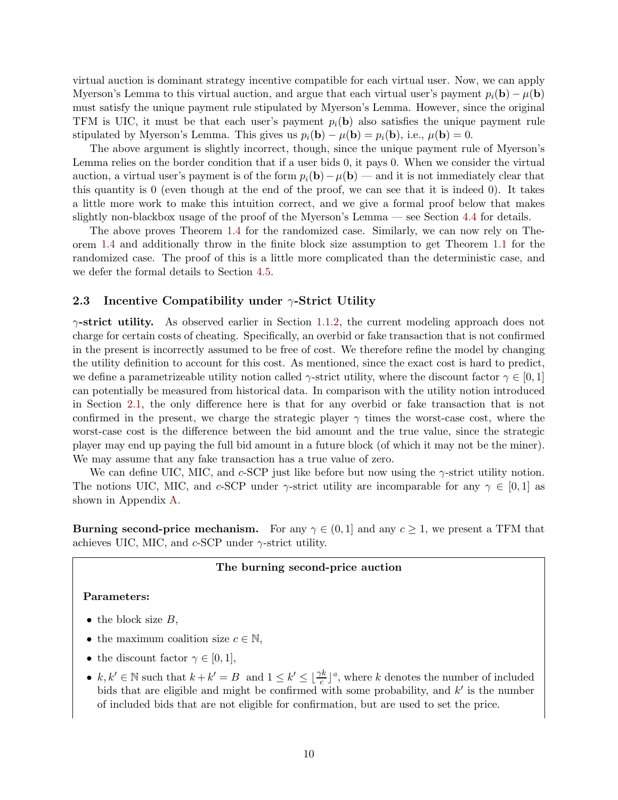virtual auction is dominant strategy incentive compatible for each virtual user. Now, we can apply Myerson's Lemma to this virtual auction, and argue that each virtual user's payment  $p_i(\mathbf{b}) - \mu(\mathbf{b})$ must satisfy the unique payment rule stipulated by Myerson's Lemma. However, since the original TFM is UIC, it must be that each user's payment  $p_i(\mathbf{b})$  also satisfies the unique payment rule stipulated by Myerson's Lemma. This gives us  $p_i(\mathbf{b}) - \mu(\mathbf{b}) = p_i(\mathbf{b})$ , i.e.,  $\mu(\mathbf{b}) = 0$ .

The above argument is slightly incorrect, though, since the unique payment rule of Myerson's Lemma relies on the border condition that if a user bids 0, it pays 0. When we consider the virtual auction, a virtual user's payment is of the form  $p_i(\mathbf{b}) - \mu(\mathbf{b})$  — and it is not immediately clear that this quantity is 0 (even though at the end of the proof, we can see that it is indeed 0). It takes a little more work to make this intuition correct, and we give a formal proof below that makes slightly non-blackbox usage of the proof of the Myerson's Lemma — see Section [4.4](#page-24-0) for details.

The above proves Theorem [1.4](#page-7-1) for the randomized case. Similarly, we can now rely on Theorem [1.4](#page-7-1) and additionally throw in the finite block size assumption to get Theorem [1.1](#page-4-3) for the randomized case. The proof of this is a little more complicated than the deterministic case, and we defer the formal details to Section [4.5.](#page-25-0)

### <span id="page-11-0"></span>2.3 Incentive Compatibility under  $\gamma$ -Strict Utility

 $\gamma$ -strict utility. As observed earlier in Section [1.1.2,](#page-4-2) the current modeling approach does not charge for certain costs of cheating. Specifically, an overbid or fake transaction that is not confirmed in the present is incorrectly assumed to be free of cost. We therefore refine the model by changing the utility definition to account for this cost. As mentioned, since the exact cost is hard to predict, we define a parametrizeable utility notion called  $\gamma$ -strict utility, where the discount factor  $\gamma \in [0,1]$ can potentially be measured from historical data. In comparison with the utility notion introduced in Section [2.1,](#page-8-1) the only difference here is that for any overbid or fake transaction that is not confirmed in the present, we charge the strategic player  $\gamma$  times the worst-case cost, where the worst-case cost is the difference between the bid amount and the true value, since the strategic player may end up paying the full bid amount in a future block (of which it may not be the miner). We may assume that any fake transaction has a true value of zero.

We can define UIC, MIC, and c-SCP just like before but now using the  $\gamma$ -strict utility notion. The notions UIC, MIC, and c-SCP under  $\gamma$ -strict utility are incomparable for any  $\gamma \in [0,1]$  as shown in Appendix [A.](#page-45-0)

<span id="page-11-1"></span>**Burning second-price mechanism.** For any  $\gamma \in (0,1]$  and any  $c \geq 1$ , we present a TFM that achieves UIC, MIC, and  $c$ -SCP under  $\gamma$ -strict utility.

#### The burning second-price auction

#### Parameters:

- the block size  $B$ ,
- the maximum coalition size  $c \in \mathbb{N}$ ,
- the discount factor  $\gamma \in [0,1]$ ,
- $k, k' \in \mathbb{N}$  $k, k' \in \mathbb{N}$  $k, k' \in \mathbb{N}$  such that  $k + k' = B$  and  $1 \leq k' \leq \lfloor \frac{\gamma k}{c} \rfloor^a$ , where k denotes the number of included bids that are eligible and might be confirmed with some probability, and  $k'$  is the number of included bids that are not eligible for confirmation, but are used to set the price.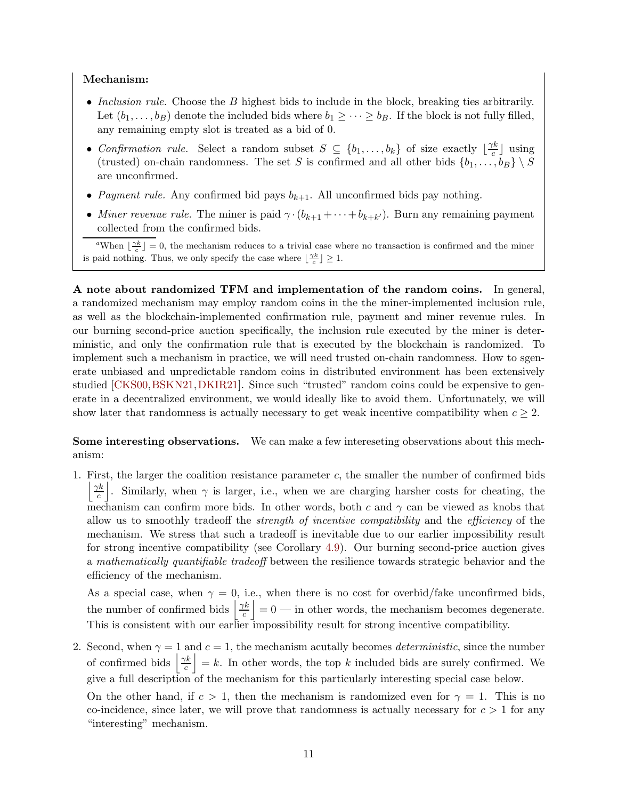## Mechanism:

- Inclusion rule. Choose the  $B$  highest bids to include in the block, breaking ties arbitrarily. Let  $(b_1, \ldots, b_B)$  denote the included bids where  $b_1 \geq \cdots \geq b_B$ . If the block is not fully filled, any remaining empty slot is treated as a bid of 0.
- Confirmation rule. Select a random subset  $S \subseteq \{b_1, \ldots, b_k\}$  of size exactly  $\lfloor \frac{\gamma k}{c} \rfloor$  $\frac{\pi}{c}$  using (trusted) on-chain randomness. The set S is confirmed and all other bids  $\{b_1, \ldots, b_B\} \setminus S$ are unconfirmed.
- Payment rule. Any confirmed bid pays  $b_{k+1}$ . All unconfirmed bids pay nothing.
- Miner revenue rule. The miner is paid  $\gamma \cdot (b_{k+1} + \cdots + b_{k+k'})$ . Burn any remaining payment collected from the confirmed bids.

<span id="page-12-0"></span><sup>a</sup>When  $\lfloor \frac{\gamma k}{c} \rfloor = 0$ , the mechanism reduces to a trivial case where no transaction is confirmed and the miner is paid nothing. Thus, we only specify the case where  $\lfloor \frac{\gamma k}{c} \rfloor \geq 1$ .

A note about randomized TFM and implementation of the random coins. In general, a randomized mechanism may employ random coins in the the miner-implemented inclusion rule, as well as the blockchain-implemented confirmation rule, payment and miner revenue rules. In our burning second-price auction specifically, the inclusion rule executed by the miner is deterministic, and only the confirmation rule that is executed by the blockchain is randomized. To implement such a mechanism in practice, we will need trusted on-chain randomness. How to sgenerate unbiased and unpredictable random coins in distributed environment has been extensively studied [\[CKS00,](#page-43-3)[BSKN21,](#page-43-4)[DKIR21\]](#page-43-5). Since such "trusted" random coins could be expensive to generate in a decentralized environment, we would ideally like to avoid them. Unfortunately, we will show later that randomness is actually necessary to get weak incentive compatibility when  $c \geq 2$ .

Some interesting observations. We can make a few intereseting observations about this mechanism:

1. First, the larger the coalition resistance parameter  $c$ , the smaller the number of confirmed bids |  $\gamma k$ c . Similarly, when  $\gamma$  is larger, i.e., when we are charging harsher costs for cheating, the mechanism can confirm more bids. In other words, both c and  $\gamma$  can be viewed as knobs that allow us to smoothly tradeoff the *strength of incentive compatibility* and the *efficiency* of the mechanism. We stress that such a tradeoff is inevitable due to our earlier impossibility result for strong incentive compatibility (see Corollary [4.9\)](#page-26-1). Our burning second-price auction gives a mathematically quantifiable tradeoff between the resilience towards strategic behavior and the efficiency of the mechanism.

As a special case, when  $\gamma = 0$ , i.e., when there is no cost for overbid/fake unconfirmed bids, the number of confirmed bids  $\frac{\gamma k}{c}$ c  $| = 0$  — in other words, the mechanism becomes degenerate. This is consistent with our earlier impossibility result for strong incentive compatibility.

2. Second, when  $\gamma = 1$  and  $c = 1$ , the mechanism acutally becomes *deterministic*, since the number of confirmed bids  $\frac{\gamma k}{c}$ c  $\vert = k$ . In other words, the top k included bids are surely confirmed. We give a full description of the mechanism for this particularly interesting special case below.

On the other hand, if  $c > 1$ , then the mechanism is randomized even for  $\gamma = 1$ . This is no co-incidence, since later, we will prove that randomness is actually necessary for  $c > 1$  for any "interesting" mechanism.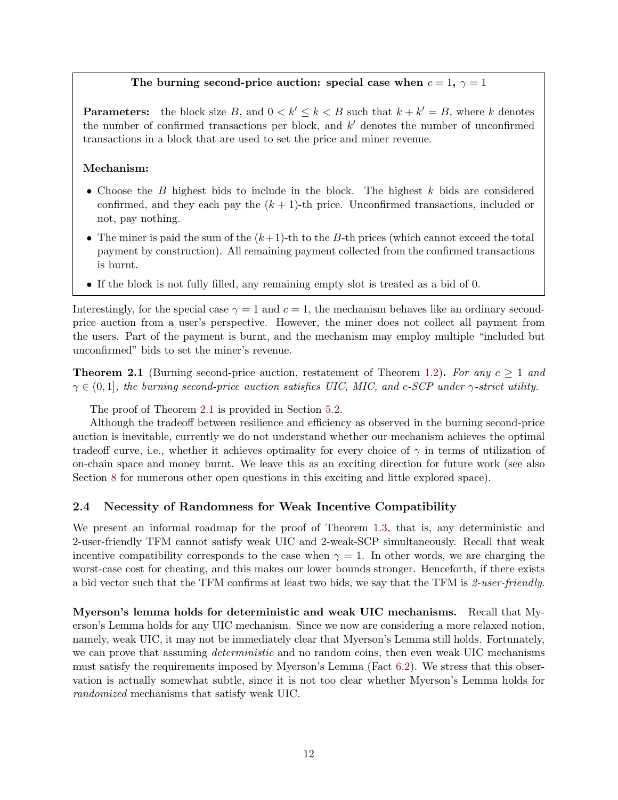## The burning second-price auction: special case when  $c = 1$ ,  $\gamma = 1$

**Parameters:** the block size B, and  $0 < k' \leq k < B$  such that  $k + k' = B$ , where k denotes the number of confirmed transactions per block, and  $k'$  denotes the number of unconfirmed transactions in a block that are used to set the price and miner revenue.

#### Mechanism:

- Choose the B highest bids to include in the block. The highest  $k$  bids are considered confirmed, and they each pay the  $(k + 1)$ -th price. Unconfirmed transactions, included or not, pay nothing.
- The miner is paid the sum of the  $(k+1)$ -th to the B-th prices (which cannot exceed the total payment by construction). All remaining payment collected from the confirmed transactions is burnt.
- If the block is not fully filled, any remaining empty slot is treated as a bid of 0.

Interestingly, for the special case  $\gamma = 1$  and  $c = 1$ , the mechanism behaves like an ordinary secondprice auction from a user's perspective. However, the miner does not collect all payment from the users. Part of the payment is burnt, and the mechanism may employ multiple "included but unconfirmed" bids to set the miner's revenue.

<span id="page-13-1"></span>**Theorem 2.1** (Burning second-price auction, restatement of Theorem [1.2\)](#page-6-1). For any  $c > 1$  and  $\gamma \in (0,1]$ , the burning second-price auction satisfies UIC, MIC, and c-SCP under  $\gamma$ -strict utility.

The proof of Theorem [2.1](#page-13-1) is provided in Section [5.2.](#page-28-0)

Although the tradeoff between resilience and efficiency as observed in the burning second-price auction is inevitable, currently we do not understand whether our mechanism achieves the optimal tradeoff curve, i.e., whether it achieves optimality for every choice of  $\gamma$  in terms of utilization of on-chain space and money burnt. We leave this as an exciting direction for future work (see also Section [8](#page-42-0) for numerous other open questions in this exciting and little explored space).

## <span id="page-13-0"></span>2.4 Necessity of Randomness for Weak Incentive Compatibility

We present an informal roadmap for the proof of Theorem [1.3,](#page-6-2) that is, any deterministic and 2-user-friendly TFM cannot satisfy weak UIC and 2-weak-SCP simultaneously. Recall that weak incentive compatibility corresponds to the case when  $\gamma = 1$ . In other words, we are charging the worst-case cost for cheating, and this makes our lower bounds stronger. Henceforth, if there exists a bid vector such that the TFM confirms at least two bids, we say that the TFM is 2-user-friendly.

Myerson's lemma holds for deterministic and weak UIC mechanisms. Recall that Myerson's Lemma holds for any UIC mechanism. Since we now are considering a more relaxed notion, namely, weak UIC, it may not be immediately clear that Myerson's Lemma still holds. Fortunately, we can prove that assuming *deterministic* and no random coins, then even weak UIC mechanisms must satisfy the requirements imposed by Myerson's Lemma (Fact [6.2\)](#page-33-1). We stress that this observation is actually somewhat subtle, since it is not too clear whether Myerson's Lemma holds for randomized mechanisms that satisfy weak UIC.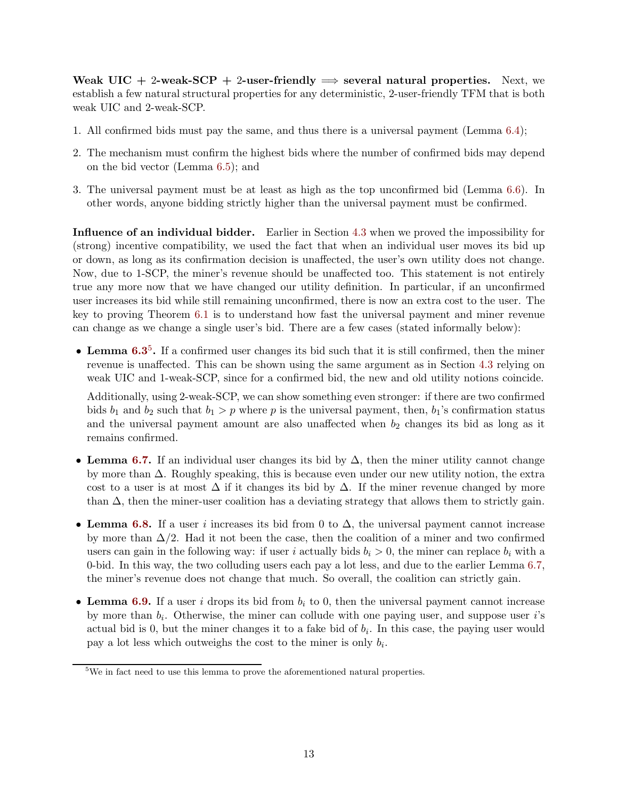Weak UIC + 2-weak-SCP + 2-user-friendly  $\Rightarrow$  several natural properties. Next, we establish a few natural structural properties for any deterministic, 2-user-friendly TFM that is both weak UIC and 2-weak-SCP.

- 1. All confirmed bids must pay the same, and thus there is a universal payment (Lemma [6.4\)](#page-35-0);
- 2. The mechanism must confirm the highest bids where the number of confirmed bids may depend on the bid vector (Lemma [6.5\)](#page-35-1); and
- 3. The universal payment must be at least as high as the top unconfirmed bid (Lemma [6.6\)](#page-36-0). In other words, anyone bidding strictly higher than the universal payment must be confirmed.

Influence of an individual bidder. Earlier in Section [4.3](#page-23-0) when we proved the impossibility for (strong) incentive compatibility, we used the fact that when an individual user moves its bid up or down, as long as its confirmation decision is unaffected, the user's own utility does not change. Now, due to 1-SCP, the miner's revenue should be unaffected too. This statement is not entirely true any more now that we have changed our utility definition. In particular, if an unconfirmed user increases its bid while still remaining unconfirmed, there is now an extra cost to the user. The key to proving Theorem [6.1](#page-33-2) is to understand how fast the universal payment and miner revenue can change as we change a single user's bid. There are a few cases (stated informally below):

• Lemma [6.3](#page-34-0)<sup>[5](#page-14-0)</sup>. If a confirmed user changes its bid such that it is still confirmed, then the miner revenue is unaffected. This can be shown using the same argument as in Section [4.3](#page-23-0) relying on weak UIC and 1-weak-SCP, since for a confirmed bid, the new and old utility notions coincide.

Additionally, using 2-weak-SCP, we can show something even stronger: if there are two confirmed bids  $b_1$  and  $b_2$  such that  $b_1 > p$  where p is the universal payment, then,  $b_1$ 's confirmation status and the universal payment amount are also unaffected when  $b_2$  changes its bid as long as it remains confirmed.

- Lemma [6.7.](#page-36-1) If an individual user changes its bid by  $\Delta$ , then the miner utility cannot change by more than ∆. Roughly speaking, this is because even under our new utility notion, the extra cost to a user is at most  $\Delta$  if it changes its bid by  $\Delta$ . If the miner revenue changed by more than  $\Delta$ , then the miner-user coalition has a deviating strategy that allows them to strictly gain.
- Lemma [6.8.](#page-37-0) If a user i increases its bid from 0 to  $\Delta$ , the universal payment cannot increase by more than  $\Delta/2$ . Had it not been the case, then the coalition of a miner and two confirmed users can gain in the following way: if user i actually bids  $b_i > 0$ , the miner can replace  $b_i$  with a 0-bid. In this way, the two colluding users each pay a lot less, and due to the earlier Lemma [6.7,](#page-36-1) the miner's revenue does not change that much. So overall, the coalition can strictly gain.
- Lemma [6.9.](#page-37-1) If a user i drops its bid from  $b_i$  to 0, then the universal payment cannot increase by more than  $b_i$ . Otherwise, the miner can collude with one paying user, and suppose user i's actual bid is 0, but the miner changes it to a fake bid of  $b_i$ . In this case, the paying user would pay a lot less which outweighs the cost to the miner is only  $b_i$ .

<span id="page-14-0"></span><sup>&</sup>lt;sup>5</sup>We in fact need to use this lemma to prove the aforementioned natural properties.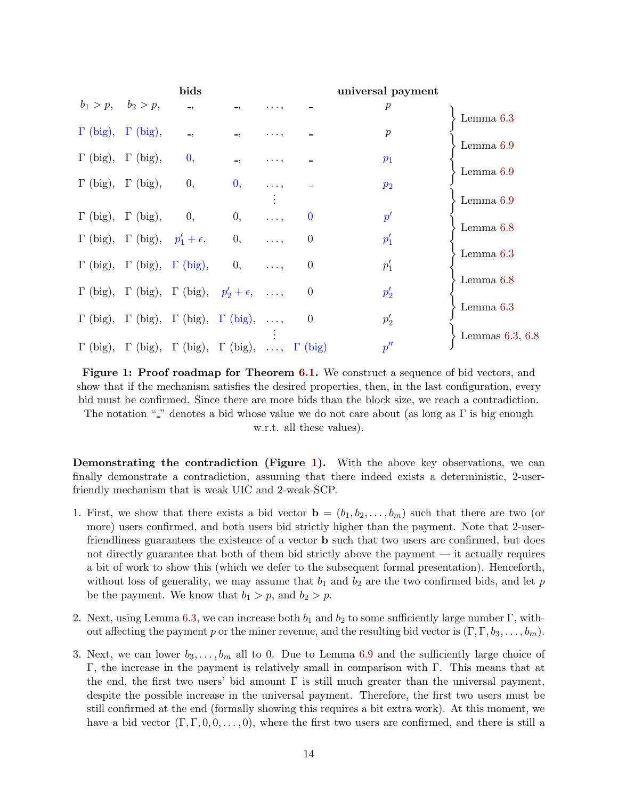<span id="page-15-0"></span>

|                                 |                                                     | bids                     |                                                                                  |            |                | universal payment  |                   |
|---------------------------------|-----------------------------------------------------|--------------------------|----------------------------------------------------------------------------------|------------|----------------|--------------------|-------------------|
| $b_1 > p, \quad b_2 > p,$       |                                                     | $\overline{\phantom{a}}$ |                                                                                  | .          |                | $\boldsymbol{p}$   | Lemma $6.3$       |
| $\Gamma$ (big), $\Gamma$ (big), |                                                     | $\rightarrow$            | ٠,                                                                               | .          |                | $\boldsymbol{p}$   |                   |
|                                 | $\Gamma$ (big), $\Gamma$ (big),                     | $\mathbf{0},$            | $\overline{\phantom{a}}$                                                         | .          |                | $p_1$              | Lemma $6.9$       |
|                                 | $\Gamma$ (big), $\Gamma$ (big),                     | 0,                       | $\mathbf{0},$                                                                    |            |                | $p_2$              | Lemma 6.9         |
|                                 | $\Gamma$ (big), $\Gamma$ (big),                     | 0,                       | $\theta$ ,                                                                       |            | $\Omega$       | $p^{\prime}$       | Lemma 6.9         |
|                                 | $\Gamma$ (big), $\Gamma$ (big), $p'_1 + \epsilon$ , |                          | 0,                                                                               | $\cdots$ . | $\theta$       | $p_1'$             | Lemma 6.8         |
|                                 | $\Gamma$ (big), $\Gamma$ (big), $\Gamma$ (big),     |                          | 0,                                                                               |            | $\theta$       | $p_1'$             | Lemma $6.3$       |
|                                 |                                                     |                          | $\Gamma$ (big), $\Gamma$ (big), $\Gamma$ (big), $p'_2 + \epsilon$ , ,            |            | $\theta$       | $p'_2$             | Lemma 6.8         |
|                                 |                                                     |                          | $\Gamma$ (big), $\Gamma$ (big), $\Gamma$ (big), $\Gamma$ (big), ,                |            | $\overline{0}$ | $p_2'$             | Lemma $6.3$       |
|                                 |                                                     |                          | $\Gamma$ (big), $\Gamma$ (big), $\Gamma$ (big), $\Gamma$ (big), , $\Gamma$ (big) |            |                | $p^{\prime\prime}$ | Lemmas $6.3, 6.8$ |

Figure 1: Proof roadmap for Theorem [6.1.](#page-33-2) We construct a sequence of bid vectors, and show that if the mechanism satisfies the desired properties, then, in the last configuration, every bid must be confirmed. Since there are more bids than the block size, we reach a contradiction. The notation " " denotes a bid whose value we do not care about (as long as  $\Gamma$  is big enough

w.r.t. all these values).

Demonstrating the contradiction (Figure [1\)](#page-15-0). With the above key observations, we can finally demonstrate a contradiction, assuming that there indeed exists a deterministic, 2-userfriendly mechanism that is weak UIC and 2-weak-SCP.

- 1. First, we show that there exists a bid vector  $\mathbf{b} = (b_1, b_2, \ldots, b_m)$  such that there are two (or more) users confirmed, and both users bid strictly higher than the payment. Note that 2-userfriendliness guarantees the existence of a vector b such that two users are confirmed, but does not directly guarantee that both of them bid strictly above the payment — it actually requires a bit of work to show this (which we defer to the subsequent formal presentation). Henceforth, without loss of generality, we may assume that  $b_1$  and  $b_2$  are the two confirmed bids, and let p be the payment. We know that  $b_1 > p$ , and  $b_2 > p$ .
- 2. Next, using Lemma [6.3,](#page-34-0) we can increase both  $b_1$  and  $b_2$  to some sufficiently large number Γ, without affecting the payment p or the miner revenue, and the resulting bid vector is  $(\Gamma, \Gamma, b_3, \ldots, b_m)$ .
- 3. Next, we can lower  $b_3, \ldots, b_m$  all to 0. Due to Lemma [6.9](#page-37-1) and the sufficiently large choice of Γ, the increase in the payment is relatively small in comparison with Γ. This means that at the end, the first two users' bid amount  $\Gamma$  is still much greater than the universal payment, despite the possible increase in the universal payment. Therefore, the first two users must be still confirmed at the end (formally showing this requires a bit extra work). At this moment, we have a bid vector  $(\Gamma, \Gamma, 0, 0, \ldots, 0)$ , where the first two users are confirmed, and there is still a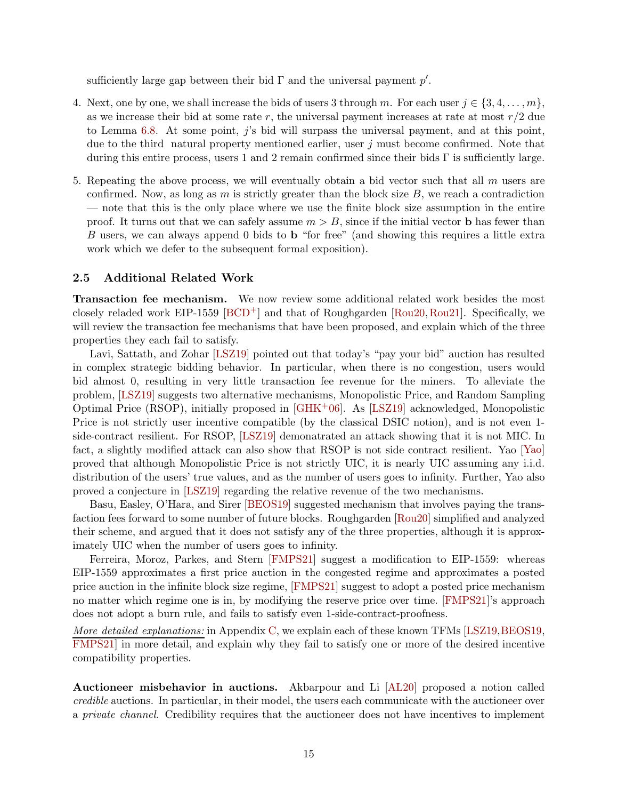sufficiently large gap between their bid  $\Gamma$  and the universal payment  $p'$ .

- 4. Next, one by one, we shall increase the bids of users 3 through m. For each user  $j \in \{3, 4, \ldots, m\}$ , as we increase their bid at some rate r, the universal payment increases at rate at most  $r/2$  due to Lemma [6.8.](#page-37-0) At some point,  $j$ 's bid will surpass the universal payment, and at this point, due to the third natural property mentioned earlier, user  $j$  must become confirmed. Note that during this entire process, users 1 and 2 remain confirmed since their bids  $\Gamma$  is sufficiently large.
- 5. Repeating the above process, we will eventually obtain a bid vector such that all  $m$  users are confirmed. Now, as long as m is strictly greater than the block size  $B$ , we reach a contradiction — note that this is the only place where we use the finite block size assumption in the entire proof. It turns out that we can safely assume  $m > B$ , since if the initial vector **b** has fewer than B users, we can always append 0 bids to b "for free" (and showing this requires a little extra work which we defer to the subsequent formal exposition).

### <span id="page-16-0"></span>2.5 Additional Related Work

Transaction fee mechanism. We now review some additional related work besides the most closely reladed work EIP-1559 [\[BCD](#page-43-1)+] and that of Roughgarden [\[Rou20,](#page-44-1)[Rou21\]](#page-45-2). Specifically, we will review the transaction fee mechanisms that have been proposed, and explain which of the three properties they each fail to satisfy.

Lavi, Sattath, and Zohar [\[LSZ19\]](#page-44-0) pointed out that today's "pay your bid" auction has resulted in complex strategic bidding behavior. In particular, when there is no congestion, users would bid almost 0, resulting in very little transaction fee revenue for the miners. To alleviate the problem, [\[LSZ19\]](#page-44-0) suggests two alternative mechanisms, Monopolistic Price, and Random Sampling Optimal Price (RSOP), initially proposed in [\[GHK](#page-44-11)+06]. As [\[LSZ19\]](#page-44-0) acknowledged, Monopolistic Price is not strictly user incentive compatible (by the classical DSIC notion), and is not even 1 side-contract resilient. For RSOP, [\[LSZ19\]](#page-44-0) demonatrated an attack showing that it is not MIC. In fact, a slightly modified attack can also show that RSOP is not side contract resilient. Yao [\[Yao\]](#page-45-1) proved that although Monopolistic Price is not strictly UIC, it is nearly UIC assuming any i.i.d. distribution of the users' true values, and as the number of users goes to infinity. Further, Yao also proved a conjecture in [\[LSZ19\]](#page-44-0) regarding the relative revenue of the two mechanisms.

Basu, Easley, O'Hara, and Sirer [\[BEOS19\]](#page-43-0) suggested mechanism that involves paying the transfaction fees forward to some number of future blocks. Roughgarden [\[Rou20\]](#page-44-1) simplified and analyzed their scheme, and argued that it does not satisfy any of the three properties, although it is approximately UIC when the number of users goes to infinity.

Ferreira, Moroz, Parkes, and Stern [\[FMPS21\]](#page-44-2) suggest a modification to EIP-1559: whereas EIP-1559 approximates a first price auction in the congested regime and approximates a posted price auction in the infinite block size regime, [\[FMPS21\]](#page-44-2) suggest to adopt a posted price mechanism no matter which regime one is in, by modifying the reserve price over time. [\[FMPS21\]](#page-44-2)'s approach does not adopt a burn rule, and fails to satisfy even 1-side-contract-proofness.

More detailed explanations: in Appendix [C,](#page-52-0) we explain each of these known TFMs [\[LSZ19,](#page-44-0) [BEOS19,](#page-43-0) [FMPS21\]](#page-44-2) in more detail, and explain why they fail to satisfy one or more of the desired incentive compatibility properties.

Auctioneer misbehavior in auctions. Akbarpour and Li [\[AL20\]](#page-43-2) proposed a notion called credible auctions. In particular, in their model, the users each communicate with the auctioneer over a private channel. Credibility requires that the auctioneer does not have incentives to implement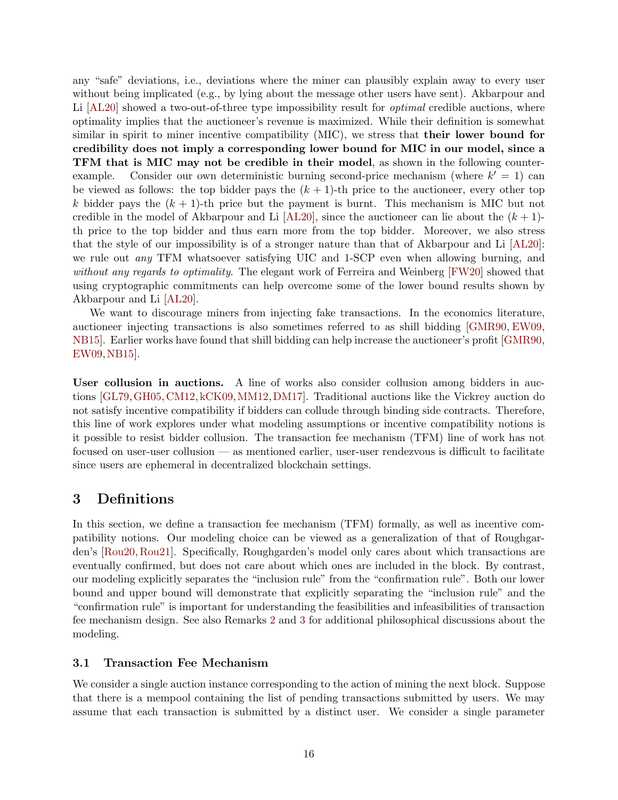any "safe" deviations, i.e., deviations where the miner can plausibly explain away to every user without being implicated (e.g., by lying about the message other users have sent). Akbarpour and Li [\[AL20\]](#page-43-2) showed a two-out-of-three type impossibility result for *optimal* credible auctions, where optimality implies that the auctioneer's revenue is maximized. While their definition is somewhat similar in spirit to miner incentive compatibility (MIC), we stress that their lower bound for credibility does not imply a corresponding lower bound for MIC in our model, since a TFM that is MIC may not be credible in their model, as shown in the following counterexample. Consider our own deterministic burning second-price mechanism (where  $k' = 1$ ) can be viewed as follows: the top bidder pays the  $(k + 1)$ -th price to the auctioneer, every other top k bidder pays the  $(k + 1)$ -th price but the payment is burnt. This mechanism is MIC but not credible in the model of Akbarpour and Li  $[AL20]$ , since the auctioneer can lie about the  $(k+1)$ th price to the top bidder and thus earn more from the top bidder. Moreover, we also stress that the style of our impossibility is of a stronger nature than that of Akbarpour and Li [\[AL20\]](#page-43-2): we rule out *any* TFM whatsoever satisfying UIC and 1-SCP even when allowing burning, and without any regards to optimality. The elegant work of Ferreira and Weinberg [\[FW20\]](#page-44-5) showed that using cryptographic commitments can help overcome some of the lower bound results shown by Akbarpour and Li [\[AL20\]](#page-43-2).

We want to discourage miners from injecting fake transactions. In the economics literature, auctioneer injecting transactions is also sometimes referred to as shill bidding [\[GMR90,](#page-44-6) [EW09,](#page-44-7) [NB15\]](#page-44-8). Earlier works have found that shill bidding can help increase the auctioneer's profit [\[GMR90,](#page-44-6) [EW09,](#page-44-7)[NB15\]](#page-44-8).

User collusion in auctions. A line of works also consider collusion among bidders in auctions [\[GL79,](#page-44-12)[GH05,](#page-44-13)[CM12,](#page-43-6)[kCK09,](#page-44-14)[MM12,](#page-44-15)[DM17\]](#page-43-7). Traditional auctions like the Vickrey auction do not satisfy incentive compatibility if bidders can collude through binding side contracts. Therefore, this line of work explores under what modeling assumptions or incentive compatibility notions is it possible to resist bidder collusion. The transaction fee mechanism (TFM) line of work has not focused on user-user collusion — as mentioned earlier, user-user rendezvous is difficult to facilitate since users are ephemeral in decentralized blockchain settings.

## <span id="page-17-0"></span>3 Definitions

In this section, we define a transaction fee mechanism (TFM) formally, as well as incentive compatibility notions. Our modeling choice can be viewed as a generalization of that of Roughgarden's [\[Rou20,](#page-44-1) [Rou21\]](#page-45-2). Specifically, Roughgarden's model only cares about which transactions are eventually confirmed, but does not care about which ones are included in the block. By contrast, our modeling explicitly separates the "inclusion rule" from the "confirmation rule". Both our lower bound and upper bound will demonstrate that explicitly separating the "inclusion rule" and the "confirmation rule" is important for understanding the feasibilities and infeasibilities of transaction fee mechanism design. See also Remarks [2](#page-19-1) and [3](#page-20-3) for additional philosophical discussions about the modeling.

## <span id="page-17-1"></span>3.1 Transaction Fee Mechanism

We consider a single auction instance corresponding to the action of mining the next block. Suppose that there is a mempool containing the list of pending transactions submitted by users. We may assume that each transaction is submitted by a distinct user. We consider a single parameter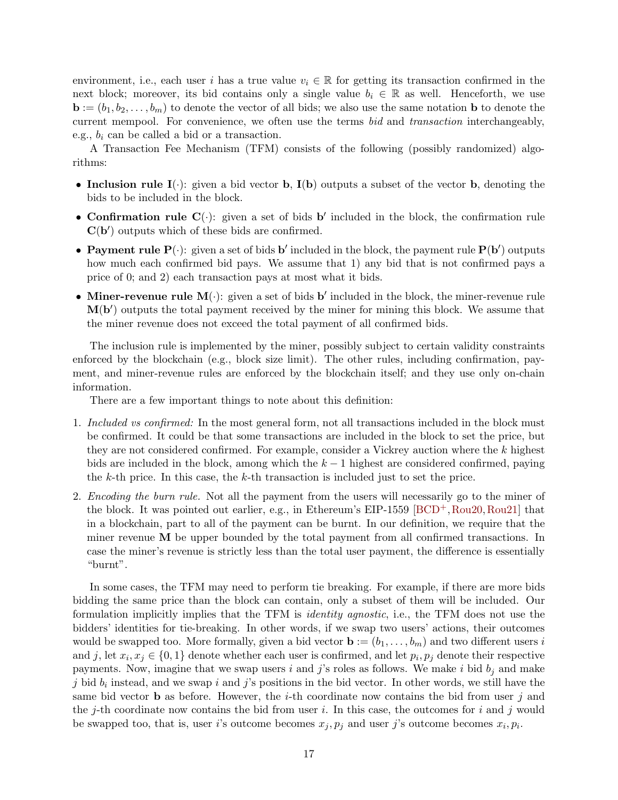environment, i.e., each user i has a true value  $v_i \in \mathbb{R}$  for getting its transaction confirmed in the next block; moreover, its bid contains only a single value  $b_i \in \mathbb{R}$  as well. Henceforth, we use  $\mathbf{b} := (b_1, b_2, \dots, b_m)$  to denote the vector of all bids; we also use the same notation **b** to denote the current mempool. For convenience, we often use the terms bid and transaction interchangeably, e.g.,  $b_i$  can be called a bid or a transaction.

A Transaction Fee Mechanism (TFM) consists of the following (possibly randomized) algorithms:

- Inclusion rule  $I(\cdot)$ : given a bid vector **b**,  $I(b)$  outputs a subset of the vector **b**, denoting the bids to be included in the block.
- Confirmation rule  $\mathbf{C}(\cdot)$ : given a set of bids b' included in the block, the confirmation rule  $C(b')$  outputs which of these bids are confirmed.
- Payment rule  $P(\cdot)$ : given a set of bids b' included in the block, the payment rule  $P(b')$  outputs how much each confirmed bid pays. We assume that 1) any bid that is not confirmed pays a price of 0; and 2) each transaction pays at most what it bids.
- Miner-revenue rule  $M(\cdot)$ : given a set of bids b' included in the block, the miner-revenue rule  $M(b')$  outputs the total payment received by the miner for mining this block. We assume that the miner revenue does not exceed the total payment of all confirmed bids.

The inclusion rule is implemented by the miner, possibly subject to certain validity constraints enforced by the blockchain (e.g., block size limit). The other rules, including confirmation, payment, and miner-revenue rules are enforced by the blockchain itself; and they use only on-chain information.

There are a few important things to note about this definition:

- 1. Included vs confirmed: In the most general form, not all transactions included in the block must be confirmed. It could be that some transactions are included in the block to set the price, but they are not considered confirmed. For example, consider a Vickrey auction where the k highest bids are included in the block, among which the  $k-1$  highest are considered confirmed, paying the  $k$ -th price. In this case, the  $k$ -th transaction is included just to set the price.
- 2. *Encoding the burn rule.* Not all the payment from the users will necessarily go to the miner of the block. It was pointed out earlier, e.g., in Ethereum's EIP-1559 [\[BCD](#page-43-1)+,[Rou20,](#page-44-1)[Rou21\]](#page-45-2) that in a blockchain, part to all of the payment can be burnt. In our definition, we require that the miner revenue  **be upper bounded by the total payment from all confirmed transactions. In** case the miner's revenue is strictly less than the total user payment, the difference is essentially "burnt".

In some cases, the TFM may need to perform tie breaking. For example, if there are more bids bidding the same price than the block can contain, only a subset of them will be included. Our formulation implicitly implies that the TFM is identity agnostic, i.e., the TFM does not use the bidders' identities for tie-breaking. In other words, if we swap two users' actions, their outcomes would be swapped too. More formally, given a bid vector  $\mathbf{b} := (b_1, \ldots, b_m)$  and two different users i and j, let  $x_i, x_j \in \{0, 1\}$  denote whether each user is confirmed, and let  $p_i, p_j$  denote their respective payments. Now, imagine that we swap users i and j's roles as follows. We make i bid  $b_j$  and make j bid  $b_i$  instead, and we swap i and j's positions in the bid vector. In other words, we still have the same bid vector **b** as before. However, the *i*-th coordinate now contains the bid from user j and the j-th coordinate now contains the bid from user i. In this case, the outcomes for i and j would be swapped too, that is, user *i*'s outcome becomes  $x_j, p_j$  and user *j*'s outcome becomes  $x_i, p_i$ .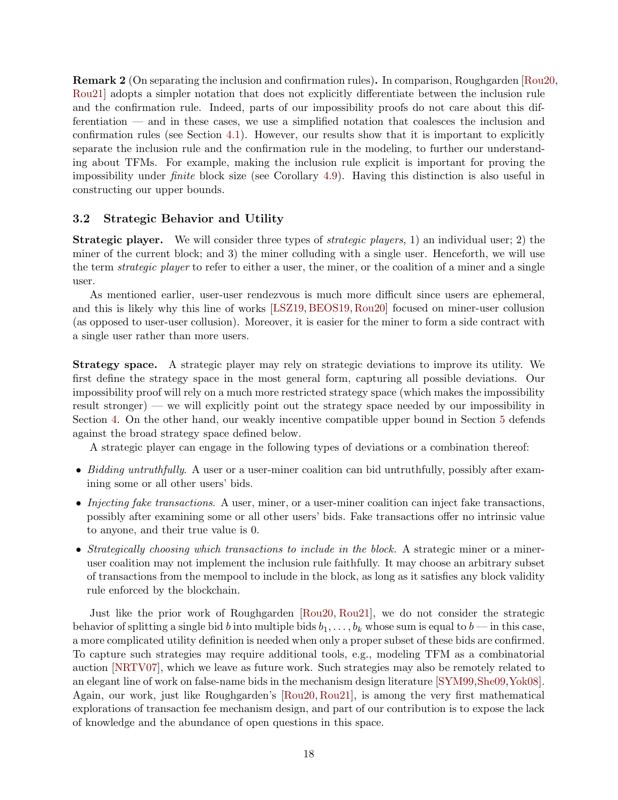<span id="page-19-1"></span>Remark 2 (On separating the inclusion and confirmation rules). In comparison, Roughgarden [\[Rou20,](#page-44-1) [Rou21\]](#page-45-2) adopts a simpler notation that does not explicitly differentiate between the inclusion rule and the confirmation rule. Indeed, parts of our impossibility proofs do not care about this differentiation — and in these cases, we use a simplified notation that coalesces the inclusion and confirmation rules (see Section [4.1\)](#page-20-2). However, our results show that it is important to explicitly separate the inclusion rule and the confirmation rule in the modeling, to further our understanding about TFMs. For example, making the inclusion rule explicit is important for proving the impossibility under finite block size (see Corollary [4.9\)](#page-26-1). Having this distinction is also useful in constructing our upper bounds.

## <span id="page-19-0"></span>3.2 Strategic Behavior and Utility

**Strategic player.** We will consider three types of *strategic players*, 1) an individual user; 2) the miner of the current block; and 3) the miner colluding with a single user. Henceforth, we will use the term strategic player to refer to either a user, the miner, or the coalition of a miner and a single user.

As mentioned earlier, user-user rendezvous is much more difficult since users are ephemeral, and this is likely why this line of works [\[LSZ19,](#page-44-0) [BEOS19,](#page-43-0) [Rou20\]](#page-44-1) focused on miner-user collusion (as opposed to user-user collusion). Moreover, it is easier for the miner to form a side contract with a single user rather than more users.

Strategy space. A strategic player may rely on strategic deviations to improve its utility. We first define the strategy space in the most general form, capturing all possible deviations. Our impossibility proof will rely on a much more restricted strategy space (which makes the impossibility result stronger) — we will explicitly point out the strategy space needed by our impossibility in Section [4.](#page-20-1) On the other hand, our weakly incentive compatible upper bound in Section [5](#page-26-0) defends against the broad strategy space defined below.

A strategic player can engage in the following types of deviations or a combination thereof:

- Bidding untruthfully. A user or a user-miner coalition can bid untruthfully, possibly after examining some or all other users' bids.
- Injecting fake transactions. A user, miner, or a user-miner coalition can inject fake transactions, possibly after examining some or all other users' bids. Fake transactions offer no intrinsic value to anyone, and their true value is 0.
- Strategically choosing which transactions to include in the block. A strategic miner or a mineruser coalition may not implement the inclusion rule faithfully. It may choose an arbitrary subset of transactions from the mempool to include in the block, as long as it satisfies any block validity rule enforced by the blockchain.

Just like the prior work of Roughgarden [\[Rou20,](#page-44-1) [Rou21\]](#page-45-2), we do not consider the strategic behavior of splitting a single bid b into multiple bids  $b_1, \ldots, b_k$  whose sum is equal to  $b$  — in this case, a more complicated utility definition is needed when only a proper subset of these bids are confirmed. To capture such strategies may require additional tools, e.g., modeling TFM as a combinatorial auction [\[NRTV07\]](#page-44-4), which we leave as future work. Such strategies may also be remotely related to an elegant line of work on false-name bids in the mechanism design literature [\[SYM99,](#page-45-4)[She09](#page-45-5)[,Yok08\]](#page-45-6). Again, our work, just like Roughgarden's [\[Rou20,](#page-44-1) [Rou21\]](#page-45-2), is among the very first mathematical explorations of transaction fee mechanism design, and part of our contribution is to expose the lack of knowledge and the abundance of open questions in this space.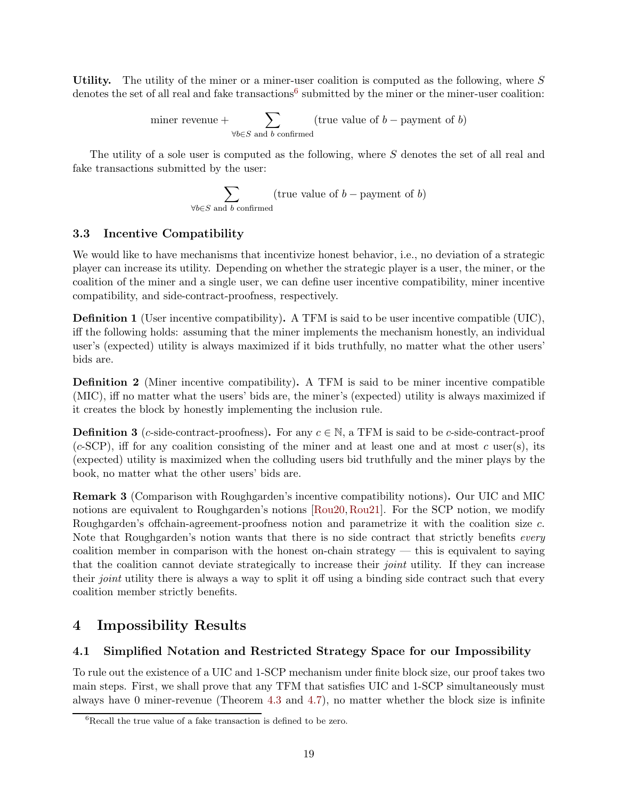Utility. The utility of the miner or a miner-user coalition is computed as the following, where  $S$ denotes the set of all real and fake transactions<sup>[6](#page-20-4)</sup> submitted by the miner or the miner-user coalition:

> miner revenue +  $\sum$  $\forall b \in S$  and b confirmed (true value of  $b$  – payment of  $b$ )

The utility of a sole user is computed as the following, where S denotes the set of all real and fake transactions submitted by the user:

$$
\sum_{\forall b \in S \text{ and } b \text{ confirmed}} (\text{true value of } b - \text{payment of } b)
$$

## <span id="page-20-0"></span>3.3 Incentive Compatibility

We would like to have mechanisms that incentivize honest behavior, i.e., no deviation of a strategic player can increase its utility. Depending on whether the strategic player is a user, the miner, or the coalition of the miner and a single user, we can define user incentive compatibility, miner incentive compatibility, and side-contract-proofness, respectively.

<span id="page-20-5"></span>Definition 1 (User incentive compatibility). A TFM is said to be user incentive compatible (UIC), iff the following holds: assuming that the miner implements the mechanism honestly, an individual user's (expected) utility is always maximized if it bids truthfully, no matter what the other users' bids are.

<span id="page-20-6"></span>Definition 2 (Miner incentive compatibility). A TFM is said to be miner incentive compatible (MIC), iff no matter what the users' bids are, the miner's (expected) utility is always maximized if it creates the block by honestly implementing the inclusion rule.

<span id="page-20-7"></span>**Definition 3** (c-side-contract-proofness). For any  $c \in \mathbb{N}$ , a TFM is said to be c-side-contract-proof  $(c\text{-SCP})$ , iff for any coalition consisting of the miner and at least one and at most c user(s), its (expected) utility is maximized when the colluding users bid truthfully and the miner plays by the book, no matter what the other users' bids are.

<span id="page-20-3"></span>Remark 3 (Comparison with Roughgarden's incentive compatibility notions). Our UIC and MIC notions are equivalent to Roughgarden's notions [\[Rou20,](#page-44-1) [Rou21\]](#page-45-2). For the SCP notion, we modify Roughgarden's offchain-agreement-proofness notion and parametrize it with the coalition size c. Note that Roughgarden's notion wants that there is no side contract that strictly benefits *every* coalition member in comparison with the honest on-chain strategy  $-$  this is equivalent to saying that the coalition cannot deviate strategically to increase their joint utility. If they can increase their *joint* utility there is always a way to split it off using a binding side contract such that every coalition member strictly benefits.

## <span id="page-20-1"></span>4 Impossibility Results

## <span id="page-20-2"></span>4.1 Simplified Notation and Restricted Strategy Space for our Impossibility

To rule out the existence of a UIC and 1-SCP mechanism under finite block size, our proof takes two main steps. First, we shall prove that any TFM that satisfies UIC and 1-SCP simultaneously must always have 0 miner-revenue (Theorem [4.3](#page-23-2) and [4.7\)](#page-24-1), no matter whether the block size is infinite

<span id="page-20-4"></span> ${}^{6}$ Recall the true value of a fake transaction is defined to be zero.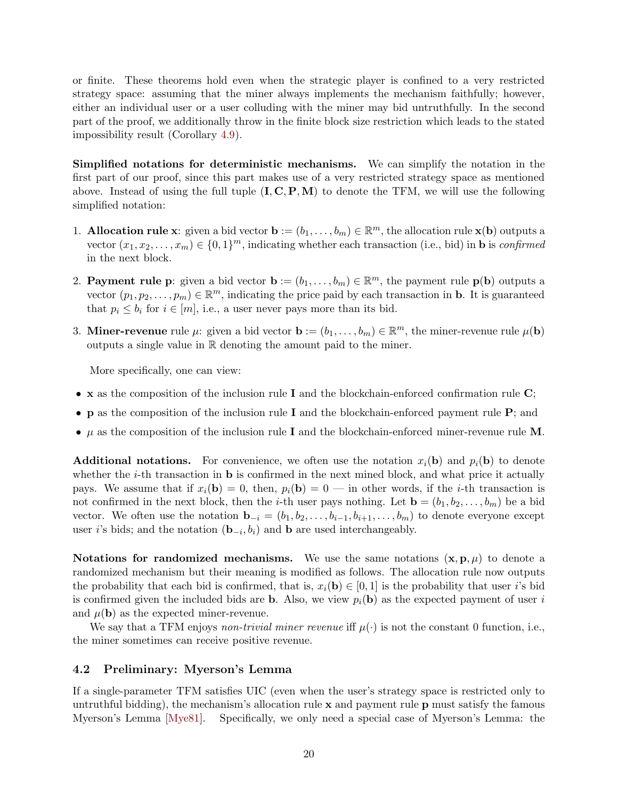or finite. These theorems hold even when the strategic player is confined to a very restricted strategy space: assuming that the miner always implements the mechanism faithfully; however, either an individual user or a user colluding with the miner may bid untruthfully. In the second part of the proof, we additionally throw in the finite block size restriction which leads to the stated impossibility result (Corollary [4.9\)](#page-26-1).

Simplified notations for deterministic mechanisms. We can simplify the notation in the first part of our proof, since this part makes use of a very restricted strategy space as mentioned above. Instead of using the full tuple  $(I, C, P, M)$  to denote the TFM, we will use the following simplified notation:

- 1. **Allocation rule x**: given a bid vector  $\mathbf{b} := (b_1, \ldots, b_m) \in \mathbb{R}^m$ , the allocation rule  $\mathbf{x}(\mathbf{b})$  outputs a vector  $(x_1, x_2, \ldots, x_m) \in \{0, 1\}^m$ , indicating whether each transaction (i.e., bid) in **b** is *confirmed* in the next block.
- 2. **Payment rule p**: given a bid vector  $\mathbf{b} := (b_1, \ldots, b_m) \in \mathbb{R}^m$ , the payment rule  $\mathbf{p}(\mathbf{b})$  outputs a vector  $(p_1, p_2, \ldots, p_m) \in \mathbb{R}^m$ , indicating the price paid by each transaction in **b**. It is guaranteed that  $p_i \leq b_i$  for  $i \in [m]$ , i.e., a user never pays more than its bid.
- 3. **Miner-revenue** rule  $\mu$ : given a bid vector  $\mathbf{b} := (b_1, \ldots, b_m) \in \mathbb{R}^m$ , the miner-revenue rule  $\mu(\mathbf{b})$ outputs a single value in R denoting the amount paid to the miner.

More specifically, one can view:

- x as the composition of the inclusion rule  $I$  and the blockchain-enforced confirmation rule  $C$ ;
- **p** as the composition of the inclusion rule **I** and the blockchain-enforced payment rule  $P$ ; and
- $\mu$  as the composition of the inclusion rule I and the blockchain-enforced miner-revenue rule M.

**Additional notations.** For convenience, we often use the notation  $x_i(\mathbf{b})$  and  $p_i(\mathbf{b})$  to denote whether the  $i$ -th transaction in **b** is confirmed in the next mined block, and what price it actually pays. We assume that if  $x_i(\mathbf{b}) = 0$ , then,  $p_i(\mathbf{b}) = 0$  — in other words, if the *i*-th transaction is not confirmed in the next block, then the *i*-th user pays nothing. Let  $\mathbf{b} = (b_1, b_2, \ldots, b_m)$  be a bid vector. We often use the notation  $\mathbf{b}_{-i} = (b_1, b_2, \ldots, b_{i-1}, b_{i+1}, \ldots, b_m)$  to denote everyone except user *i*'s bids; and the notation  $(\mathbf{b}_{-i}, b_i)$  and **b** are used interchangeably.

Notations for randomized mechanisms. We use the same notations  $(x, p, \mu)$  to denote a randomized mechanism but their meaning is modified as follows. The allocation rule now outputs the probability that each bid is confirmed, that is,  $x_i(\mathbf{b}) \in [0,1]$  is the probability that user i's bid is confirmed given the included bids are **b**. Also, we view  $p_i(\mathbf{b})$  as the expected payment of user i and  $\mu(\mathbf{b})$  as the expected miner-revenue.

We say that a TFM enjoys non-trivial miner revenue iff  $\mu(\cdot)$  is not the constant 0 function, i.e., the miner sometimes can receive positive revenue.

## <span id="page-21-0"></span>4.2 Preliminary: Myerson's Lemma

If a single-parameter TFM satisfies UIC (even when the user's strategy space is restricted only to untruthful bidding), the mechanism's allocation rule  $x$  and payment rule  $p$  must satisfy the famous Myerson's Lemma [\[Mye81\]](#page-44-3). Specifically, we only need a special case of Myerson's Lemma: the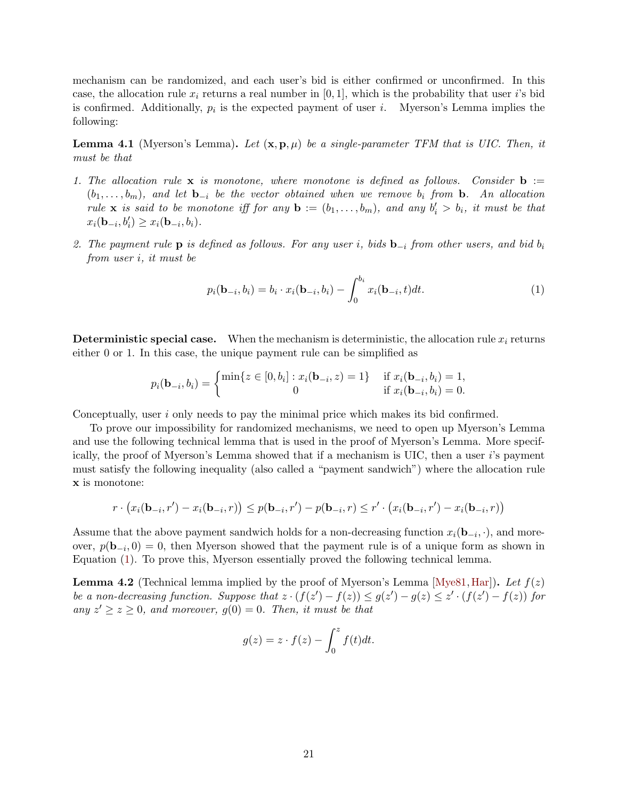mechanism can be randomized, and each user's bid is either confirmed or unconfirmed. In this case, the allocation rule  $x_i$  returns a real number in [0, 1], which is the probability that user i's bid is confirmed. Additionally,  $p_i$  is the expected payment of user *i*. Myerson's Lemma implies the following:

**Lemma 4.1** (Myerson's Lemma). Let  $(\mathbf{x}, \mathbf{p}, \mu)$  be a single-parameter TFM that is UIC. Then, it must be that

- 1. The allocation rule  $x$  is monotone, where monotone is defined as follows. Consider  $b :=$  $(b_1, \ldots, b_m)$ , and let  $\mathbf{b}_{-i}$  be the vector obtained when we remove  $b_i$  from  $\mathbf{b}$ . An allocation rule **x** is said to be monotone iff for any **b** :=  $(b_1, \ldots, b_m)$ , and any  $b'_i > b_i$ , it must be that  $x_i(\mathbf{b}_{-i}, b'_i) \ge x_i(\mathbf{b}_{-i}, b_i).$
- 2. The payment rule **p** is defined as follows. For any user i, bids  $\mathbf{b}_{-i}$  from other users, and bid  $b_i$ from user i, it must be

<span id="page-22-0"></span>
$$
p_i(\mathbf{b}_{-i}, b_i) = b_i \cdot x_i(\mathbf{b}_{-i}, b_i) - \int_0^{b_i} x_i(\mathbf{b}_{-i}, t) dt.
$$
 (1)

**Deterministic special case.** When the mechanism is deterministic, the allocation rule  $x_i$  returns either 0 or 1. In this case, the unique payment rule can be simplified as

$$
p_i(\mathbf{b}_{-i}, b_i) = \begin{cases} \min\{z \in [0, b_i] : x_i(\mathbf{b}_{-i}, z) = 1\} & \text{if } x_i(\mathbf{b}_{-i}, b_i) = 1, \\ 0 & \text{if } x_i(\mathbf{b}_{-i}, b_i) = 0. \end{cases}
$$

Conceptually, user i only needs to pay the minimal price which makes its bid confirmed.

To prove our impossibility for randomized mechanisms, we need to open up Myerson's Lemma and use the following technical lemma that is used in the proof of Myerson's Lemma. More specifically, the proof of Myerson's Lemma showed that if a mechanism is UIC, then a user i's payment must satisfy the following inequality (also called a "payment sandwich") where the allocation rule x is monotone:

$$
r \cdot (x_i(\mathbf{b}_{-i}, r') - x_i(\mathbf{b}_{-i}, r)) \le p(\mathbf{b}_{-i}, r') - p(\mathbf{b}_{-i}, r) \le r' \cdot (x_i(\mathbf{b}_{-i}, r') - x_i(\mathbf{b}_{-i}, r))
$$

Assume that the above payment sandwich holds for a non-decreasing function  $x_i(\mathbf{b}_{-i}, \cdot)$ , and moreover,  $p(\mathbf{b}_{-i},0) = 0$ , then Myerson showed that the payment rule is of a unique form as shown in Equation [\(1\)](#page-22-0). To prove this, Myerson essentially proved the following technical lemma.

<span id="page-22-1"></span>**Lemma 4.2** (Technical lemma implied by the proof of Myerson's Lemma [\[Mye81,](#page-44-3) [Har\]](#page-44-16)). Let  $f(z)$ be a non-decreasing function. Suppose that  $z \cdot (f(z') - f(z)) \le g(z') - g(z) \le z' \cdot (f(z') - f(z))$  for any  $z' \geq z \geq 0$ , and moreover,  $g(0) = 0$ . Then, it must be that

$$
g(z) = z \cdot f(z) - \int_0^z f(t)dt.
$$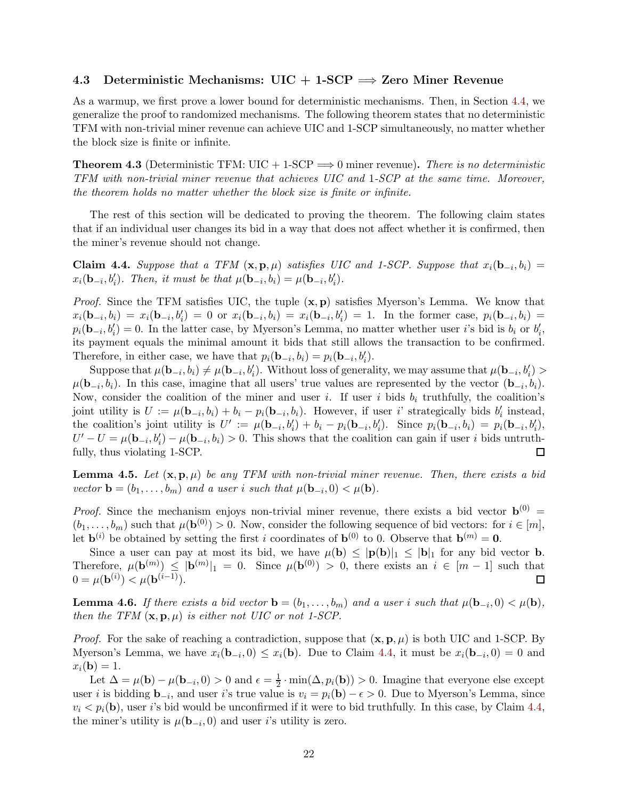### <span id="page-23-0"></span>4.3 Deterministic Mechanisms:  $UIC + 1$ -SCP  $\implies$  Zero Miner Revenue

As a warmup, we first prove a lower bound for deterministic mechanisms. Then, in Section [4.4,](#page-24-0) we generalize the proof to randomized mechanisms. The following theorem states that no deterministic TFM with non-trivial miner revenue can achieve UIC and 1-SCP simultaneously, no matter whether the block size is finite or infinite.

<span id="page-23-2"></span>**Theorem 4.3** (Deterministic TFM:  $UIC + 1-SCP \implies 0$  miner revenue). There is no deterministic TFM with non-trivial miner revenue that achieves UIC and 1-SCP at the same time. Moreover, the theorem holds no matter whether the block size is finite or infinite.

The rest of this section will be dedicated to proving the theorem. The following claim states that if an individual user changes its bid in a way that does not affect whether it is confirmed, then the miner's revenue should not change.

<span id="page-23-1"></span>**Claim 4.4.** Suppose that a TFM  $(\mathbf{x}, \mathbf{p}, \mu)$  satisfies UIC and 1-SCP. Suppose that  $x_i(\mathbf{b}_{-i}, b_i) =$  $x_i(\mathbf{b}_{-i}, b'_i)$ . Then, it must be that  $\mu(\mathbf{b}_{-i}, b_i) = \mu(\mathbf{b}_{-i}, b'_i)$ .

*Proof.* Since the TFM satisfies UIC, the tuple  $(x, p)$  satisfies Myerson's Lemma. We know that  $x_i(\mathbf{b}_{-i}, b_i) = x_i(\mathbf{b}_{-i}, b'_i) = 0$  or  $x_i(\mathbf{b}_{-i}, b_i) = x_i(\mathbf{b}_{-i}, b'_i) = 1$ . In the former case,  $p_i(\mathbf{b}_{-i}, b_i) = 1$  $p_i(\mathbf{b}_{-i}, b'_i) = 0$ . In the latter case, by Myerson's Lemma, no matter whether user i's bid is  $b_i$  or  $b'_i$ , its payment equals the minimal amount it bids that still allows the transaction to be confirmed. Therefore, in either case, we have that  $p_i(\mathbf{b}_{-i}, b_i) = p_i(\mathbf{b}_{-i}, b'_i)$ .

Suppose that  $\mu(\mathbf{b}_{-i}, b_i) \neq \mu(\mathbf{b}_{-i}, b'_i)$ . Without loss of generality, we may assume that  $\mu(\mathbf{b}_{-i}, b'_i)$  $\mu(\mathbf{b}_{-i}, b_i)$ . In this case, imagine that all users' true values are represented by the vector  $(\mathbf{b}_{-i}, b_i)$ . Now, consider the coalition of the miner and user i. If user i bids  $b_i$  truthfully, the coalition's joint utility is  $U := \mu(\mathbf{b}_{-i}, b_i) + b_i - p_i(\mathbf{b}_{-i}, b_i)$ . However, if user i' strategically bids  $b'_i$  instead, the coalition's joint utility is  $U' := \mu(\mathbf{b}_{-i}, b'_i) + b_i - p_i(\mathbf{b}_{-i}, b'_i)$ . Since  $p_i(\mathbf{b}_{-i}, b_i) = p_i(\mathbf{b}_{-i}, b'_i)$ ,  $U'-U=\mu(\mathbf{b}_{-i},b'_i)-\mu(\mathbf{b}_{-i},b_i)>0.$  This shows that the coalition can gain if user i bids untruthfully, thus violating 1-SCP. □

<span id="page-23-3"></span>**Lemma 4.5.** Let  $(\mathbf{x}, \mathbf{p}, \mu)$  be any TFM with non-trivial miner revenue. Then, there exists a bid vector **b** =  $(b_1, \ldots, b_m)$  and a user i such that  $\mu(\mathbf{b}_{-i}, 0) < \mu(\mathbf{b})$ .

*Proof.* Since the mechanism enjoys non-trivial miner revenue, there exists a bid vector  $\mathbf{b}^{(0)}$  =  $(b_1,\ldots,b_m)$  such that  $\mu(\mathbf{b}^{(0)})>0$ . Now, consider the following sequence of bid vectors: for  $i\in[m]$ , let  $\mathbf{b}^{(i)}$  be obtained by setting the first i coordinates of  $\mathbf{b}^{(0)}$  to 0. Observe that  $\mathbf{b}^{(m)} = \mathbf{0}$ .

Since a user can pay at most its bid, we have  $\mu(\mathbf{b}) \leq |\mathbf{p}(\mathbf{b})|_1 \leq |\mathbf{b}|_1$  for any bid vector **b**. Therefore,  $\mu(\mathbf{b}^{(m)}) \leq |\mathbf{b}^{(m)}|_1 = 0$ . Since  $\mu(\mathbf{b}^{(0)}) > 0$ , there exists an  $i \in [m-1]$  such that  $0 = \mu(\mathbf{b}^{(i)}) < \mu(\mathbf{b}^{(i-1)}).$ □

<span id="page-23-4"></span>**Lemma 4.6.** If there exists a bid vector  $\mathbf{b} = (b_1, \ldots, b_m)$  and a user i such that  $\mu(\mathbf{b}_{-i}, 0) < \mu(\mathbf{b})$ , then the TFM  $(\mathbf{x}, \mathbf{p}, \mu)$  is either not UIC or not 1-SCP.

*Proof.* For the sake of reaching a contradiction, suppose that  $(\mathbf{x}, \mathbf{p}, \mu)$  is both UIC and 1-SCP. By Myerson's Lemma, we have  $x_i(\mathbf{b}_{-i},0) \leq x_i(\mathbf{b})$ . Due to Claim [4.4,](#page-23-1) it must be  $x_i(\mathbf{b}_{-i},0) = 0$  and  $x_i(\mathbf{b}) = 1.$ 

Let  $\Delta = \mu(\mathbf{b}) - \mu(\mathbf{b}_{-i}, 0) > 0$  and  $\epsilon = \frac{1}{2} \cdot \min(\Delta, p_i(\mathbf{b})) > 0$ . Imagine that everyone else except user *i* is bidding  $\mathbf{b}_{-i}$ , and user *i*'s true value is  $v_i = p_i(\mathbf{b}) - \epsilon > 0$ . Due to Myerson's Lemma, since  $v_i < p_i(\mathbf{b})$ , user i's bid would be unconfirmed if it were to bid truthfully. In this case, by Claim [4.4,](#page-23-1) the miner's utility is  $\mu(\mathbf{b}_{-i}, 0)$  and user *i*'s utility is zero.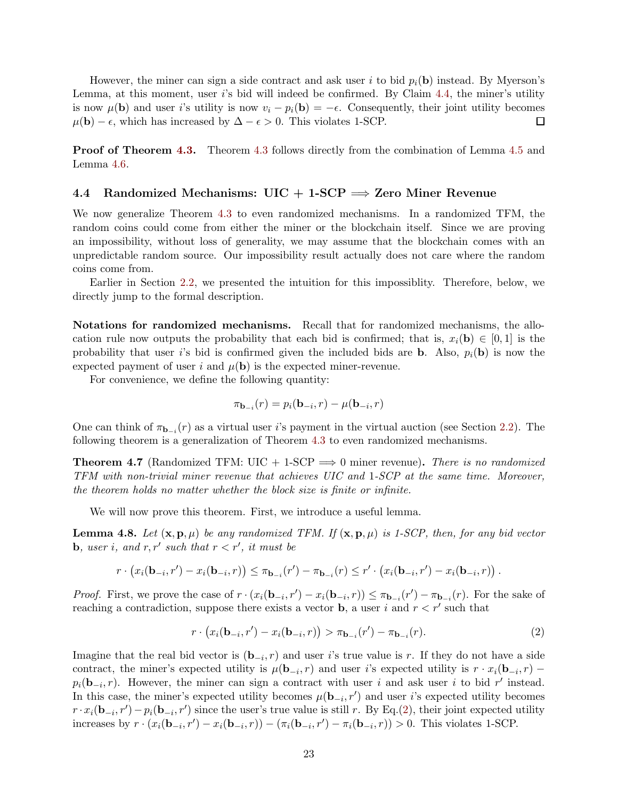However, the miner can sign a side contract and ask user i to bid  $p_i(\mathbf{b})$  instead. By Myerson's Lemma, at this moment, user i's bid will indeed be confirmed. By Claim [4.4,](#page-23-1) the miner's utility is now  $\mu(\mathbf{b})$  and user i's utility is now  $v_i - p_i(\mathbf{b}) = -\epsilon$ . Consequently, their joint utility becomes  $\mu(\mathbf{b}) - \epsilon$ , which has increased by  $\Delta - \epsilon > 0$ . This violates 1-SCP.  $\Box$ 

**Proof of Theorem [4.3.](#page-23-2)** Theorem [4.3](#page-23-2) follows directly from the combination of Lemma [4.5](#page-23-3) and Lemma [4.6.](#page-23-4)

### <span id="page-24-0"></span>4.4 Randomized Mechanisms:  $UIC + 1$ -SCP  $\implies$  Zero Miner Revenue

We now generalize Theorem [4.3](#page-23-2) to even randomized mechanisms. In a randomized TFM, the random coins could come from either the miner or the blockchain itself. Since we are proving an impossibility, without loss of generality, we may assume that the blockchain comes with an unpredictable random source. Our impossibility result actually does not care where the random coins come from.

Earlier in Section [2.2,](#page-9-0) we presented the intuition for this impossiblity. Therefore, below, we directly jump to the formal description.

Notations for randomized mechanisms. Recall that for randomized mechanisms, the allocation rule now outputs the probability that each bid is confirmed; that is,  $x_i(\mathbf{b}) \in [0,1]$  is the probability that user is bid is confirmed given the included bids are **b**. Also,  $p_i(\mathbf{b})$  is now the expected payment of user i and  $\mu(\mathbf{b})$  is the expected miner-revenue.

For convenience, we define the following quantity:

$$
\pi_{\mathbf{b}_{-i}}(r) = p_i(\mathbf{b}_{-i}, r) - \mu(\mathbf{b}_{-i}, r)
$$

One can think of  $\pi_{\mathbf{b}_{-i}}(r)$  as a virtual user i's payment in the virtual auction (see Section [2.2\)](#page-9-0). The following theorem is a generalization of Theorem [4.3](#page-23-2) to even randomized mechanisms.

<span id="page-24-1"></span>**Theorem 4.7** (Randomized TFM: UIC + 1-SCP  $\implies$  0 miner revenue). There is no randomized TFM with non-trivial miner revenue that achieves UIC and 1-SCP at the same time. Moreover, the theorem holds no matter whether the block size is finite or infinite.

We will now prove this theorem. First, we introduce a useful lemma.

<span id="page-24-3"></span>**Lemma 4.8.** Let  $(\mathbf{x}, \mathbf{p}, \mu)$  be any randomized TFM. If  $(\mathbf{x}, \mathbf{p}, \mu)$  is 1-SCP, then, for any bid vector **b**, user i, and  $r, r'$  such that  $r < r'$ , it must be

$$
r \cdot (x_i(\mathbf{b}_{-i}, r') - x_i(\mathbf{b}_{-i}, r)) \leq \pi_{\mathbf{b}_{-i}}(r') - \pi_{\mathbf{b}_{-i}}(r) \leq r' \cdot (x_i(\mathbf{b}_{-i}, r') - x_i(\mathbf{b}_{-i}, r)) .
$$

*Proof.* First, we prove the case of  $r \cdot (x_i(\mathbf{b}_{-i}, r') - x_i(\mathbf{b}_{-i}, r)) \leq \pi_{\mathbf{b}_{-i}}(r') - \pi_{\mathbf{b}_{-i}}(r)$ . For the sake of reaching a contradiction, suppose there exists a vector **b**, a user i and  $r < r'$  such that

<span id="page-24-2"></span>
$$
r \cdot (x_i(\mathbf{b}_{-i}, r') - x_i(\mathbf{b}_{-i}, r)) > \pi_{\mathbf{b}_{-i}}(r') - \pi_{\mathbf{b}_{-i}}(r).
$$
 (2)

Imagine that the real bid vector is  $(\mathbf{b}_{-i}, r)$  and user i's true value is r. If they do not have a side contract, the miner's expected utility is  $\mu(\mathbf{b}_{-i}, r)$  and user i's expected utility is  $r \cdot x_i(\mathbf{b}_{-i}, r)$  –  $p_i(\mathbf{b}_{-i}, r)$ . However, the miner can sign a contract with user i and ask user i to bid r' instead. In this case, the miner's expected utility becomes  $\mu(\mathbf{b}_{-i}, r')$  and user i's expected utility becomes  $r \cdot x_i(\mathbf{b}_{-i}, r') - p_i(\mathbf{b}_{-i}, r')$  since the user's true value is still r. By Eq.[\(2\)](#page-24-2), their joint expected utility increases by  $r \cdot (x_i(\mathbf{b}_{-i}, r') - x_i(\mathbf{b}_{-i}, r)) - (\pi_i(\mathbf{b}_{-i}, r') - \pi_i(\mathbf{b}_{-i}, r)) > 0$ . This violates 1-SCP.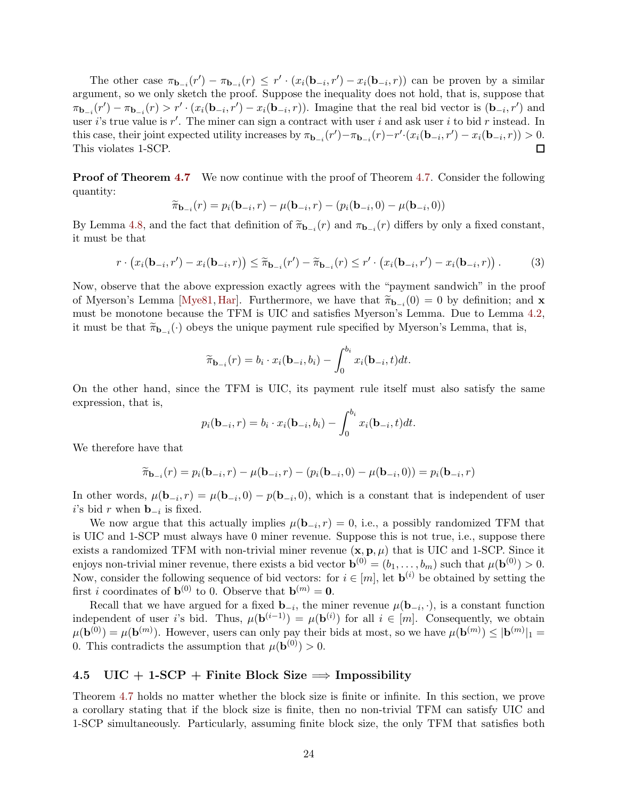The other case  $\pi_{\mathbf{b}_{-i}}(r') - \pi_{\mathbf{b}_{-i}}(r) \leq r' \cdot (x_i(\mathbf{b}_{-i}, r') - x_i(\mathbf{b}_{-i}, r))$  can be proven by a similar argument, so we only sketch the proof. Suppose the inequality does not hold, that is, suppose that  $\pi_{\mathbf{b}_{-i}}(r') - \pi_{\mathbf{b}_{-i}}(r) > r' \cdot (x_i(\mathbf{b}_{-i}, r') - x_i(\mathbf{b}_{-i}, r)).$  Imagine that the real bid vector is  $(\mathbf{b}_{-i}, r')$  and user i's true value is  $r'$ . The miner can sign a contract with user i and ask user i to bid r instead. In this case, their joint expected utility increases by  $\pi_{\mathbf{b}_{-i}}(r') - \pi_{\mathbf{b}_{-i}}(r) - r' \cdot (x_i(\mathbf{b}_{-i}, r') - x_i(\mathbf{b}_{-i}, r)) > 0$ .  $\Box$ This violates 1-SCP.

**Proof of Theorem [4.7](#page-24-1)** We now continue with the proof of Theorem [4.7.](#page-24-1) Consider the following quantity:

$$
\widetilde{\pi}_{\mathbf{b}_{-i}}(r) = p_i(\mathbf{b}_{-i}, r) - \mu(\mathbf{b}_{-i}, r) - (p_i(\mathbf{b}_{-i}, 0) - \mu(\mathbf{b}_{-i}, 0))
$$

By Lemma [4.8,](#page-24-3) and the fact that definition of  $\widetilde{\pi}_{\mathbf{b}_{-i}}(r)$  and  $\pi_{\mathbf{b}_{-i}}(r)$  differs by only a fixed constant, it must be that

$$
r \cdot \left(x_i(\mathbf{b}_{-i}, r') - x_i(\mathbf{b}_{-i}, r)\right) \leq \widetilde{\pi}_{\mathbf{b}_{-i}}(r') - \widetilde{\pi}_{\mathbf{b}_{-i}}(r) \leq r' \cdot \left(x_i(\mathbf{b}_{-i}, r') - x_i(\mathbf{b}_{-i}, r)\right). \tag{3}
$$

Now, observe that the above expression exactly agrees with the "payment sandwich" in the proof of Myerson's Lemma [\[Mye81,](#page-44-3) [Har\]](#page-44-16). Furthermore, we have that  $\tilde{\pi}_{\mathbf{b}-i}(0) = 0$  by definition; and  $\mathbf{x}$ must be monotone because the TFM is UIC and satisfies Myerson's Lemma. Due to Lemma [4.2,](#page-22-1) it must be that  $\widetilde{\pi}_{\mathbf{b}_{-i}}(\cdot)$  obeys the unique payment rule specified by Myerson's Lemma, that is,

$$
\widetilde{\pi}_{\mathbf{b}_{-i}}(r) = b_i \cdot x_i(\mathbf{b}_{-i}, b_i) - \int_0^{b_i} x_i(\mathbf{b}_{-i}, t) dt.
$$

On the other hand, since the TFM is UIC, its payment rule itself must also satisfy the same expression, that is,

$$
p_i(\mathbf{b}_{-i},r) = b_i \cdot x_i(\mathbf{b}_{-i},b_i) - \int_0^{b_i} x_i(\mathbf{b}_{-i},t)dt.
$$

We therefore have that

$$
\widetilde{\pi}_{\mathbf{b}_{-i}}(r) = p_i(\mathbf{b}_{-i}, r) - \mu(\mathbf{b}_{-i}, r) - (p_i(\mathbf{b}_{-i}, 0) - \mu(\mathbf{b}_{-i}, 0)) = p_i(\mathbf{b}_{-i}, r)
$$

In other words,  $\mu(\mathbf{b}_{-i},r) = \mu(\mathbf{b}_{-i},0) - p(\mathbf{b}_{-i},0)$ , which is a constant that is independent of user *i*'s bid *r* when **b**<sub> $-i$ </sub> is fixed.

We now argue that this actually implies  $\mu(\mathbf{b}_{-i}, r) = 0$ , i.e., a possibly randomized TFM that is UIC and 1-SCP must always have 0 miner revenue. Suppose this is not true, i.e., suppose there exists a randomized TFM with non-trivial miner revenue  $(\mathbf{x}, \mathbf{p}, \mu)$  that is UIC and 1-SCP. Since it enjoys non-trivial miner revenue, there exists a bid vector  $\mathbf{b}^{(0)} = (b_1, \ldots, b_m)$  such that  $\mu(\mathbf{b}^{(0)}) > 0$ . Now, consider the following sequence of bid vectors: for  $i \in [m]$ , let  $\mathbf{b}^{(i)}$  be obtained by setting the first *i* coordinates of **b**<sup>(0)</sup> to 0. Observe that **b**<sup>(m)</sup> = **0**.

Recall that we have argued for a fixed  $\mathbf{b}_{-i}$ , the miner revenue  $\mu(\mathbf{b}_{-i}, \cdot)$ , is a constant function independent of user i's bid. Thus,  $\mu(\mathbf{b}^{(i-1)}) = \mu(\mathbf{b}^{(i)})$  for all  $i \in [m]$ . Consequently, we obtain  $\mu(\mathbf{b}^{(0)}) = \mu(\mathbf{b}^{(m)})$ . However, users can only pay their bids at most, so we have  $\mu(\mathbf{b}^{(m)}) \leq |\mathbf{b}^{(m)}|_1 =$ 0. This contradicts the assumption that  $\mu(\mathbf{b}^{(0)}) > 0$ .

### <span id="page-25-0"></span>4.5 UIC + 1-SCP + Finite Block Size  $\Rightarrow$  Impossibility

Theorem [4.7](#page-24-1) holds no matter whether the block size is finite or infinite. In this section, we prove a corollary stating that if the block size is finite, then no non-trivial TFM can satisfy UIC and 1-SCP simultaneously. Particularly, assuming finite block size, the only TFM that satisfies both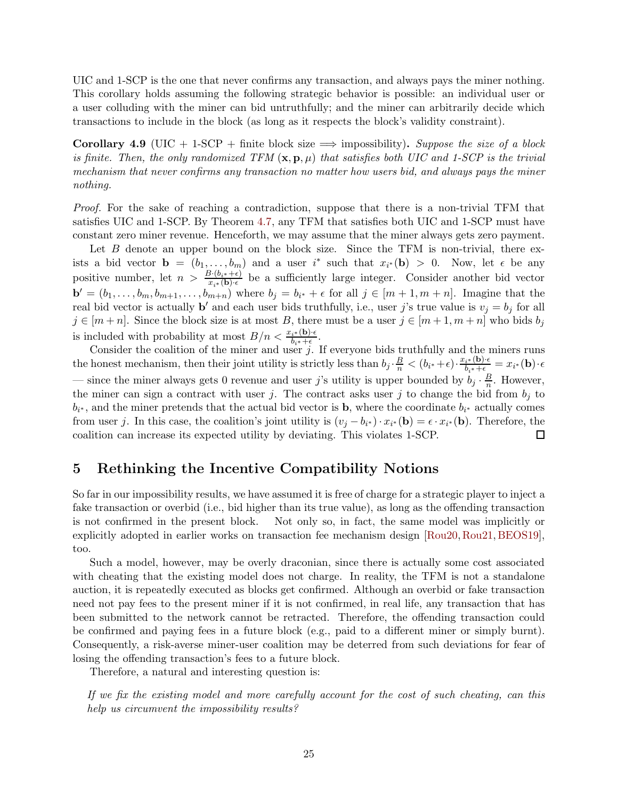UIC and 1-SCP is the one that never confirms any transaction, and always pays the miner nothing. This corollary holds assuming the following strategic behavior is possible: an individual user or a user colluding with the miner can bid untruthfully; and the miner can arbitrarily decide which transactions to include in the block (as long as it respects the block's validity constraint).

<span id="page-26-1"></span>Corollary 4.9 (UIC + 1-SCP + finite block size  $\implies$  impossibility). Suppose the size of a block is finite. Then, the only randomized TFM  $(\mathbf{x}, \mathbf{p}, \mu)$  that satisfies both UIC and 1-SCP is the trivial mechanism that never confirms any transaction no matter how users bid, and always pays the miner nothing.

Proof. For the sake of reaching a contradiction, suppose that there is a non-trivial TFM that satisfies UIC and 1-SCP. By Theorem [4.7,](#page-24-1) any TFM that satisfies both UIC and 1-SCP must have constant zero miner revenue. Henceforth, we may assume that the miner always gets zero payment.

Let  $B$  denote an upper bound on the block size. Since the TFM is non-trivial, there exists a bid vector  $\mathbf{b} = (b_1, \ldots, b_m)$  and a user i<sup>\*</sup> such that  $x_{i^*}(\mathbf{b}) > 0$ . Now, let  $\epsilon$  be any positive number, let  $n > \frac{B \cdot (b_{i^*} + \epsilon)}{x_{i^*}(\mathbf{b}) \cdot \epsilon}$  be a sufficiently large integer. Consider another bid vector  $\mathbf{b}' = (b_1, \ldots, b_m, b_{m+1}, \ldots, b_{m+n})$  where  $b_j = b_{i^*} + \epsilon$  for all  $j \in [m+1, m+n]$ . Imagine that the real bid vector is actually **b'** and each user bids truthfully, i.e., user j's true value is  $v_j = b_j$  for all  $j \in [m+n]$ . Since the block size is at most B, there must be a user  $j \in [m+1, m+n]$  who bids  $b_j$ is included with probability at most  $B/n < \frac{x_{i^*}(\mathbf{b}) \cdot \epsilon}{b_{i^*} + \epsilon}$ .

Consider the coalition of the miner and user  $j$ . If everyone bids truthfully and the miners runs the honest mechanism, then their joint utility is strictly less than  $b_j \cdot \frac{B}{n} < (b_{i^*} + \epsilon) \cdot \frac{x_{i^*}(\mathbf{b}) \cdot \epsilon}{b_{i^*} + \epsilon} = x_{i^*}(\mathbf{b}) \cdot \epsilon$ — since the miner always gets 0 revenue and user j's utility is upper bounded by  $b_j \cdot \frac{B}{n}$  $\frac{B}{n}$ . However, the miner can sign a contract with user j. The contract asks user j to change the bid from  $b_j$  to  $b_{i^*}$ , and the miner pretends that the actual bid vector is **b**, where the coordinate  $b_{i^*}$  actually comes from user j. In this case, the coalition's joint utility is  $(v_j - b_{i^*}) \cdot x_{i^*}(\mathbf{b}) = \epsilon \cdot x_{i^*}(\mathbf{b})$ . Therefore, the coalition can increase its expected utility by deviating. This violates 1-SCP. □

## <span id="page-26-0"></span>5 Rethinking the Incentive Compatibility Notions

So far in our impossibility results, we have assumed it is free of charge for a strategic player to inject a fake transaction or overbid (i.e., bid higher than its true value), as long as the offending transaction is not confirmed in the present block. Not only so, in fact, the same model was implicitly or explicitly adopted in earlier works on transaction fee mechanism design [\[Rou20,](#page-44-1) [Rou21,](#page-45-2) [BEOS19\]](#page-43-0), too.

Such a model, however, may be overly draconian, since there is actually some cost associated with cheating that the existing model does not charge. In reality, the TFM is not a standalone auction, it is repeatedly executed as blocks get confirmed. Although an overbid or fake transaction need not pay fees to the present miner if it is not confirmed, in real life, any transaction that has been submitted to the network cannot be retracted. Therefore, the offending transaction could be confirmed and paying fees in a future block (e.g., paid to a different miner or simply burnt). Consequently, a risk-averse miner-user coalition may be deterred from such deviations for fear of losing the offending transaction's fees to a future block.

Therefore, a natural and interesting question is:

If we fix the existing model and more carefully account for the cost of such cheating, can this help us circumvent the impossibility results?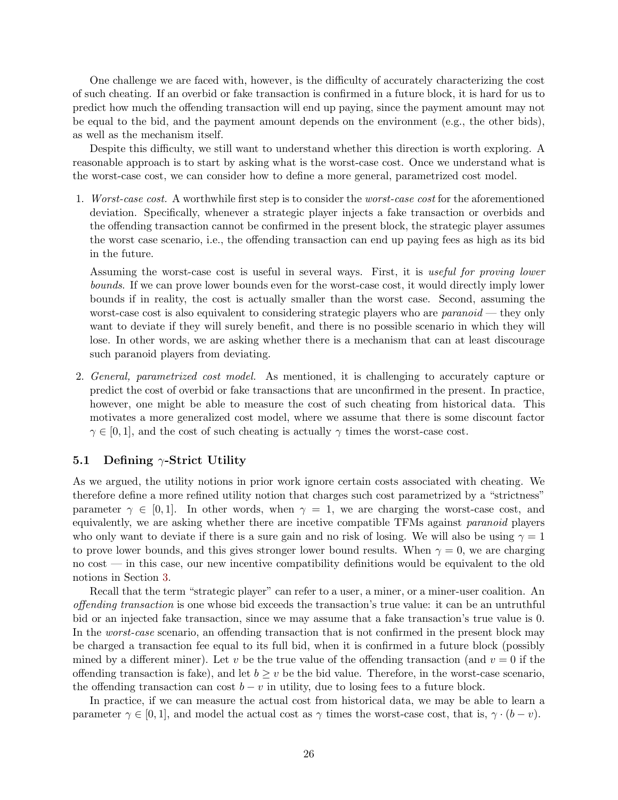One challenge we are faced with, however, is the difficulty of accurately characterizing the cost of such cheating. If an overbid or fake transaction is confirmed in a future block, it is hard for us to predict how much the offending transaction will end up paying, since the payment amount may not be equal to the bid, and the payment amount depends on the environment (e.g., the other bids), as well as the mechanism itself.

Despite this difficulty, we still want to understand whether this direction is worth exploring. A reasonable approach is to start by asking what is the worst-case cost. Once we understand what is the worst-case cost, we can consider how to define a more general, parametrized cost model.

1. Worst-case cost. A worthwhile first step is to consider the worst-case cost for the aforementioned deviation. Specifically, whenever a strategic player injects a fake transaction or overbids and the offending transaction cannot be confirmed in the present block, the strategic player assumes the worst case scenario, i.e., the offending transaction can end up paying fees as high as its bid in the future.

Assuming the worst-case cost is useful in several ways. First, it is useful for proving lower bounds. If we can prove lower bounds even for the worst-case cost, it would directly imply lower bounds if in reality, the cost is actually smaller than the worst case. Second, assuming the worst-case cost is also equivalent to considering strategic players who are *paranoid* — they only want to deviate if they will surely benefit, and there is no possible scenario in which they will lose. In other words, we are asking whether there is a mechanism that can at least discourage such paranoid players from deviating.

2. General, parametrized cost model. As mentioned, it is challenging to accurately capture or predict the cost of overbid or fake transactions that are unconfirmed in the present. In practice, however, one might be able to measure the cost of such cheating from historical data. This motivates a more generalized cost model, where we assume that there is some discount factor  $\gamma \in [0, 1]$ , and the cost of such cheating is actually  $\gamma$  times the worst-case cost.

## <span id="page-27-0"></span>5.1 Defining  $\gamma$ -Strict Utility

As we argued, the utility notions in prior work ignore certain costs associated with cheating. We therefore define a more refined utility notion that charges such cost parametrized by a "strictness" parameter  $\gamma \in [0,1]$ . In other words, when  $\gamma = 1$ , we are charging the worst-case cost, and equivalently, we are asking whether there are incetive compatible TFMs against paranoid players who only want to deviate if there is a sure gain and no risk of losing. We will also be using  $\gamma = 1$ to prove lower bounds, and this gives stronger lower bound results. When  $\gamma = 0$ , we are charging no cost — in this case, our new incentive compatibility definitions would be equivalent to the old notions in Section [3.](#page-17-0)

Recall that the term "strategic player" can refer to a user, a miner, or a miner-user coalition. An offending transaction is one whose bid exceeds the transaction's true value: it can be an untruthful bid or an injected fake transaction, since we may assume that a fake transaction's true value is 0. In the *worst-case* scenario, an offending transaction that is not confirmed in the present block may be charged a transaction fee equal to its full bid, when it is confirmed in a future block (possibly mined by a different miner). Let v be the true value of the offending transaction (and  $v = 0$  if the offending transaction is fake), and let  $b \geq v$  be the bid value. Therefore, in the worst-case scenario, the offending transaction can cost  $b - v$  in utility, due to losing fees to a future block.

In practice, if we can measure the actual cost from historical data, we may be able to learn a parameter  $\gamma \in [0, 1]$ , and model the actual cost as  $\gamma$  times the worst-case cost, that is,  $\gamma \cdot (b - v)$ .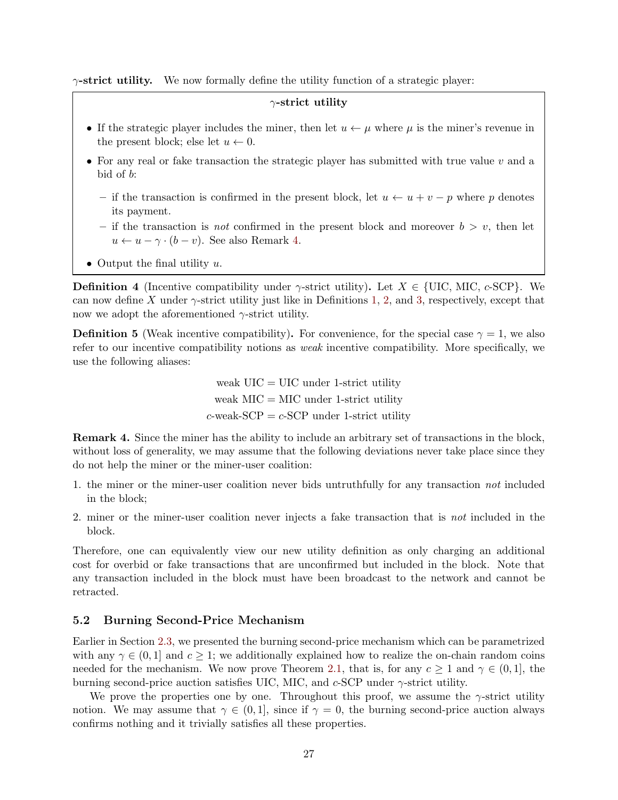$\gamma$ -strict utility. We now formally define the utility function of a strategic player:

## $\gamma$ -strict utility

- If the strategic player includes the miner, then let  $u \leftarrow \mu$  where  $\mu$  is the miner's revenue in the present block; else let  $u \leftarrow 0$ .
- For any real or fake transaction the strategic player has submitted with true value  $v$  and a bid of b:
	- if the transaction is confirmed in the present block, let  $u \leftarrow u + v p$  where p denotes its payment.
	- if the transaction is *not* confirmed in the present block and moreover  $b > v$ , then let  $u \leftarrow u - \gamma \cdot (b - v)$ . See also Remark [4.](#page-28-1)
- Output the final utility  $u$ .

**Definition 4** (Incentive compatibility under  $\gamma$ -strict utility). Let  $X \in \{\text{UIC}, \text{MIC}, c\text{-SCP}\}\.$  We can now define X under  $\gamma$ -strict utility just like in Definitions [1,](#page-20-5) [2,](#page-20-6) and [3,](#page-20-7) respectively, except that now we adopt the aforementioned  $\gamma$ -strict utility.

**Definition 5** (Weak incentive compatibility). For convenience, for the special case  $\gamma = 1$ , we also refer to our incentive compatibility notions as weak incentive compatibility. More specifically, we use the following aliases:

> weak  $UIC = UIC$  under 1-strict utility weak  $MIC = MIC$  under 1-strict utility  $c$ -weak-SCP =  $c$ -SCP under 1-strict utility

Remark 4. Since the miner has the ability to include an arbitrary set of transactions in the block, without loss of generality, we may assume that the following deviations never take place since they do not help the miner or the miner-user coalition:

- <span id="page-28-1"></span>1. the miner or the miner-user coalition never bids untruthfully for any transaction not included in the block;
- 2. miner or the miner-user coalition never injects a fake transaction that is not included in the block.

Therefore, one can equivalently view our new utility definition as only charging an additional cost for overbid or fake transactions that are unconfirmed but included in the block. Note that any transaction included in the block must have been broadcast to the network and cannot be retracted.

#### <span id="page-28-0"></span>5.2 Burning Second-Price Mechanism

Earlier in Section [2.3,](#page-11-1) we presented the burning second-price mechanism which can be parametrized with any  $\gamma \in (0,1]$  and  $c \geq 1$ ; we additionally explained how to realize the on-chain random coins needed for the mechanism. We now prove Theorem [2.1,](#page-13-1) that is, for any  $c \ge 1$  and  $\gamma \in (0,1]$ , the burning second-price auction satisfies UIC, MIC, and  $c$ -SCP under  $\gamma$ -strict utility.

We prove the properties one by one. Throughout this proof, we assume the  $\gamma$ -strict utility notion. We may assume that  $\gamma \in (0, 1]$ , since if  $\gamma = 0$ , the burning second-price auction always confirms nothing and it trivially satisfies all these properties.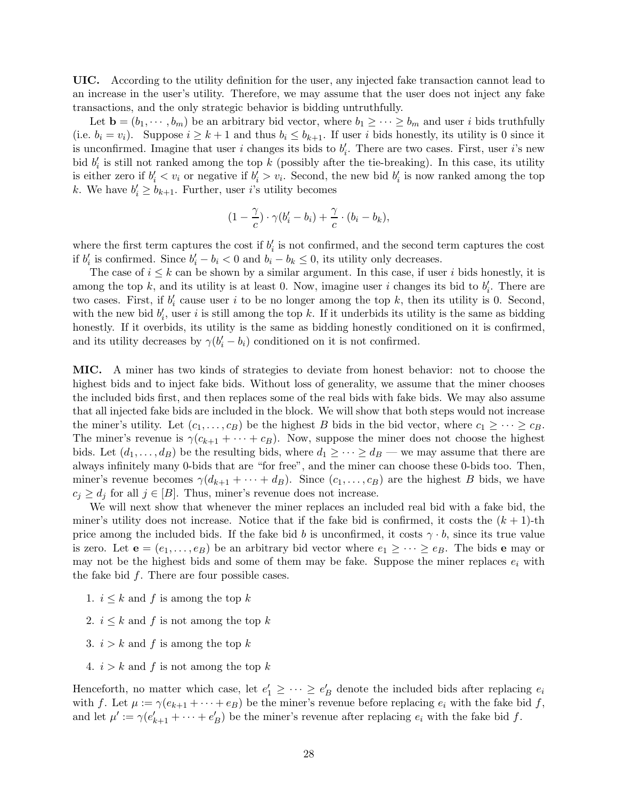UIC. According to the utility definition for the user, any injected fake transaction cannot lead to an increase in the user's utility. Therefore, we may assume that the user does not inject any fake transactions, and the only strategic behavior is bidding untruthfully.

Let  $\mathbf{b} = (b_1, \dots, b_m)$  be an arbitrary bid vector, where  $b_1 \geq \dots \geq b_m$  and user i bids truthfully (i.e.  $b_i = v_i$ ). Suppose  $i \geq k+1$  and thus  $b_i \leq b_{k+1}$ . If user i bids honestly, its utility is 0 since it is unconfirmed. Imagine that user i changes its bids to  $b'_i$ . There are two cases. First, user i's new bid  $b_i'$  is still not ranked among the top k (possibly after the tie-breaking). In this case, its utility is either zero if  $b'_i < v_i$  or negative if  $b'_i > v_i$ . Second, the new bid  $b'_i$  is now ranked among the top k. We have  $b'_i \geq b_{k+1}$ . Further, user *i*'s utility becomes

$$
(1-\frac{\gamma}{c})\cdot\gamma(b'_i-b_i)+\frac{\gamma}{c}\cdot(b_i-b_k),
$$

where the first term captures the cost if  $b_i'$  is not confirmed, and the second term captures the cost if  $b'_i$  is confirmed. Since  $b'_i - b_i < 0$  and  $b_i - b_k \leq 0$ , its utility only decreases.

The case of  $i \leq k$  can be shown by a similar argument. In this case, if user i bids honestly, it is among the top k, and its utility is at least 0. Now, imagine user i changes its bid to  $b_i'$ . There are two cases. First, if  $b_i'$  cause user i to be no longer among the top k, then its utility is 0. Second, with the new bid  $b'_i$ , user i is still among the top k. If it underbids its utility is the same as bidding honestly. If it overbids, its utility is the same as bidding honestly conditioned on it is confirmed, and its utility decreases by  $\gamma(b'_i - b_i)$  conditioned on it is not confirmed.

MIC. A miner has two kinds of strategies to deviate from honest behavior: not to choose the highest bids and to inject fake bids. Without loss of generality, we assume that the miner chooses the included bids first, and then replaces some of the real bids with fake bids. We may also assume that all injected fake bids are included in the block. We will show that both steps would not increase the miner's utility. Let  $(c_1, \ldots, c_B)$  be the highest B bids in the bid vector, where  $c_1 \geq \cdots \geq c_B$ . The miner's revenue is  $\gamma(c_{k+1} + \cdots + c_B)$ . Now, suppose the miner does not choose the highest bids. Let  $(d_1, \ldots, d_B)$  be the resulting bids, where  $d_1 \geq \cdots \geq d_B$  — we may assume that there are always infinitely many 0-bids that are "for free", and the miner can choose these 0-bids too. Then, miner's revenue becomes  $\gamma(d_{k+1} + \cdots + d_B)$ . Since  $(c_1, \ldots, c_B)$  are the highest B bids, we have  $c_j \geq d_j$  for all  $j \in [B]$ . Thus, miner's revenue does not increase.

We will next show that whenever the miner replaces an included real bid with a fake bid, the miner's utility does not increase. Notice that if the fake bid is confirmed, it costs the  $(k + 1)$ -th price among the included bids. If the fake bid b is unconfirmed, it costs  $\gamma \cdot b$ , since its true value is zero. Let  $e = (e_1, \ldots, e_B)$  be an arbitrary bid vector where  $e_1 \geq \cdots \geq e_B$ . The bids e may or may not be the highest bids and some of them may be fake. Suppose the miner replaces  $e_i$  with the fake bid  $f$ . There are four possible cases.

- 1.  $i \leq k$  and f is among the top k
- 2.  $i \leq k$  and f is not among the top k
- 3.  $i > k$  and f is among the top k
- 4.  $i > k$  and f is not among the top k

Henceforth, no matter which case, let  $e'_1 \geq \cdots \geq e'_B$  denote the included bids after replacing  $e_i$ with f. Let  $\mu := \gamma(e_{k+1} + \cdots + e_B)$  be the miner's revenue before replacing  $e_i$  with the fake bid f, and let  $\mu' := \gamma(e'_{k+1} + \cdots + e'_{B})$  be the miner's revenue after replacing  $e_i$  with the fake bid f.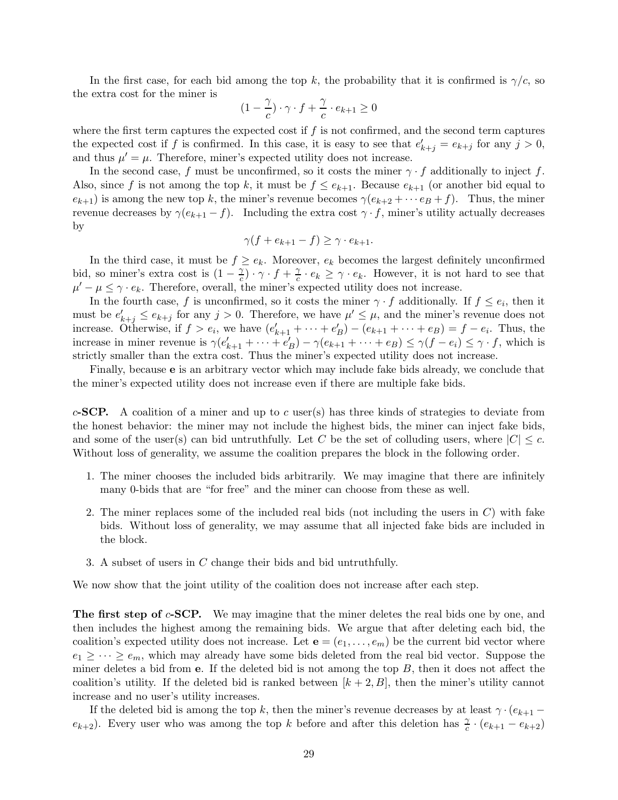In the first case, for each bid among the top k, the probability that it is confirmed is  $\gamma/c$ , so the extra cost for the miner is

$$
(1 - \frac{\gamma}{c}) \cdot \gamma \cdot f + \frac{\gamma}{c} \cdot e_{k+1} \ge 0
$$

where the first term captures the expected cost if  $f$  is not confirmed, and the second term captures the expected cost if f is confirmed. In this case, it is easy to see that  $e'_{k+j} = e_{k+j}$  for any  $j > 0$ , and thus  $\mu' = \mu$ . Therefore, miner's expected utility does not increase.

In the second case, f must be unconfirmed, so it costs the miner  $\gamma \cdot f$  additionally to inject f. Also, since f is not among the top k, it must be  $f \le e_{k+1}$ . Because  $e_{k+1}$  (or another bid equal to  $e_{k+1}$ ) is among the new top k, the miner's revenue becomes  $\gamma(e_{k+2} + \cdots e_B + f)$ . Thus, the miner revenue decreases by  $\gamma(e_{k+1}-f)$ . Including the extra cost  $\gamma \cdot f$ , miner's utility actually decreases by

$$
\gamma(f + e_{k+1} - f) \ge \gamma \cdot e_{k+1}.
$$

In the third case, it must be  $f \geq e_k$ . Moreover,  $e_k$  becomes the largest definitely unconfirmed bid, so miner's extra cost is  $(1 - \frac{2}{c})$  $(\frac{\gamma}{c}) \cdot \gamma \cdot f + \frac{\gamma}{c}$  $\frac{\gamma}{c} \cdot e_k \geq \gamma \cdot e_k$ . However, it is not hard to see that  $\mu' - \mu \leq \gamma \cdot e_k$ . Therefore, overall, the miner's expected utility does not increase.

In the fourth case, f is unconfirmed, so it costs the miner  $\gamma \cdot f$  additionally. If  $f \leq e_i$ , then it must be  $e'_{k+j} \leq e_{k+j}$  for any  $j > 0$ . Therefore, we have  $\mu' \leq \mu$ , and the miner's revenue does not increase. Otherwise, if  $f > e_i$ , we have  $(e'_{k+1} + \cdots + e'_{B}) - (e_{k+1} + \cdots + e_{B}) = f - e_i$ . Thus, the increase in miner revenue is  $\gamma(e'_{k+1} + \cdots + e'_{B}) - \gamma(e_{k+1} + \cdots + e_{B}) \leq \gamma(f - e_i) \leq \gamma \cdot f$ , which is strictly smaller than the extra cost. Thus the miner's expected utility does not increase.

Finally, because e is an arbitrary vector which may include fake bids already, we conclude that the miner's expected utility does not increase even if there are multiple fake bids.

c-SCP. A coalition of a miner and up to c user(s) has three kinds of strategies to deviate from the honest behavior: the miner may not include the highest bids, the miner can inject fake bids, and some of the user(s) can bid untruthfully. Let C be the set of colluding users, where  $|C| \leq c$ . Without loss of generality, we assume the coalition prepares the block in the following order.

- 1. The miner chooses the included bids arbitrarily. We may imagine that there are infinitely many 0-bids that are "for free" and the miner can choose from these as well.
- 2. The miner replaces some of the included real bids (not including the users in  $C$ ) with fake bids. Without loss of generality, we may assume that all injected fake bids are included in the block.
- 3. A subset of users in C change their bids and bid untruthfully.

We now show that the joint utility of the coalition does not increase after each step.

The first step of  $c$ -SCP. We may imagine that the miner deletes the real bids one by one, and then includes the highest among the remaining bids. We argue that after deleting each bid, the coalition's expected utility does not increase. Let  $\mathbf{e} = (e_1, \ldots, e_m)$  be the current bid vector where  $e_1 \geq \cdots \geq e_m$ , which may already have some bids deleted from the real bid vector. Suppose the miner deletes a bid from  $e$ . If the deleted bid is not among the top  $B$ , then it does not affect the coalition's utility. If the deleted bid is ranked between  $[k+2, B]$ , then the miner's utility cannot increase and no user's utility increases.

If the deleted bid is among the top k, then the miner's revenue decreases by at least  $\gamma \cdot (e_{k+1} (e_{k+2})$ . Every user who was among the top k before and after this deletion has  $\frac{\gamma}{c} \cdot (e_{k+1} - e_{k+2})$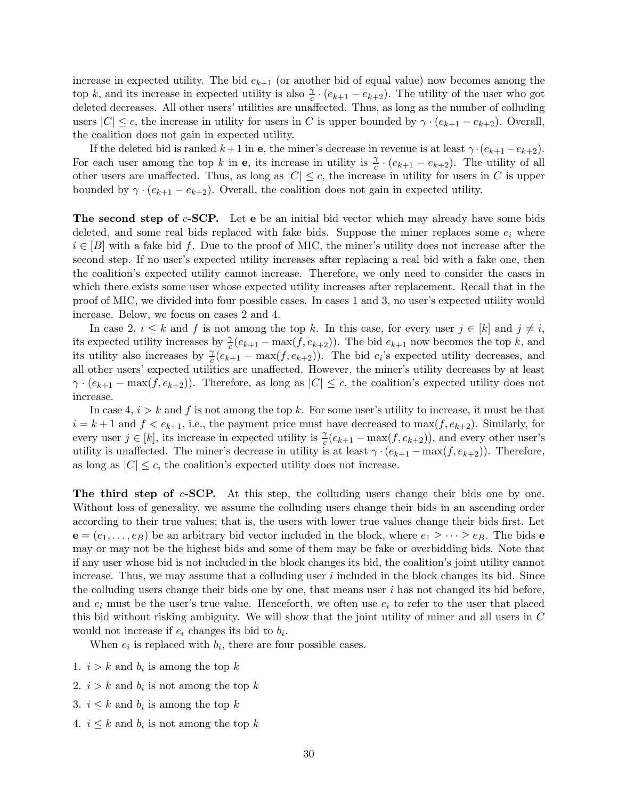increase in expected utility. The bid  $e_{k+1}$  (or another bid of equal value) now becomes among the top k, and its increase in expected utility is also  $\frac{\gamma}{c} \cdot (e_{k+1} - e_{k+2})$ . The utility of the user who got deleted decreases. All other users' utilities are unaffected. Thus, as long as the number of colluding users  $|C| \leq c$ , the increase in utility for users in C is upper bounded by  $\gamma \cdot (e_{k+1} - e_{k+2})$ . Overall, the coalition does not gain in expected utility.

If the deleted bid is ranked  $k+1$  in e, the miner's decrease in revenue is at least  $\gamma \cdot (e_{k+1} - e_{k+2})$ . For each user among the top k in **e**, its increase in utility is  $\frac{\gamma}{c} \cdot (e_{k+1} - e_{k+2})$ . The utility of all other users are unaffected. Thus, as long as  $|C| \leq c$ , the increase in utility for users in C is upper bounded by  $\gamma \cdot (e_{k+1} - e_{k+2})$ . Overall, the coalition does not gain in expected utility.

The second step of  $c$ -SCP. Let e be an initial bid vector which may already have some bids deleted, and some real bids replaced with fake bids. Suppose the miner replaces some  $e_i$  where  $i \in [B]$  with a fake bid f. Due to the proof of MIC, the miner's utility does not increase after the second step. If no user's expected utility increases after replacing a real bid with a fake one, then the coalition's expected utility cannot increase. Therefore, we only need to consider the cases in which there exists some user whose expected utility increases after replacement. Recall that in the proof of MIC, we divided into four possible cases. In cases 1 and 3, no user's expected utility would increase. Below, we focus on cases 2 and 4.

In case 2,  $i \leq k$  and f is not among the top k. In this case, for every user  $j \in [k]$  and  $j \neq i$ , its expected utility increases by  $\frac{\gamma}{c}(e_{k+1} - \max(f, e_{k+2}))$ . The bid  $e_{k+1}$  now becomes the top k, and its utility also increases by  $\frac{\gamma}{c}(e_{k+1} - \max(f, e_{k+2}))$ . The bid  $e_i$ 's expected utility decreases, and all other users' expected utilities are unaffected. However, the miner's utility decreases by at least  $\gamma \cdot (e_{k+1} - \max(f, e_{k+2}))$ . Therefore, as long as  $|C| \leq c$ , the coalition's expected utility does not increase.

In case 4,  $i > k$  and f is not among the top k. For some user's utility to increase, it must be that  $i = k + 1$  and  $f < e_{k+1}$ , i.e., the payment price must have decreased to  $\max(f, e_{k+2})$ . Similarly, for every user  $j \in [k]$ , its increase in expected utility is  $\frac{\gamma}{c}(e_{k+1} - \max(f, e_{k+2}))$ , and every other user's utility is unaffected. The miner's decrease in utility is at least  $\gamma \cdot (e_{k+1} - \max(f, e_{k+2}))$ . Therefore, as long as  $|C| \leq c$ , the coalition's expected utility does not increase.

The third step of  $c$ -SCP. At this step, the colluding users change their bids one by one. Without loss of generality, we assume the colluding users change their bids in an ascending order according to their true values; that is, the users with lower true values change their bids first. Let  ${\bf e} = (e_1, \ldots, e_B)$  be an arbitrary bid vector included in the block, where  $e_1 \geq \cdots \geq e_B$ . The bids  ${\bf e}$ may or may not be the highest bids and some of them may be fake or overbidding bids. Note that if any user whose bid is not included in the block changes its bid, the coalition's joint utility cannot increase. Thus, we may assume that a colluding user  $i$  included in the block changes its bid. Since the colluding users change their bids one by one, that means user  $i$  has not changed its bid before, and  $e_i$  must be the user's true value. Henceforth, we often use  $e_i$  to refer to the user that placed this bid without risking ambiguity. We will show that the joint utility of miner and all users in C would not increase if  $e_i$  changes its bid to  $b_i$ .

When  $e_i$  is replaced with  $b_i$ , there are four possible cases.

- 1.  $i > k$  and  $b_i$  is among the top k
- 2.  $i > k$  and  $b_i$  is not among the top k
- 3.  $i \leq k$  and  $b_i$  is among the top k
- 4.  $i \leq k$  and  $b_i$  is not among the top k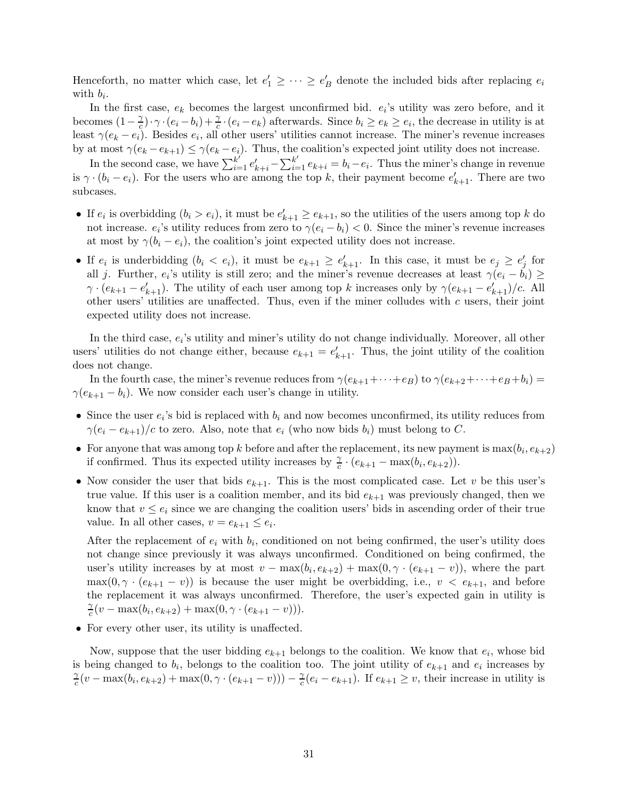Henceforth, no matter which case, let  $e'_1 \geq \cdots \geq e'_B$  denote the included bids after replacing  $e_i$ with  $b_i$ .

In the first case,  $e_k$  becomes the largest unconfirmed bid.  $e_i$ 's utility was zero before, and it becomes  $(1-\frac{\gamma}{c})$  $\frac{\gamma}{c}$ .  $\gamma \cdot (e_i - b_i) + \frac{\gamma}{c} \cdot (e_i - e_k)$  afterwards. Since  $b_i \ge e_k \ge e_i$ , the decrease in utility is at least  $\gamma(e_k - e_i)$ . Besides  $e_i$ , all other users' utilities cannot increase. The miner's revenue increases by at most  $\gamma(e_k - e_{k+1}) \leq \gamma(e_k - e_i)$ . Thus, the coalition's expected joint utility does not increase.

In the second case, we have  $\sum_{i=1}^{k'} e'_{k+i} - \sum_{i=1}^{k'} e_{k+i} = b_i - e_i$ . Thus the miner's change in revenue is  $\gamma \cdot (b_i - e_i)$ . For the users who are among the top k, their payment become  $e'_{k+1}$ . There are two subcases.

- If  $e_i$  is overbidding  $(b_i > e_i)$ , it must be  $e'_{k+1} \ge e_{k+1}$ , so the utilities of the users among top k do not increase.  $e_i$ 's utility reduces from zero to  $\gamma(e_i - b_i) < 0$ . Since the miner's revenue increases at most by  $\gamma(b_i - e_i)$ , the coalition's joint expected utility does not increase.
- If  $e_i$  is underbidding  $(b_i < e_i)$ , it must be  $e_{k+1} \ge e'_{k+1}$ . In this case, it must be  $e_j \ge e'_j$  for all j. Further,  $e_i$ 's utility is still zero; and the miner's revenue decreases at least  $\gamma(e_i - b_i) \ge$  $\gamma \cdot (e_{k+1} - e'_{k+1})$ . The utility of each user among top k increases only by  $\gamma(e_{k+1} - e'_{k+1})/c$ . All other users' utilities are unaffected. Thus, even if the miner colludes with  $c$  users, their joint expected utility does not increase.

In the third case,  $e_i$ 's utility and miner's utility do not change individually. Moreover, all other users' utilities do not change either, because  $e_{k+1} = e'_{k+1}$ . Thus, the joint utility of the coalition does not change.

In the fourth case, the miner's revenue reduces from  $\gamma(e_{k+1}+\cdots+e_B)$  to  $\gamma(e_{k+2}+\cdots+e_B +b_i)$  $\gamma(e_{k+1} - b_i)$ . We now consider each user's change in utility.

- Since the user  $e_i$ 's bid is replaced with  $b_i$  and now becomes unconfirmed, its utility reduces from  $\gamma(e_i - e_{k+1})/c$  to zero. Also, note that  $e_i$  (who now bids  $b_i$ ) must belong to C.
- For anyone that was among top k before and after the replacement, its new payment is  $\max(b_i, e_{k+2})$ if confirmed. Thus its expected utility increases by  $\frac{\gamma}{c} \cdot (e_{k+1} - \max(b_i, e_{k+2}))$ .
- Now consider the user that bids  $e_{k+1}$ . This is the most complicated case. Let v be this user's true value. If this user is a coalition member, and its bid  $e_{k+1}$  was previously changed, then we know that  $v \leq e_i$  since we are changing the coalition users' bids in ascending order of their true value. In all other cases,  $v = e_{k+1} \leq e_i$ .

After the replacement of  $e_i$  with  $b_i$ , conditioned on not being confirmed, the user's utility does not change since previously it was always unconfirmed. Conditioned on being confirmed, the user's utility increases by at most  $v - \max(b_i, e_{k+2}) + \max(0, \gamma \cdot (e_{k+1} - v))$ , where the part  $\max(0, \gamma \cdot (e_{k+1} - v))$  is because the user might be overbidding, i.e.,  $v < e_{k+1}$ , and before the replacement it was always unconfirmed. Therefore, the user's expected gain in utility is γ  $c_c^{\gamma}(v - \max(b_i, e_{k+2}) + \max(0, \gamma \cdot (e_{k+1} - v))).$ 

• For every other user, its utility is unaffected.

Now, suppose that the user bidding  $e_{k+1}$  belongs to the coalition. We know that  $e_i$ , whose bid is being changed to  $b_i$ , belongs to the coalition too. The joint utility of  $e_{k+1}$  and  $e_i$  increases by γ  $\frac{\gamma}{c}(v - \max(b_i, e_{k+2}) + \max(0, \gamma \cdot (e_{k+1} - v))) - \frac{\gamma}{c})$  $c_c^{\gamma}(e_i - e_{k+1})$ . If  $e_{k+1} \geq v$ , their increase in utility is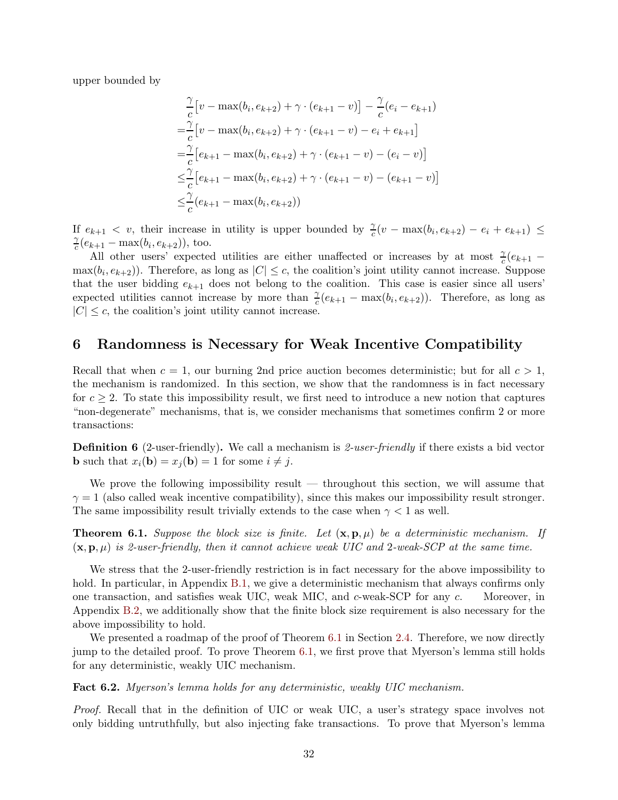upper bounded by

$$
\frac{\gamma}{c} [v - \max(b_i, e_{k+2}) + \gamma \cdot (e_{k+1} - v)] - \frac{\gamma}{c} (e_i - e_{k+1})
$$
  
\n
$$
= \frac{\gamma}{c} [v - \max(b_i, e_{k+2}) + \gamma \cdot (e_{k+1} - v) - e_i + e_{k+1}]
$$
  
\n
$$
= \frac{\gamma}{c} [e_{k+1} - \max(b_i, e_{k+2}) + \gamma \cdot (e_{k+1} - v) - (e_i - v)]
$$
  
\n
$$
\leq \frac{\gamma}{c} [e_{k+1} - \max(b_i, e_{k+2}) + \gamma \cdot (e_{k+1} - v) - (e_{k+1} - v)]
$$
  
\n
$$
\leq \frac{\gamma}{c} (e_{k+1} - \max(b_i, e_{k+2}))
$$

If  $e_{k+1} < v$ , their increase in utility is upper bounded by  $\frac{\gamma}{c}(v - \max(b_i, e_{k+2}) - e_i + e_{k+1}) \le$ γ  $c_c^{\gamma}(e_{k+1} - \max(b_i, e_{k+2})), \text{ too.}$ 

All other users' expected utilities are either unaffected or increases by at most  $\frac{\gamma}{c}(e_{k+1} \max(b_i, e_{k+2})$ ). Therefore, as long as  $|C| \leq c$ , the coalition's joint utility cannot increase. Suppose that the user bidding  $e_{k+1}$  does not belong to the coalition. This case is easier since all users' expected utilities cannot increase by more than  $\frac{\gamma}{c}(e_{k+1} - \max(b_i, e_{k+2}))$ . Therefore, as long as  $|C| \leq c$ , the coalition's joint utility cannot increase.

## <span id="page-33-0"></span>6 Randomness is Necessary for Weak Incentive Compatibility

Recall that when  $c = 1$ , our burning 2nd price auction becomes deterministic; but for all  $c > 1$ , the mechanism is randomized. In this section, we show that the randomness is in fact necessary for  $c \geq 2$ . To state this impossibility result, we first need to introduce a new notion that captures "non-degenerate" mechanisms, that is, we consider mechanisms that sometimes confirm 2 or more transactions:

**Definition 6** (2-user-friendly). We call a mechanism is 2-user-friendly if there exists a bid vector **b** such that  $x_i(\mathbf{b}) = x_j(\mathbf{b}) = 1$  for some  $i \neq j$ .

We prove the following impossibility result — throughout this section, we will assume that  $\gamma = 1$  (also called weak incentive compatibility), since this makes our impossibility result stronger. The same impossibility result trivially extends to the case when  $\gamma < 1$  as well.

<span id="page-33-2"></span>**Theorem 6.1.** Suppose the block size is finite. Let  $(\mathbf{x}, \mathbf{p}, \mu)$  be a deterministic mechanism. If  $(\mathbf{x}, \mathbf{p}, \mu)$  is 2-user-friendly, then it cannot achieve weak UIC and 2-weak-SCP at the same time.

We stress that the 2-user-friendly restriction is in fact necessary for the above impossibility to hold. In particular, in Appendix [B.1,](#page-47-0) we give a deterministic mechanism that always confirms only one transaction, and satisfies weak UIC, weak MIC, and c-weak-SCP for any c. Moreover, in Appendix [B.2,](#page-48-0) we additionally show that the finite block size requirement is also necessary for the above impossibility to hold.

We presented a roadmap of the proof of Theorem [6.1](#page-33-2) in Section [2.4.](#page-13-0) Therefore, we now directly jump to the detailed proof. To prove Theorem [6.1,](#page-33-2) we first prove that Myerson's lemma still holds for any deterministic, weakly UIC mechanism.

<span id="page-33-1"></span>Fact 6.2. Myerson's lemma holds for any deterministic, weakly UIC mechanism.

Proof. Recall that in the definition of UIC or weak UIC, a user's strategy space involves not only bidding untruthfully, but also injecting fake transactions. To prove that Myerson's lemma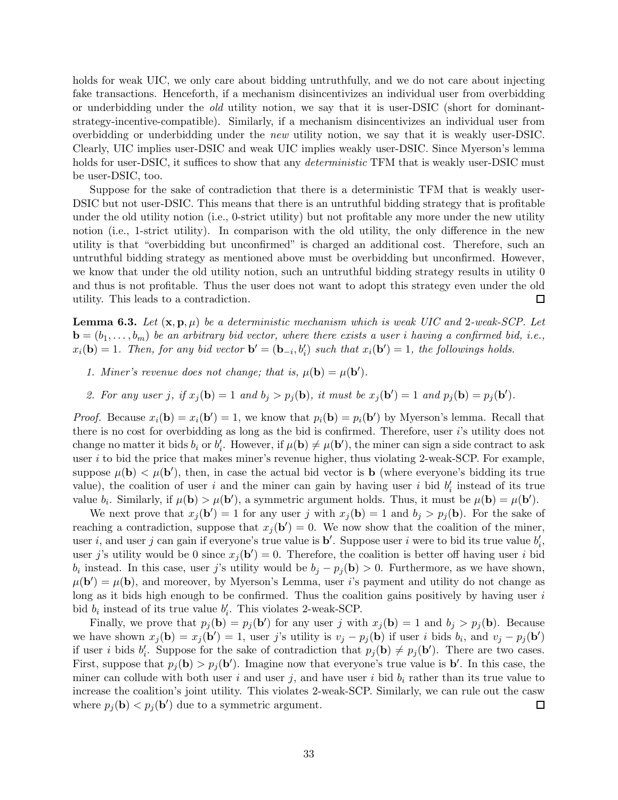holds for weak UIC, we only care about bidding untruthfully, and we do not care about injecting fake transactions. Henceforth, if a mechanism disincentivizes an individual user from overbidding or underbidding under the old utility notion, we say that it is user-DSIC (short for dominantstrategy-incentive-compatible). Similarly, if a mechanism disincentivizes an individual user from overbidding or underbidding under the new utility notion, we say that it is weakly user-DSIC. Clearly, UIC implies user-DSIC and weak UIC implies weakly user-DSIC. Since Myerson's lemma holds for user-DSIC, it suffices to show that any *deterministic* TFM that is weakly user-DSIC must be user-DSIC, too.

Suppose for the sake of contradiction that there is a deterministic TFM that is weakly user-DSIC but not user-DSIC. This means that there is an untruthful bidding strategy that is profitable under the old utility notion (i.e., 0-strict utility) but not profitable any more under the new utility notion (i.e., 1-strict utility). In comparison with the old utility, the only difference in the new utility is that "overbidding but unconfirmed" is charged an additional cost. Therefore, such an untruthful bidding strategy as mentioned above must be overbidding but unconfirmed. However, we know that under the old utility notion, such an untruthful bidding strategy results in utility 0 and thus is not profitable. Thus the user does not want to adopt this strategy even under the old utility. This leads to a contradiction.  $\Box$ 

<span id="page-34-0"></span>**Lemma 6.3.** Let  $(\mathbf{x}, \mathbf{p}, \mu)$  be a deterministic mechanism which is weak UIC and 2-weak-SCP. Let  $\mathbf{b} = (b_1, \ldots, b_m)$  be an arbitrary bid vector, where there exists a user i having a confirmed bid, i.e.,  $x_i(\mathbf{b}) = 1$ . Then, for any bid vector  $\mathbf{b}' = (\mathbf{b}_{-i}, b'_i)$  such that  $x_i(\mathbf{b}') = 1$ , the followings holds.

- 1. Miner's revenue does not change; that is,  $\mu(\mathbf{b}) = \mu(\mathbf{b}')$ .
- 2. For any user j, if  $x_j(\mathbf{b}) = 1$  and  $b_j > p_j(\mathbf{b})$ , it must be  $x_j(\mathbf{b}') = 1$  and  $p_j(\mathbf{b}) = p_j(\mathbf{b}')$ .

*Proof.* Because  $x_i(\mathbf{b}) = x_i(\mathbf{b}') = 1$ , we know that  $p_i(\mathbf{b}) = p_i(\mathbf{b}')$  by Myerson's lemma. Recall that there is no cost for overbidding as long as the bid is confirmed. Therefore, user i's utility does not change no matter it bids  $b_i$  or  $b'_i$ . However, if  $\mu(\mathbf{b}) \neq \mu(\mathbf{b}')$ , the miner can sign a side contract to ask user  $i$  to bid the price that makes miner's revenue higher, thus violating 2-weak-SCP. For example, suppose  $\mu(\mathbf{b}) < \mu(\mathbf{b}')$ , then, in case the actual bid vector is **b** (where everyone's bidding its true value), the coalition of user i and the miner can gain by having user i bid  $b'_i$  instead of its true value  $b_i$ . Similarly, if  $\mu(\mathbf{b}) > \mu(\mathbf{b}')$ , a symmetric argument holds. Thus, it must be  $\mu(\mathbf{b}) = \mu(\mathbf{b}')$ .

We next prove that  $x_j(\mathbf{b}') = 1$  for any user j with  $x_j(\mathbf{b}) = 1$  and  $b_j > p_j(\mathbf{b})$ . For the sake of reaching a contradiction, suppose that  $x_j(b') = 0$ . We now show that the coalition of the miner, user *i*, and user *j* can gain if everyone's true value is  $\mathbf{b}'$ . Suppose user *i* were to bid its true value  $b'_i$ , user j's utility would be 0 since  $x_j(\mathbf{b}') = 0$ . Therefore, the coalition is better off having user i bid  $b_i$  instead. In this case, user j's utility would be  $b_j - p_j(b) > 0$ . Furthermore, as we have shown,  $\mu(\mathbf{b}') = \mu(\mathbf{b})$ , and moreover, by Myerson's Lemma, user i's payment and utility do not change as long as it bids high enough to be confirmed. Thus the coalition gains positively by having user  $i$ bid  $b_i$  instead of its true value  $b'_i$ . This violates 2-weak-SCP.

Finally, we prove that  $p_j(\mathbf{b}) = p_j(\mathbf{b}')$  for any user j with  $x_j(\mathbf{b}) = 1$  and  $b_j > p_j(\mathbf{b})$ . Because we have shown  $x_j(\mathbf{b}) = x_j(\mathbf{b}') = 1$ , user j's utility is  $v_j - p_j(\mathbf{b})$  if user i bids  $b_i$ , and  $v_j - p_j(\mathbf{b}')$ if user *i* bids  $b'_i$ . Suppose for the sake of contradiction that  $p_j(\mathbf{b}) \neq p_j(\mathbf{b}')$ . There are two cases. First, suppose that  $p_j(\mathbf{b}) > p_j(\mathbf{b}')$ . Imagine now that everyone's true value is  $\mathbf{b}'$ . In this case, the miner can collude with both user i and user j, and have user i bid  $b_i$  rather than its true value to increase the coalition's joint utility. This violates 2-weak-SCP. Similarly, we can rule out the casw where  $p_j(\mathbf{b}) < p_j(\mathbf{b}')$  due to a symmetric argument.  $\Box$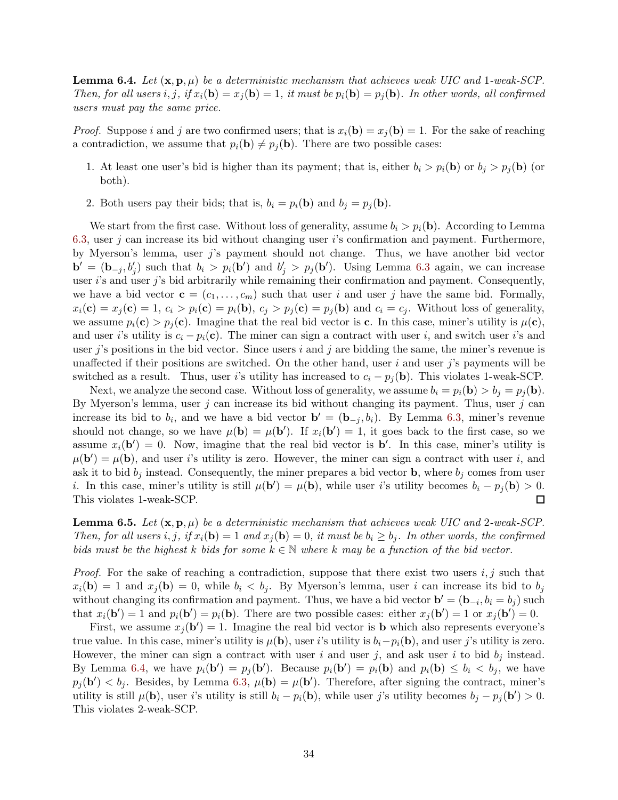<span id="page-35-0"></span>**Lemma 6.4.** Let  $(\mathbf{x}, \mathbf{p}, \mu)$  be a deterministic mechanism that achieves weak UIC and 1-weak-SCP. Then, for all users i, j, if  $x_i(\mathbf{b}) = x_j(\mathbf{b}) = 1$ , it must be  $p_i(\mathbf{b}) = p_j(\mathbf{b})$ . In other words, all confirmed users must pay the same price.

*Proof.* Suppose i and j are two confirmed users; that is  $x_i(\mathbf{b}) = x_j(\mathbf{b}) = 1$ . For the sake of reaching a contradiction, we assume that  $p_i(\mathbf{b}) \neq p_j(\mathbf{b})$ . There are two possible cases:

- 1. At least one user's bid is higher than its payment; that is, either  $b_i > p_i(\mathbf{b})$  or  $b_j > p_j(\mathbf{b})$  (or both).
- 2. Both users pay their bids; that is,  $b_i = p_i(\mathbf{b})$  and  $b_j = p_j(\mathbf{b})$ .

We start from the first case. Without loss of generality, assume  $b_i > p_i(\mathbf{b})$ . According to Lemma [6.3,](#page-34-0) user j can increase its bid without changing user i's confirmation and payment. Furthermore, by Myerson's lemma, user j's payment should not change. Thus, we have another bid vector  $\mathbf{b}' = (\mathbf{b}_{-j}, b'_j)$  such that  $b_i > p_i(\mathbf{b}')$  and  $b'_j > p_j(\mathbf{b}')$ . Using Lemma [6.3](#page-34-0) again, we can increase user i's and user j's bid arbitrarily while remaining their confirmation and payment. Consequently, we have a bid vector  $\mathbf{c} = (c_1, \ldots, c_m)$  such that user i and user j have the same bid. Formally,  $x_i(\mathbf{c}) = x_j(\mathbf{c}) = 1, c_i > p_i(\mathbf{c}) = p_i(\mathbf{b}), c_j > p_j(\mathbf{c}) = p_j(\mathbf{b})$  and  $c_i = c_j$ . Without loss of generality, we assume  $p_i(c) > p_j(c)$ . Imagine that the real bid vector is c. In this case, miner's utility is  $\mu(c)$ , and user i's utility is  $c_i - p_i(c)$ . The miner can sign a contract with user i, and switch user i's and user j's positions in the bid vector. Since users i and j are bidding the same, the miner's revenue is unaffected if their positions are switched. On the other hand, user  $i$  and user  $j$ 's payments will be switched as a result. Thus, user i's utility has increased to  $c_i - p_j(\mathbf{b})$ . This violates 1-weak-SCP.

Next, we analyze the second case. Without loss of generality, we assume  $b_i = p_i(\mathbf{b}) > b_j = p_j(\mathbf{b})$ . By Myerson's lemma, user j can increase its bid without changing its payment. Thus, user j can increase its bid to  $b_i$ , and we have a bid vector  $\mathbf{b}' = (\mathbf{b}_{-j}, b_i)$ . By Lemma [6.3,](#page-34-0) miner's revenue should not change, so we have  $\mu(\mathbf{b}) = \mu(\mathbf{b}')$ . If  $x_i(\mathbf{b}') = 1$ , it goes back to the first case, so we assume  $x_i(\mathbf{b}') = 0$ . Now, imagine that the real bid vector is  $\mathbf{b}'$ . In this case, miner's utility is  $\mu(\mathbf{b}') = \mu(\mathbf{b})$ , and user i's utility is zero. However, the miner can sign a contract with user i, and ask it to bid  $b_i$  instead. Consequently, the miner prepares a bid vector **b**, where  $b_i$  comes from user *i*. In this case, miner's utility is still  $\mu(\mathbf{b}') = \mu(\mathbf{b})$ , while user *i*'s utility becomes  $b_i - p_j(\mathbf{b}) > 0$ . This violates 1-weak-SCP.  $\Box$ 

<span id="page-35-1"></span>**Lemma 6.5.** Let  $(\mathbf{x}, \mathbf{p}, \mu)$  be a deterministic mechanism that achieves weak UIC and 2-weak-SCP. Then, for all users i, j, if  $x_i(\mathbf{b}) = 1$  and  $x_j(\mathbf{b}) = 0$ , it must be  $b_i \geq b_j$ . In other words, the confirmed bids must be the highest k bids for some  $k \in \mathbb{N}$  where k may be a function of the bid vector.

*Proof.* For the sake of reaching a contradiction, suppose that there exist two users i, j such that  $x_i(\mathbf{b}) = 1$  and  $x_j(\mathbf{b}) = 0$ , while  $b_i < b_j$ . By Myerson's lemma, user i can increase its bid to  $b_j$ without changing its confirmation and payment. Thus, we have a bid vector  $\mathbf{b}' = (\mathbf{b}_{-i}, b_i = b_j)$  such that  $x_i(\mathbf{b}') = 1$  and  $p_i(\mathbf{b}') = p_i(\mathbf{b})$ . There are two possible cases: either  $x_j(\mathbf{b}') = 1$  or  $x_j(\mathbf{b}') = 0$ .

First, we assume  $x_j(\mathbf{b}') = 1$ . Imagine the real bid vector is **b** which also represents everyone's true value. In this case, miner's utility is  $\mu(\mathbf{b})$ , user i's utility is  $b_i-p_i(\mathbf{b})$ , and user j's utility is zero. However, the miner can sign a contract with user i and user j, and ask user i to bid  $b_j$  instead. By Lemma [6.4,](#page-35-0) we have  $p_i(\mathbf{b}') = p_j(\mathbf{b}')$ . Because  $p_i(\mathbf{b}') = p_i(\mathbf{b})$  and  $p_i(\mathbf{b}) \leq b_i < b_j$ , we have  $p_j(\mathbf{b}') < b_j$ . Besides, by Lemma [6.3,](#page-34-0)  $\mu(\mathbf{b}) = \mu(\mathbf{b}')$ . Therefore, after signing the contract, miner's utility is still  $\mu(\mathbf{b})$ , user i's utility is still  $b_i - p_i(\mathbf{b})$ , while user j's utility becomes  $b_j - p_j(\mathbf{b}') > 0$ . This violates 2-weak-SCP.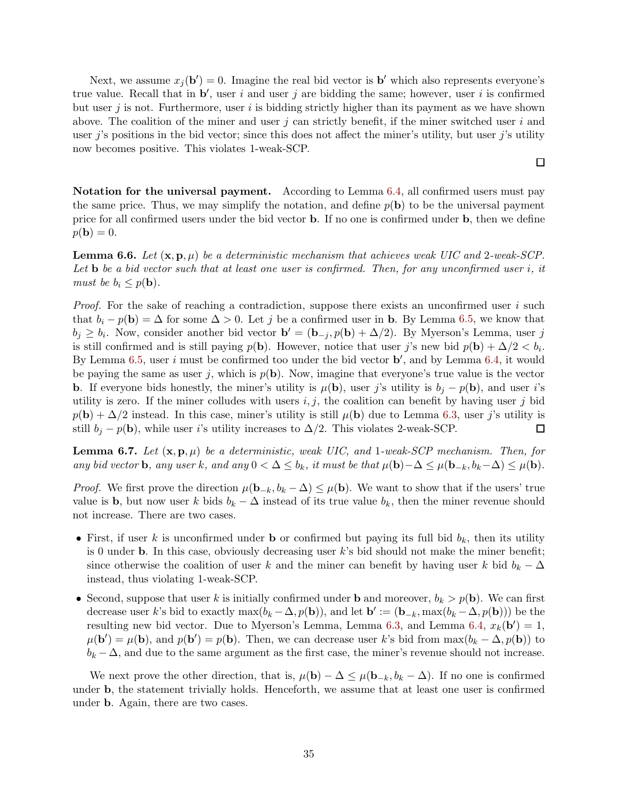Next, we assume  $x_j(\mathbf{b}') = 0$ . Imagine the real bid vector is  $\mathbf{b}'$  which also represents everyone's true value. Recall that in  $\mathbf{b}'$ , user i and user j are bidding the same; however, user i is confirmed but user j is not. Furthermore, user i is bidding strictly higher than its payment as we have shown above. The coalition of the miner and user j can strictly benefit, if the miner switched user  $i$  and user j's positions in the bid vector; since this does not affect the miner's utility, but user j's utility now becomes positive. This violates 1-weak-SCP.

 $\Box$ 

Notation for the universal payment. According to Lemma [6.4,](#page-35-0) all confirmed users must pay the same price. Thus, we may simplify the notation, and define  $p(\mathbf{b})$  to be the universal payment price for all confirmed users under the bid vector b. If no one is confirmed under b, then we define  $p(\mathbf{b}) = 0.$ 

<span id="page-36-0"></span>**Lemma 6.6.** Let  $(\mathbf{x}, \mathbf{p}, \mu)$  be a deterministic mechanism that achieves weak UIC and 2-weak-SCP. Let **b** be a bid vector such that at least one user is confirmed. Then, for any unconfirmed user i, it must be  $b_i \leq p(\mathbf{b})$ .

*Proof.* For the sake of reaching a contradiction, suppose there exists an unconfirmed user i such that  $b_i - p(\mathbf{b}) = \Delta$  for some  $\Delta > 0$ . Let j be a confirmed user in b. By Lemma [6.5,](#page-35-1) we know that  $b_j \geq b_i$ . Now, consider another bid vector  $\mathbf{b}' = (\mathbf{b}_{-j}, p(\mathbf{b}) + \Delta/2)$ . By Myerson's Lemma, user j is still confirmed and is still paying  $p(\mathbf{b})$ . However, notice that user j's new bid  $p(\mathbf{b}) + \Delta/2 < b_i$ . By Lemma [6.5,](#page-35-1) user i must be confirmed too under the bid vector  $\mathbf{b}'$ , and by Lemma [6.4,](#page-35-0) it would be paying the same as user j, which is  $p(\mathbf{b})$ . Now, imagine that everyone's true value is the vector **b**. If everyone bids honestly, the miner's utility is  $\mu(\mathbf{b})$ , user j's utility is  $b_j - p(\mathbf{b})$ , and user i's utility is zero. If the miner colludes with users  $i, j$ , the coalition can benefit by having user j bid  $p(\mathbf{b}) + \Delta/2$  instead. In this case, miner's utility is still  $\mu(\mathbf{b})$  due to Lemma [6.3,](#page-34-0) user j's utility is still  $b_j - p(\mathbf{b})$ , while user i's utility increases to  $\Delta/2$ . This violates 2-weak-SCP. □

<span id="page-36-1"></span>**Lemma 6.7.** Let  $(\mathbf{x}, \mathbf{p}, \mu)$  be a deterministic, weak UIC, and 1-weak-SCP mechanism. Then, for any bid vector **b**, any user k, and any  $0 < \Delta \leq b_k$ , it must be that  $\mu(\mathbf{b}) - \Delta \leq \mu(\mathbf{b}_{-k}, b_k - \Delta) \leq \mu(\mathbf{b})$ .

*Proof.* We first prove the direction  $\mu(\mathbf{b}_{-k}, b_k - \Delta) \leq \mu(\mathbf{b})$ . We want to show that if the users' true value is **b**, but now user k bids  $b_k - \Delta$  instead of its true value  $b_k$ , then the miner revenue should not increase. There are two cases.

- First, if user k is unconfirmed under **b** or confirmed but paying its full bid  $b_k$ , then its utility is 0 under **b**. In this case, obviously decreasing user k's bid should not make the miner benefit; since otherwise the coalition of user k and the miner can benefit by having user k bid  $b_k - \Delta$ instead, thus violating 1-weak-SCP.
- Second, suppose that user k is initially confirmed under **b** and moreover,  $b_k > p(\mathbf{b})$ . We can first decrease user k's bid to exactly  $\max(b_k - \Delta, p(\mathbf{b}))$ , and let  $\mathbf{b}' := (\mathbf{b}_{-k}, \max(b_k - \Delta, p(\mathbf{b})))$  be the resulting new bid vector. Due to Myerson's Lemma, Lemma [6.3,](#page-34-0) and Lemma [6.4,](#page-35-0)  $x_k(\mathbf{b}') = 1$ ,  $\mu(\mathbf{b}') = \mu(\mathbf{b})$ , and  $p(\mathbf{b}') = p(\mathbf{b})$ . Then, we can decrease user k's bid from  $\max(b_k - \Delta, p(\mathbf{b}))$  to  $b_k - \Delta$ , and due to the same argument as the first case, the miner's revenue should not increase.

We next prove the other direction, that is,  $\mu(\mathbf{b}) - \Delta \leq \mu(\mathbf{b}_{-k}, b_k - \Delta)$ . If no one is confirmed under b, the statement trivially holds. Henceforth, we assume that at least one user is confirmed under b. Again, there are two cases.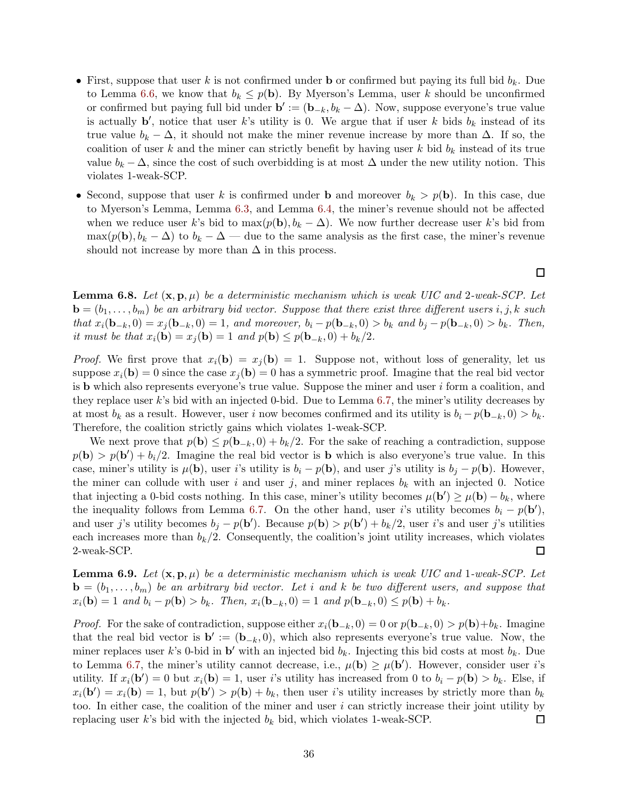- First, suppose that user k is not confirmed under **b** or confirmed but paying its full bid  $b_k$ . Due to Lemma [6.6,](#page-36-0) we know that  $b_k \leq p(\mathbf{b})$ . By Myerson's Lemma, user k should be unconfirmed or confirmed but paying full bid under  $\mathbf{b}' := (\mathbf{b}_{-k}, b_k - \Delta)$ . Now, suppose everyone's true value is actually  $\mathbf{b}'$ , notice that user k's utility is 0. We argue that if user k bids  $b_k$  instead of its true value  $b_k - \Delta$ , it should not make the miner revenue increase by more than  $\Delta$ . If so, the coalition of user k and the miner can strictly benefit by having user k bid  $b_k$  instead of its true value  $b_k - \Delta$ , since the cost of such overbidding is at most  $\Delta$  under the new utility notion. This violates 1-weak-SCP.
- Second, suppose that user k is confirmed under **b** and moreover  $b_k > p(\mathbf{b})$ . In this case, due to Myerson's Lemma, Lemma [6.3,](#page-34-0) and Lemma [6.4,](#page-35-0) the miner's revenue should not be affected when we reduce user k's bid to  $\max(p(\mathbf{b}), b_k - \Delta)$ . We now further decrease user k's bid from max( $p(\mathbf{b}), b_k - \Delta$ ) to  $b_k - \Delta$  — due to the same analysis as the first case, the miner's revenue should not increase by more than  $\Delta$  in this process.

 $\Box$ 

<span id="page-37-0"></span>**Lemma 6.8.** Let  $(\mathbf{x}, \mathbf{p}, \mu)$  be a deterministic mechanism which is weak UIC and 2-weak-SCP. Let  $\mathbf{b} = (b_1, \ldots, b_m)$  be an arbitrary bid vector. Suppose that there exist three different users i, j, k such  $that x_i(\mathbf{b}_{-k}, 0) = x_j(\mathbf{b}_{-k}, 0) = 1$ , and moreover,  $b_i - p(\mathbf{b}_{-k}, 0) > b_k$  and  $b_j - p(\mathbf{b}_{-k}, 0) > b_k$ . Then, it must be that  $x_i(\mathbf{b}) = x_j(\mathbf{b}) = 1$  and  $p(\mathbf{b}) \leq p(\mathbf{b}_{-k}, 0) + b_k/2$ .

*Proof.* We first prove that  $x_i(\mathbf{b}) = x_j(\mathbf{b}) = 1$ . Suppose not, without loss of generality, let us suppose  $x_i(\mathbf{b}) = 0$  since the case  $x_i(\mathbf{b}) = 0$  has a symmetric proof. Imagine that the real bid vector is **b** which also represents everyone's true value. Suppose the miner and user  $i$  form a coalition, and they replace user k's bid with an injected 0-bid. Due to Lemma [6.7,](#page-36-1) the miner's utility decreases by at most  $b_k$  as a result. However, user i now becomes confirmed and its utility is  $b_i - p(\mathbf{b}_{-k}, 0) > b_k$ . Therefore, the coalition strictly gains which violates 1-weak-SCP.

We next prove that  $p(\mathbf{b}) \leq p(\mathbf{b}_{-k}, 0) + b_k/2$ . For the sake of reaching a contradiction, suppose  $p(\mathbf{b}) > p(\mathbf{b}') + b_i/2$ . Imagine the real bid vector is **b** which is also everyone's true value. In this case, miner's utility is  $\mu(\mathbf{b})$ , user i's utility is  $b_i - p(\mathbf{b})$ , and user j's utility is  $b_j - p(\mathbf{b})$ . However, the miner can collude with user i and user j, and miner replaces  $b_k$  with an injected 0. Notice that injecting a 0-bid costs nothing. In this case, miner's utility becomes  $\mu(\mathbf{b}') \geq \mu(\mathbf{b}) - b_k$ , where the inequality follows from Lemma [6.7.](#page-36-1) On the other hand, user i's utility becomes  $b_i - p(\mathbf{b}')$ , and user j's utility becomes  $b_j - p(\mathbf{b}')$ . Because  $p(\mathbf{b}) > p(\mathbf{b}') + b_k/2$ , user i's and user j's utilities each increases more than  $b_k/2$ . Consequently, the coalition's joint utility increases, which violates 2-weak-SCP.  $\Box$ 

<span id="page-37-1"></span>**Lemma 6.9.** Let  $(\mathbf{x}, \mathbf{p}, \mu)$  be a deterministic mechanism which is weak UIC and 1-weak-SCP. Let  $\mathbf{b} = (b_1, \ldots, b_m)$  be an arbitrary bid vector. Let i and k be two different users, and suppose that  $x_i(\mathbf{b}) = 1$  and  $b_i - p(\mathbf{b}) > b_k$ . Then,  $x_i(\mathbf{b}_{-k}, 0) = 1$  and  $p(\mathbf{b}_{-k}, 0) \leq p(\mathbf{b}) + b_k$ .

*Proof.* For the sake of contradiction, suppose either  $x_i(\mathbf{b}_{-k}, 0) = 0$  or  $p(\mathbf{b}_{-k}, 0) > p(\mathbf{b})+b_k$ . Imagine that the real bid vector is  $\mathbf{b}' := (\mathbf{b}_{-k}, 0)$ , which also represents everyone's true value. Now, the miner replaces user k's 0-bid in  $\mathbf{b}'$  with an injected bid  $b_k$ . Injecting this bid costs at most  $b_k$ . Due to Lemma [6.7,](#page-36-1) the miner's utility cannot decrease, i.e.,  $\mu(\mathbf{b}) \geq \mu(\mathbf{b}')$ . However, consider user *i*'s utility. If  $x_i(\mathbf{b}') = 0$  but  $x_i(\mathbf{b}) = 1$ , user i's utility has increased from 0 to  $b_i - p(\mathbf{b}) > b_k$ . Else, if  $x_i(\mathbf{b}') = x_i(\mathbf{b}) = 1$ , but  $p(\mathbf{b}') > p(\mathbf{b}) + b_k$ , then user i's utility increases by strictly more than  $b_k$ too. In either case, the coalition of the miner and user  $i$  can strictly increase their joint utility by replacing user k's bid with the injected  $b_k$  bid, which violates 1-weak-SCP. □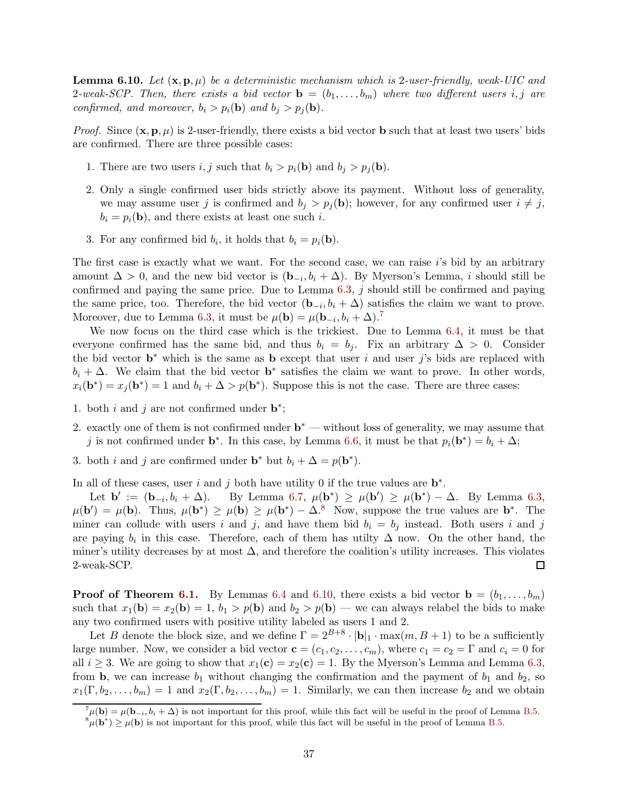<span id="page-38-2"></span>**Lemma 6.10.** Let  $(\mathbf{x}, \mathbf{p}, \mu)$  be a deterministic mechanism which is 2-user-friendly, weak-UIC and 2-weak-SCP. Then, there exists a bid vector  $\mathbf{b} = (b_1, \ldots, b_m)$  where two different users i, j are confirmed, and moreover,  $b_i > p_i(\mathbf{b})$  and  $b_j > p_j(\mathbf{b})$ .

*Proof.* Since  $(\mathbf{x}, \mathbf{p}, \mu)$  is 2-user-friendly, there exists a bid vector **b** such that at least two users' bids are confirmed. There are three possible cases:

- 1. There are two users i, j such that  $b_i > p_i(\mathbf{b})$  and  $b_j > p_j(\mathbf{b})$ .
- 2. Only a single confirmed user bids strictly above its payment. Without loss of generality, we may assume user j is confirmed and  $b_j > p_j(b)$ ; however, for any confirmed user  $i \neq j$ ,  $b_i = p_i(\mathbf{b})$ , and there exists at least one such i.
- 3. For any confirmed bid  $b_i$ , it holds that  $b_i = p_i(\mathbf{b})$ .

The first case is exactly what we want. For the second case, we can raise  $i$ 's bid by an arbitrary amount  $\Delta > 0$ , and the new bid vector is  $(\mathbf{b}_{-i}, b_i + \Delta)$ . By Myerson's Lemma, i should still be confirmed and paying the same price. Due to Lemma [6.3,](#page-34-0) j should still be confirmed and paying the same price, too. Therefore, the bid vector  $(\mathbf{b}_{-i}, b_i + \Delta)$  satisfies the claim we want to prove. Moreover, due to Lemma [6.3,](#page-34-0) it must be  $\mu(\mathbf{b}) = \mu(\mathbf{b}_{-i}, b_i + \Delta)^T$ 

We now focus on the third case which is the trickiest. Due to Lemma [6.4,](#page-35-0) it must be that everyone confirmed has the same bid, and thus  $b_i = b_j$ . Fix an arbitrary  $\Delta > 0$ . Consider the bid vector  $\mathbf{b}^*$  which is the same as  $\mathbf{b}$  except that user i and user j's bids are replaced with  $b_i + \Delta$ . We claim that the bid vector **b**<sup>\*</sup> satisfies the claim we want to prove. In other words,  $x_i(\mathbf{b}^*) = x_j(\mathbf{b}^*) = 1$  and  $b_i + \Delta > p(\mathbf{b}^*)$ . Suppose this is not the case. There are three cases:

- 1. both i and j are not confirmed under  $\mathbf{b}^*$ ;
- 2. exactly one of them is not confirmed under  $b^*$  without loss of generality, we may assume that j is not confirmed under **b**<sup>\*</sup>. In this case, by Lemma [6.6,](#page-36-0) it must be that  $p_i(\mathbf{b}^*) = b_i + \Delta$ ;
- 3. both *i* and *j* are confirmed under **b**<sup>\*</sup> but  $b_i + \Delta = p(\mathbf{b}^*)$ .

In all of these cases, user i and j both have utility 0 if the true values are  $\mathbf{b}^*$ .

Let  $\mathbf{b}' := (\mathbf{b}_{-i})$  $(b_i + \Delta)$ . By Lemma [6.7,](#page-36-1)  $\mu(\mathbf{b}^*) \ge \mu(\mathbf{b}') \ge \mu(\mathbf{b}^*) - \Delta$ . By Lemma [6.3,](#page-34-0)  $\mu(\mathbf{b}') = \mu(\mathbf{b})$ . Thus,  $\mu(\mathbf{b}^*) \geq \mu(\mathbf{b}) \geq \mu(\mathbf{b}^*) - \Delta^8$  $\mu(\mathbf{b}^*) \geq \mu(\mathbf{b}) \geq \mu(\mathbf{b}^*) - \Delta^8$ . Now, suppose the true values are  $\mathbf{b}^*$ . The miner can collude with users i and j, and have them bid  $b_i = b_j$  instead. Both users i and j are paying  $b_i$  in this case. Therefore, each of them has utilty  $\Delta$  now. On the other hand, the miner's utility decreases by at most  $\Delta$ , and therefore the coalition's utility increases. This violates 2-weak-SCP.  $\Box$ 

**Proof of Theorem [6.1.](#page-33-2)** By Lemmas [6.4](#page-35-0) and [6.10,](#page-38-2) there exists a bid vector  $\mathbf{b} = (b_1, \ldots, b_m)$ such that  $x_1(\mathbf{b}) = x_2(\mathbf{b}) = 1$ ,  $b_1 > p(\mathbf{b})$  and  $b_2 > p(\mathbf{b})$  — we can always relabel the bids to make any two confirmed users with positive utility labeled as users 1 and 2.

Let B denote the block size, and we define  $\Gamma = 2^{B+8} \cdot |\mathbf{b}|_1 \cdot \max(m, B+1)$  to be a sufficiently large number. Now, we consider a bid vector  $\mathbf{c} = (c_1, c_2, \dots, c_m)$ , where  $c_1 = c_2 = \Gamma$  and  $c_i = 0$  for all  $i \geq 3$ . We are going to show that  $x_1(c) = x_2(c) = 1$ . By the Myerson's Lemma and Lemma [6.3,](#page-34-0) from **b**, we can increase  $b_1$  without changing the confirmation and the payment of  $b_1$  and  $b_2$ , so  $x_1(\Gamma, b_2, \ldots, b_m) = 1$  and  $x_2(\Gamma, b_2, \ldots, b_m) = 1$ . Similarly, we can then increase  $b_2$  and we obtain

 $^7\mu(\mathbf{b}) = \mu(\mathbf{b}_{-i}, b_i + \Delta)$  is not important for this proof, while this fact will be useful in the proof of Lemma [B.5.](#page-51-0)

<span id="page-38-1"></span><span id="page-38-0"></span> ${}^8\mu(\mathbf{b}^*) \geq \mu(\mathbf{b})$  is not important for this proof, while this fact will be useful in the proof of Lemma [B.5.](#page-51-0)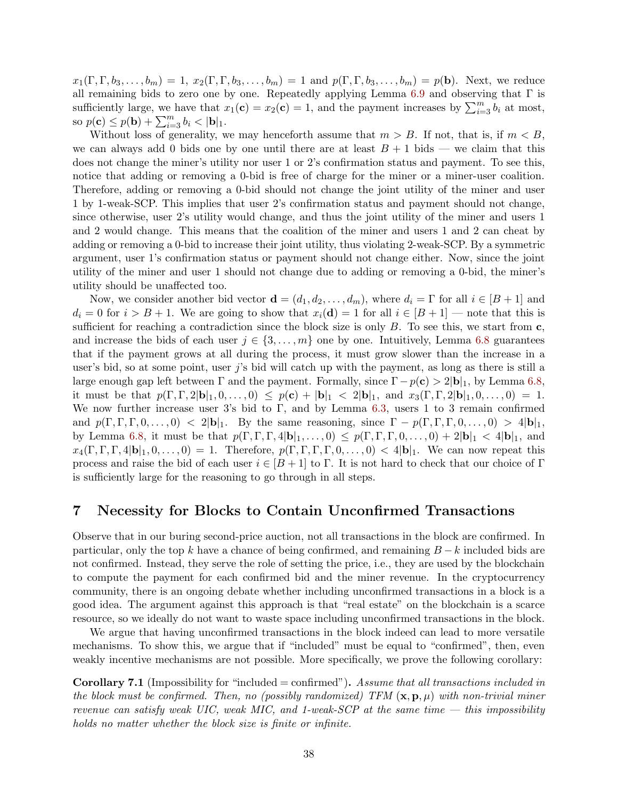$x_1(\Gamma, \Gamma, b_3, \ldots, b_m) = 1, x_2(\Gamma, \Gamma, b_3, \ldots, b_m) = 1$  and  $p(\Gamma, \Gamma, b_3, \ldots, b_m) = p(\mathbf{b})$ . Next, we reduce all remaining bids to zero one by one. Repeatedly applying Lemma [6.9](#page-37-1) and observing that  $\Gamma$  is sufficiently large, we have that  $x_1(c) = x_2(c) = 1$ , and the payment increases by  $\sum_{i=3}^{m} b_i$  at most, so  $p(c) \le p(b) + \sum_{i=3}^{m} b_i < |b|_1$ .

Without loss of generality, we may henceforth assume that  $m > B$ . If not, that is, if  $m < B$ , we can always add 0 bids one by one until there are at least  $B + 1$  bids — we claim that this does not change the miner's utility nor user 1 or 2's confirmation status and payment. To see this, notice that adding or removing a 0-bid is free of charge for the miner or a miner-user coalition. Therefore, adding or removing a 0-bid should not change the joint utility of the miner and user 1 by 1-weak-SCP. This implies that user 2's confirmation status and payment should not change, since otherwise, user 2's utility would change, and thus the joint utility of the miner and users 1 and 2 would change. This means that the coalition of the miner and users 1 and 2 can cheat by adding or removing a 0-bid to increase their joint utility, thus violating 2-weak-SCP. By a symmetric argument, user 1's confirmation status or payment should not change either. Now, since the joint utility of the miner and user 1 should not change due to adding or removing a 0-bid, the miner's utility should be unaffected too.

Now, we consider another bid vector  $\mathbf{d} = (d_1, d_2, \dots, d_m)$ , where  $d_i = \Gamma$  for all  $i \in [B + 1]$  and  $d_i = 0$  for  $i > B + 1$ . We are going to show that  $x_i(\mathbf{d}) = 1$  for all  $i \in [B + 1]$  — note that this is sufficient for reaching a contradiction since the block size is only  $B$ . To see this, we start from  $\mathbf{c}$ , and increase the bids of each user  $j \in \{3, \ldots, m\}$  one by one. Intuitively, Lemma [6.8](#page-37-0) guarantees that if the payment grows at all during the process, it must grow slower than the increase in a user's bid, so at some point, user j's bid will catch up with the payment, as long as there is still a large enough gap left between  $\Gamma$  and the payment. Formally, since  $\Gamma - p(\mathbf{c}) > 2|\mathbf{b}|_1$ , by Lemma [6.8,](#page-37-0) it must be that  $p(\Gamma, \Gamma, 2|\mathbf{b}|_1, 0, \ldots, 0) \leq p(\mathbf{c}) + |\mathbf{b}|_1 < 2|\mathbf{b}|_1$ , and  $x_3(\Gamma, \Gamma, 2|\mathbf{b}|_1, 0, \ldots, 0) = 1$ . We now further increase user 3's bid to Γ, and by Lemma [6.3,](#page-34-0) users 1 to 3 remain confirmed and  $p(\Gamma, \Gamma, \Gamma, 0, \ldots, 0) < 2|\mathbf{b}|_1$ . By the same reasoning, since  $\Gamma - p(\Gamma, \Gamma, 0, \ldots, 0) > 4|\mathbf{b}|_1$ , by Lemma [6.8,](#page-37-0) it must be that  $p(\Gamma, \Gamma, \Gamma, 4|\mathbf{b}|_1, \ldots, 0) \leq p(\Gamma, \Gamma, \Gamma, 0, \ldots, 0) + 2|\mathbf{b}|_1 < 4|\mathbf{b}|_1$ , and  $x_4(\Gamma, \Gamma, \Gamma, 4|\mathbf{b}|_1, 0, \ldots, 0) = 1$ . Therefore,  $p(\Gamma, \Gamma, \Gamma, \Gamma, 0, \ldots, 0) < 4|\mathbf{b}|_1$ . We can now repeat this process and raise the bid of each user  $i \in [B+1]$  to Γ. It is not hard to check that our choice of Γ is sufficiently large for the reasoning to go through in all steps.

## <span id="page-39-0"></span>7 Necessity for Blocks to Contain Unconfirmed Transactions

Observe that in our buring second-price auction, not all transactions in the block are confirmed. In particular, only the top k have a chance of being confirmed, and remaining  $B - k$  included bids are not confirmed. Instead, they serve the role of setting the price, i.e., they are used by the blockchain to compute the payment for each confirmed bid and the miner revenue. In the cryptocurrency community, there is an ongoing debate whether including unconfirmed transactions in a block is a good idea. The argument against this approach is that "real estate" on the blockchain is a scarce resource, so we ideally do not want to waste space including unconfirmed transactions in the block.

We argue that having unconfirmed transactions in the block indeed can lead to more versatile mechanisms. To show this, we argue that if "included" must be equal to "confirmed", then, even weakly incentive mechanisms are not possible. More specifically, we prove the following corollary:

<span id="page-39-1"></span>Corollary 7.1 (Impossibility for "included = confirmed"). Assume that all transactions included in the block must be confirmed. Then, no (possibly randomized) TFM  $(\mathbf{x}, \mathbf{p}, \mu)$  with non-trivial miner revenue can satisfy weak UIC, weak MIC, and 1-weak-SCP at the same time  $-$  this impossibility holds no matter whether the block size is finite or infinite.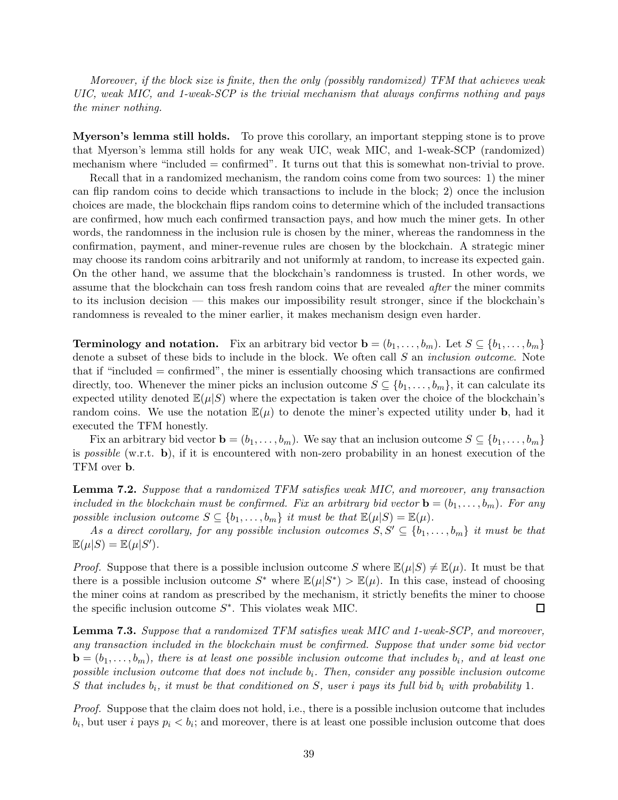Moreover, if the block size is finite, then the only (possibly randomized) TFM that achieves weak UIC, weak MIC, and 1-weak-SCP is the trivial mechanism that always confirms nothing and pays the miner nothing.

Myerson's lemma still holds. To prove this corollary, an important stepping stone is to prove that Myerson's lemma still holds for any weak UIC, weak MIC, and 1-weak-SCP (randomized) mechanism where "included = confirmed". It turns out that this is somewhat non-trivial to prove.

Recall that in a randomized mechanism, the random coins come from two sources: 1) the miner can flip random coins to decide which transactions to include in the block; 2) once the inclusion choices are made, the blockchain flips random coins to determine which of the included transactions are confirmed, how much each confirmed transaction pays, and how much the miner gets. In other words, the randomness in the inclusion rule is chosen by the miner, whereas the randomness in the confirmation, payment, and miner-revenue rules are chosen by the blockchain. A strategic miner may choose its random coins arbitrarily and not uniformly at random, to increase its expected gain. On the other hand, we assume that the blockchain's randomness is trusted. In other words, we assume that the blockchain can toss fresh random coins that are revealed *after* the miner commits to its inclusion decision — this makes our impossibility result stronger, since if the blockchain's randomness is revealed to the miner earlier, it makes mechanism design even harder.

**Terminology and notation.** Fix an arbitrary bid vector  $\mathbf{b} = (b_1, \ldots, b_m)$ . Let  $S \subseteq \{b_1, \ldots, b_m\}$ denote a subset of these bids to include in the block. We often call S an *inclusion outcome*. Note that if "included = confirmed", the miner is essentially choosing which transactions are confirmed directly, too. Whenever the miner picks an inclusion outcome  $S \subseteq \{b_1, \ldots, b_m\}$ , it can calculate its expected utility denoted  $\mathbb{E}(\mu|S)$  where the expectation is taken over the choice of the blockchain's random coins. We use the notation  $\mathbb{E}(\mu)$  to denote the miner's expected utility under **b**, had it executed the TFM honestly.

Fix an arbitrary bid vector  $\mathbf{b} = (b_1, \ldots, b_m)$ . We say that an inclusion outcome  $S \subseteq \{b_1, \ldots, b_m\}$ is *possible* (w.r.t.  $\mathbf{b}$ ), if it is encountered with non-zero probability in an honest execution of the TFM over b.

<span id="page-40-0"></span>Lemma 7.2. Suppose that a randomized TFM satisfies weak MIC, and moreover, any transaction included in the blockchain must be confirmed. Fix an arbitrary bid vector  $\mathbf{b} = (b_1, \ldots, b_m)$ . For any possible inclusion outcome  $S \subseteq \{b_1, \ldots, b_m\}$  it must be that  $\mathbb{E}(\mu|S) = \mathbb{E}(\mu)$ .

As a direct corollary, for any possible inclusion outcomes  $S, S' \subseteq \{b_1, \ldots, b_m\}$  it must be that  $\mathbb{E}(\mu|S) = \mathbb{E}(\mu|S').$ 

*Proof.* Suppose that there is a possible inclusion outcome S where  $\mathbb{E}(\mu|S) \neq \mathbb{E}(\mu)$ . It must be that there is a possible inclusion outcome  $S^*$  where  $\mathbb{E}(\mu|S^*) > \mathbb{E}(\mu)$ . In this case, instead of choosing the miner coins at random as prescribed by the mechanism, it strictly benefits the miner to choose the specific inclusion outcome  $S^*$ . This violates weak MIC.  $\Box$ 

<span id="page-40-1"></span>**Lemma 7.3.** Suppose that a randomized TFM satisfies weak MIC and 1-weak-SCP, and moreover, any transaction included in the blockchain must be confirmed. Suppose that under some bid vector  $\mathbf{b} = (b_1, \ldots, b_m)$ , there is at least one possible inclusion outcome that includes  $b_i$ , and at least one  $possible\ inclusion\ outcome\ that\ does\ not\ include\ b_i.\ Then,\ consider\ any\ possible\ inclusion\ outcome\$ S that includes  $b_i$ , it must be that conditioned on S, user i pays its full bid  $b_i$  with probability 1.

Proof. Suppose that the claim does not hold, i.e., there is a possible inclusion outcome that includes  $b_i$ , but user i pays  $p_i < b_i$ ; and moreover, there is at least one possible inclusion outcome that does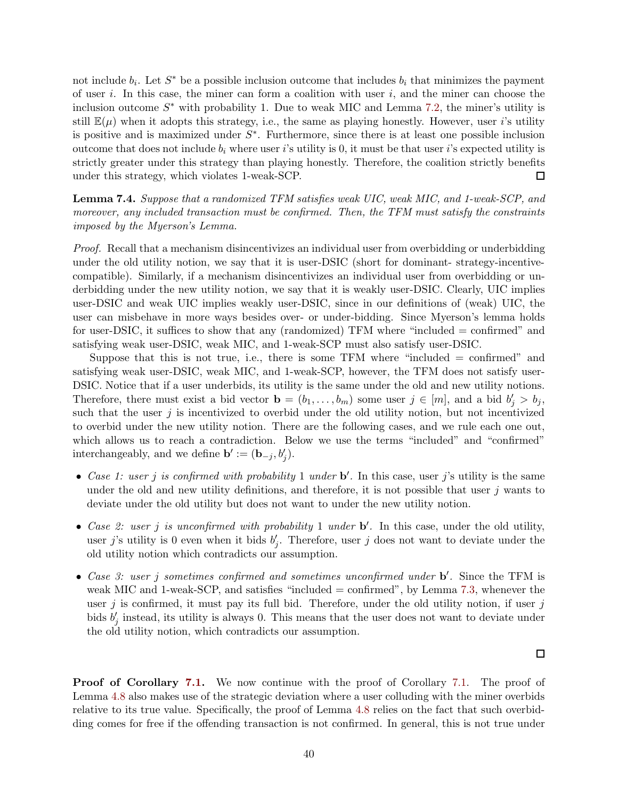not include  $b_i$ . Let  $S^*$  be a possible inclusion outcome that includes  $b_i$  that minimizes the payment of user i. In this case, the miner can form a coalition with user  $i$ , and the miner can choose the inclusion outcome  $S^*$  with probability 1. Due to weak MIC and Lemma [7.2,](#page-40-0) the miner's utility is still  $\mathbb{E}(\mu)$  when it adopts this strategy, i.e., the same as playing honestly. However, user i's utility is positive and is maximized under  $S^*$ . Furthermore, since there is at least one possible inclusion outcome that does not include  $b_i$  where user i's utility is 0, it must be that user i's expected utility is strictly greater under this strategy than playing honestly. Therefore, the coalition strictly benefits under this strategy, which violates 1-weak-SCP.  $\Box$ 

<span id="page-41-0"></span>Lemma 7.4. Suppose that a randomized TFM satisfies weak UIC, weak MIC, and 1-weak-SCP, and moreover, any included transaction must be confirmed. Then, the TFM must satisfy the constraints imposed by the Myerson's Lemma.

Proof. Recall that a mechanism disincentivizes an individual user from overbidding or underbidding under the old utility notion, we say that it is user-DSIC (short for dominant- strategy-incentivecompatible). Similarly, if a mechanism disincentivizes an individual user from overbidding or underbidding under the new utility notion, we say that it is weakly user-DSIC. Clearly, UIC implies user-DSIC and weak UIC implies weakly user-DSIC, since in our definitions of (weak) UIC, the user can misbehave in more ways besides over- or under-bidding. Since Myerson's lemma holds for user-DSIC, it suffices to show that any (randomized) TFM where "included = confirmed" and satisfying weak user-DSIC, weak MIC, and 1-weak-SCP must also satisfy user-DSIC.

Suppose that this is not true, i.e., there is some TFM where "included = confirmed" and satisfying weak user-DSIC, weak MIC, and 1-weak-SCP, however, the TFM does not satisfy user-DSIC. Notice that if a user underbids, its utility is the same under the old and new utility notions. Therefore, there must exist a bid vector  $\mathbf{b} = (b_1, \ldots, b_m)$  some user  $j \in [m]$ , and a bid  $b'_j > b_j$ , such that the user  $j$  is incentivized to overbid under the old utility notion, but not incentivized to overbid under the new utility notion. There are the following cases, and we rule each one out, which allows us to reach a contradiction. Below we use the terms "included" and "confirmed" interchangeably, and we define **b**' :=  $(\mathbf{b}_{-j}, b'_j)$ .

- Case 1: user j is confirmed with probability 1 under  $\mathbf{b}'$ . In this case, user j's utility is the same under the old and new utility definitions, and therefore, it is not possible that user  $j$  wants to deviate under the old utility but does not want to under the new utility notion.
- Case 2: user j is unconfirmed with probability 1 under  $\mathbf{b}'$ . In this case, under the old utility, user j's utility is 0 even when it bids  $b'_j$ . Therefore, user j does not want to deviate under the old utility notion which contradicts our assumption.
- Case 3: user j sometimes confirmed and sometimes unconfirmed under b'. Since the TFM is weak MIC and 1-weak-SCP, and satisfies "included = confirmed", by Lemma [7.3,](#page-40-1) whenever the user j is confirmed, it must pay its full bid. Therefore, under the old utility notion, if user  $j$ bids  $b'_j$  instead, its utility is always 0. This means that the user does not want to deviate under the old utility notion, which contradicts our assumption.

 $\Box$ 

Proof of Corollary [7.1.](#page-39-1) We now continue with the proof of Corollary 7.1. The proof of Lemma [4.8](#page-24-3) also makes use of the strategic deviation where a user colluding with the miner overbids relative to its true value. Specifically, the proof of Lemma [4.8](#page-24-3) relies on the fact that such overbidding comes for free if the offending transaction is not confirmed. In general, this is not true under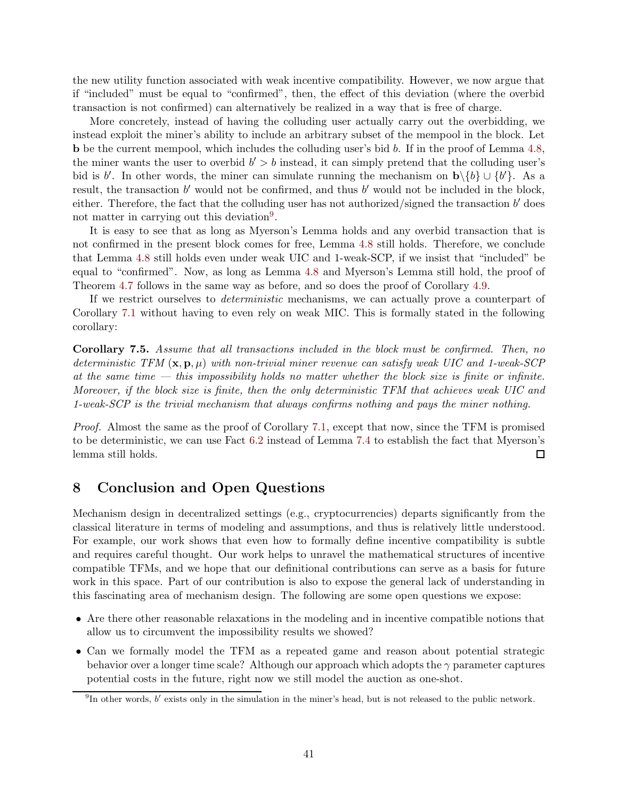the new utility function associated with weak incentive compatibility. However, we now argue that if "included" must be equal to "confirmed", then, the effect of this deviation (where the overbid transaction is not confirmed) can alternatively be realized in a way that is free of charge.

More concretely, instead of having the colluding user actually carry out the overbidding, we instead exploit the miner's ability to include an arbitrary subset of the mempool in the block. Let b be the current mempool, which includes the colluding user's bid b. If in the proof of Lemma [4.8,](#page-24-3) the miner wants the user to overbid  $b' > b$  instead, it can simply pretend that the colluding user's bid is b'. In other words, the miner can simulate running the mechanism on  $\mathbf{b}\setminus\{b\} \cup \{b'\}$ . As a result, the transaction b' would not be confirmed, and thus b' would not be included in the block, either. Therefore, the fact that the colluding user has not authorized/signed the transaction  $b'$  does not matter in carrying out this deviation<sup>[9](#page-42-1)</sup>.

It is easy to see that as long as Myerson's Lemma holds and any overbid transaction that is not confirmed in the present block comes for free, Lemma [4.8](#page-24-3) still holds. Therefore, we conclude that Lemma [4.8](#page-24-3) still holds even under weak UIC and 1-weak-SCP, if we insist that "included" be equal to "confirmed". Now, as long as Lemma [4.8](#page-24-3) and Myerson's Lemma still hold, the proof of Theorem [4.7](#page-24-1) follows in the same way as before, and so does the proof of Corollary [4.9.](#page-26-1)

If we restrict ourselves to deterministic mechanisms, we can actually prove a counterpart of Corollary [7.1](#page-39-1) without having to even rely on weak MIC. This is formally stated in the following corollary:

Corollary 7.5. Assume that all transactions included in the block must be confirmed. Then, no deterministic TFM  $(x, p, \mu)$  with non-trivial miner revenue can satisfy weak UIC and 1-weak-SCP at the same time  $-$  this impossibility holds no matter whether the block size is finite or infinite. Moreover, if the block size is finite, then the only deterministic TFM that achieves weak UIC and 1-weak-SCP is the trivial mechanism that always confirms nothing and pays the miner nothing.

Proof. Almost the same as the proof of Corollary [7.1,](#page-39-1) except that now, since the TFM is promised to be deterministic, we can use Fact [6.2](#page-33-1) instead of Lemma [7.4](#page-41-0) to establish the fact that Myerson's lemma still holds.  $\Box$ 

## <span id="page-42-0"></span>8 Conclusion and Open Questions

Mechanism design in decentralized settings (e.g., cryptocurrencies) departs significantly from the classical literature in terms of modeling and assumptions, and thus is relatively little understood. For example, our work shows that even how to formally define incentive compatibility is subtle and requires careful thought. Our work helps to unravel the mathematical structures of incentive compatible TFMs, and we hope that our definitional contributions can serve as a basis for future work in this space. Part of our contribution is also to expose the general lack of understanding in this fascinating area of mechanism design. The following are some open questions we expose:

- Are there other reasonable relaxations in the modeling and in incentive compatible notions that allow us to circumvent the impossibility results we showed?
- Can we formally model the TFM as a repeated game and reason about potential strategic behavior over a longer time scale? Although our approach which adopts the  $\gamma$  parameter captures potential costs in the future, right now we still model the auction as one-shot.

<span id="page-42-1"></span><sup>&</sup>lt;sup>9</sup>In other words,  $b'$  exists only in the simulation in the miner's head, but is not released to the public network.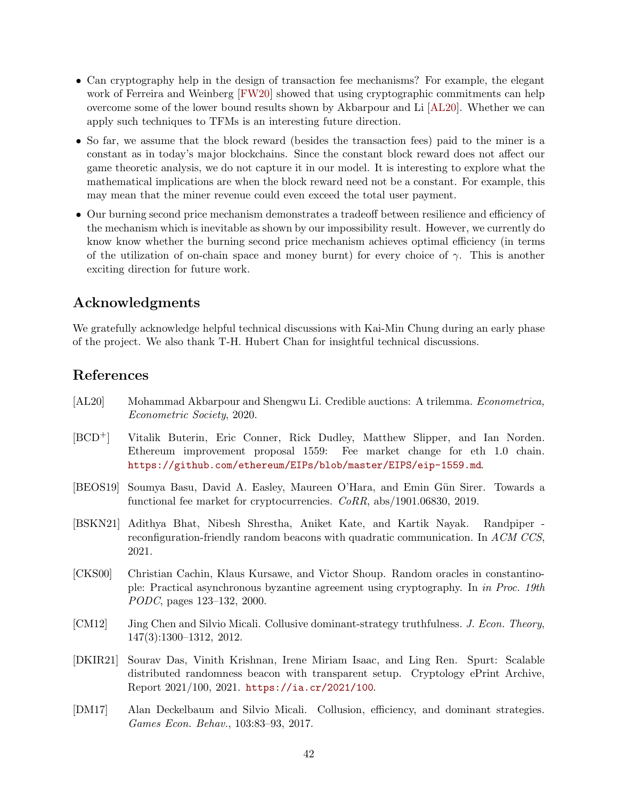- Can cryptography help in the design of transaction fee mechanisms? For example, the elegant work of Ferreira and Weinberg [\[FW20\]](#page-44-5) showed that using cryptographic commitments can help overcome some of the lower bound results shown by Akbarpour and Li [\[AL20\]](#page-43-2). Whether we can apply such techniques to TFMs is an interesting future direction.
- So far, we assume that the block reward (besides the transaction fees) paid to the miner is a constant as in today's major blockchains. Since the constant block reward does not affect our game theoretic analysis, we do not capture it in our model. It is interesting to explore what the mathematical implications are when the block reward need not be a constant. For example, this may mean that the miner revenue could even exceed the total user payment.
- Our burning second price mechanism demonstrates a tradeoff between resilience and efficiency of the mechanism which is inevitable as shown by our impossibility result. However, we currently do know know whether the burning second price mechanism achieves optimal efficiency (in terms of the utilization of on-chain space and money burnt) for every choice of  $\gamma$ . This is another exciting direction for future work.

## Acknowledgments

We gratefully acknowledge helpful technical discussions with Kai-Min Chung during an early phase of the project. We also thank T-H. Hubert Chan for insightful technical discussions.

## References

- <span id="page-43-2"></span>[AL20] Mohammad Akbarpour and Shengwu Li. Credible auctions: A trilemma. Econometrica, Econometric Society, 2020.
- <span id="page-43-1"></span>[BCD+] Vitalik Buterin, Eric Conner, Rick Dudley, Matthew Slipper, and Ian Norden. Ethereum improvement proposal 1559: Fee market change for eth 1.0 chain. <https://github.com/ethereum/EIPs/blob/master/EIPS/eip-1559.md>.
- <span id="page-43-0"></span>[BEOS19] Soumya Basu, David A. Easley, Maureen O'Hara, and Emin Gün Sirer. Towards a functional fee market for cryptocurrencies. CoRR, abs/1901.06830, 2019.
- <span id="page-43-4"></span>[BSKN21] Adithya Bhat, Nibesh Shrestha, Aniket Kate, and Kartik Nayak. Randpiper reconfiguration-friendly random beacons with quadratic communication. In ACM CCS, 2021.
- <span id="page-43-3"></span>[CKS00] Christian Cachin, Klaus Kursawe, and Victor Shoup. Random oracles in constantinople: Practical asynchronous byzantine agreement using cryptography. In in Proc. 19th PODC, pages 123–132, 2000.
- <span id="page-43-6"></span>[CM12] Jing Chen and Silvio Micali. Collusive dominant-strategy truthfulness. J. Econ. Theory, 147(3):1300–1312, 2012.
- <span id="page-43-5"></span>[DKIR21] Sourav Das, Vinith Krishnan, Irene Miriam Isaac, and Ling Ren. Spurt: Scalable distributed randomness beacon with transparent setup. Cryptology ePrint Archive, Report 2021/100, 2021. <https://ia.cr/2021/100>.
- <span id="page-43-7"></span>[DM17] Alan Deckelbaum and Silvio Micali. Collusion, efficiency, and dominant strategies. Games Econ. Behav., 103:83–93, 2017.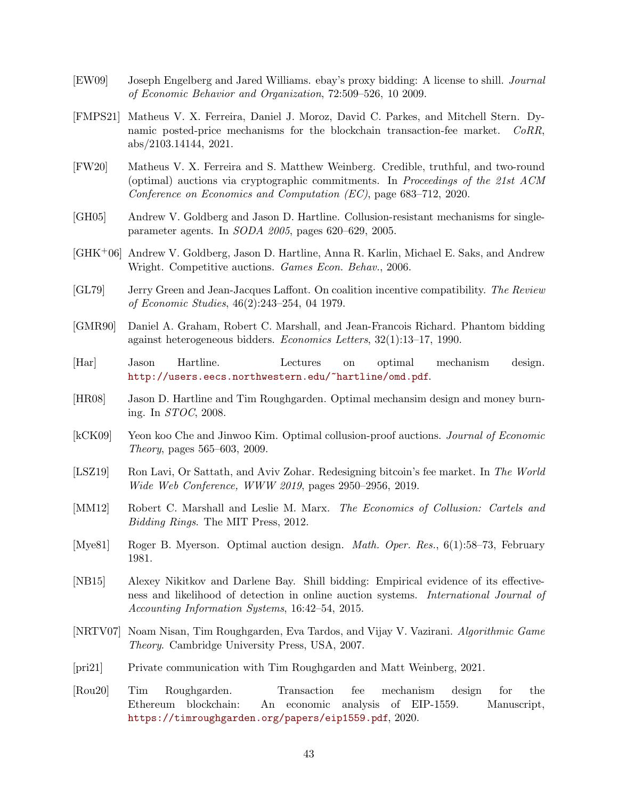- <span id="page-44-7"></span>[EW09] Joseph Engelberg and Jared Williams. ebay's proxy bidding: A license to shill. Journal of Economic Behavior and Organization, 72:509–526, 10 2009.
- <span id="page-44-2"></span>[FMPS21] Matheus V. X. Ferreira, Daniel J. Moroz, David C. Parkes, and Mitchell Stern. Dynamic posted-price mechanisms for the blockchain transaction-fee market. CoRR, abs/2103.14144, 2021.
- <span id="page-44-5"></span>[FW20] Matheus V. X. Ferreira and S. Matthew Weinberg. Credible, truthful, and two-round (optimal) auctions via cryptographic commitments. In Proceedings of the 21st ACM Conference on Economics and Computation (EC), page 683–712, 2020.
- <span id="page-44-13"></span>[GH05] Andrew V. Goldberg and Jason D. Hartline. Collusion-resistant mechanisms for singleparameter agents. In SODA 2005, pages 620–629, 2005.
- <span id="page-44-11"></span>[GHK+06] Andrew V. Goldberg, Jason D. Hartline, Anna R. Karlin, Michael E. Saks, and Andrew Wright. Competitive auctions. Games Econ. Behav., 2006.
- <span id="page-44-12"></span>[GL79] Jerry Green and Jean-Jacques Laffont. On coalition incentive compatibility. The Review of Economic Studies, 46(2):243–254, 04 1979.
- <span id="page-44-6"></span>[GMR90] Daniel A. Graham, Robert C. Marshall, and Jean-Francois Richard. Phantom bidding against heterogeneous bidders. Economics Letters, 32(1):13–17, 1990.
- <span id="page-44-16"></span>[Har] Jason Hartline. Lectures on optimal mechanism design. <http://users.eecs.northwestern.edu/~hartline/omd.pdf>.
- <span id="page-44-9"></span>[HR08] Jason D. Hartline and Tim Roughgarden. Optimal mechansim design and money burning. In STOC, 2008.
- <span id="page-44-14"></span>[kCK09] Yeon koo Che and Jinwoo Kim. Optimal collusion-proof auctions. Journal of Economic Theory, pages 565–603, 2009.
- <span id="page-44-0"></span>[LSZ19] Ron Lavi, Or Sattath, and Aviv Zohar. Redesigning bitcoin's fee market. In The World Wide Web Conference, WWW 2019, pages 2950–2956, 2019.
- <span id="page-44-15"></span>[MM12] Robert C. Marshall and Leslie M. Marx. The Economics of Collusion: Cartels and Bidding Rings. The MIT Press, 2012.
- <span id="page-44-3"></span>[Mye81] Roger B. Myerson. Optimal auction design. Math. Oper. Res., 6(1):58–73, February 1981.
- <span id="page-44-8"></span>[NB15] Alexey Nikitkov and Darlene Bay. Shill bidding: Empirical evidence of its effectiveness and likelihood of detection in online auction systems. International Journal of Accounting Information Systems, 16:42–54, 2015.
- <span id="page-44-4"></span>[NRTV07] Noam Nisan, Tim Roughgarden, Eva Tardos, and Vijay V. Vazirani. Algorithmic Game Theory. Cambridge University Press, USA, 2007.
- <span id="page-44-10"></span>[pri21] Private communication with Tim Roughgarden and Matt Weinberg, 2021.
- <span id="page-44-1"></span>[Rou20] Tim Roughgarden. Transaction fee mechanism design for the Ethereum blockchain: An economic analysis of EIP-1559. Manuscript, <https://timroughgarden.org/papers/eip1559.pdf>, 2020.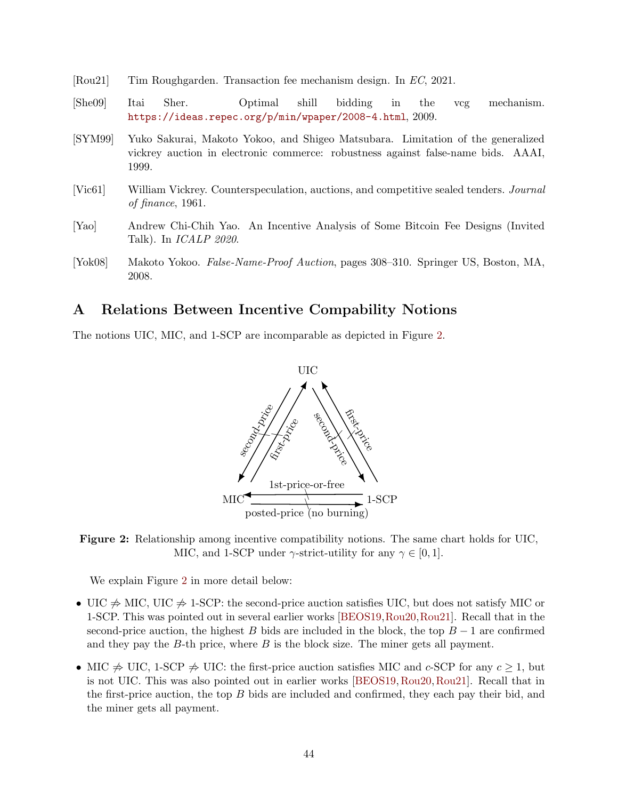- <span id="page-45-2"></span>[Rou21] Tim Roughgarden. Transaction fee mechanism design. In EC, 2021.
- <span id="page-45-5"></span>[She09] Itai Sher. Optimal shill bidding in the vcg mechanism. <https://ideas.repec.org/p/min/wpaper/2008-4.html>, 2009.
- <span id="page-45-4"></span>[SYM99] Yuko Sakurai, Makoto Yokoo, and Shigeo Matsubara. Limitation of the generalized vickrey auction in electronic commerce: robustness against false-name bids. AAAI, 1999.
- <span id="page-45-3"></span>[Vic61] William Vickrey. Counterspeculation, auctions, and competitive sealed tenders. Journal of finance, 1961.
- <span id="page-45-1"></span>[Yao] Andrew Chi-Chih Yao. An Incentive Analysis of Some Bitcoin Fee Designs (Invited Talk). In ICALP 2020.
- <span id="page-45-6"></span>[Yok08] Makoto Yokoo. False-Name-Proof Auction, pages 308–310. Springer US, Boston, MA, 2008.

## <span id="page-45-0"></span>A Relations Between Incentive Compability Notions

<span id="page-45-7"></span>The notions UIC, MIC, and 1-SCP are incomparable as depicted in Figure [2.](#page-45-7)





We explain Figure [2](#page-45-7) in more detail below:

- UIC  $\neq$  MIC, UIC  $\neq$  1-SCP: the second-price auction satisfies UIC, but does not satisfy MIC or 1-SCP. This was pointed out in several earlier works [\[BEOS19,](#page-43-0)[Rou20,](#page-44-1)[Rou21\]](#page-45-2). Recall that in the second-price auction, the highest B bids are included in the block, the top  $B-1$  are confirmed and they pay the  $B$ -th price, where  $B$  is the block size. The miner gets all payment.
- MIC  $\Rightarrow$  UIC, 1-SCP  $\Rightarrow$  UIC: the first-price auction satisfies MIC and c-SCP for any  $c \geq 1$ , but is not UIC. This was also pointed out in earlier works [\[BEOS19,](#page-43-0)[Rou20,](#page-44-1)[Rou21\]](#page-45-2). Recall that in the first-price auction, the top B bids are included and confirmed, they each pay their bid, and the miner gets all payment.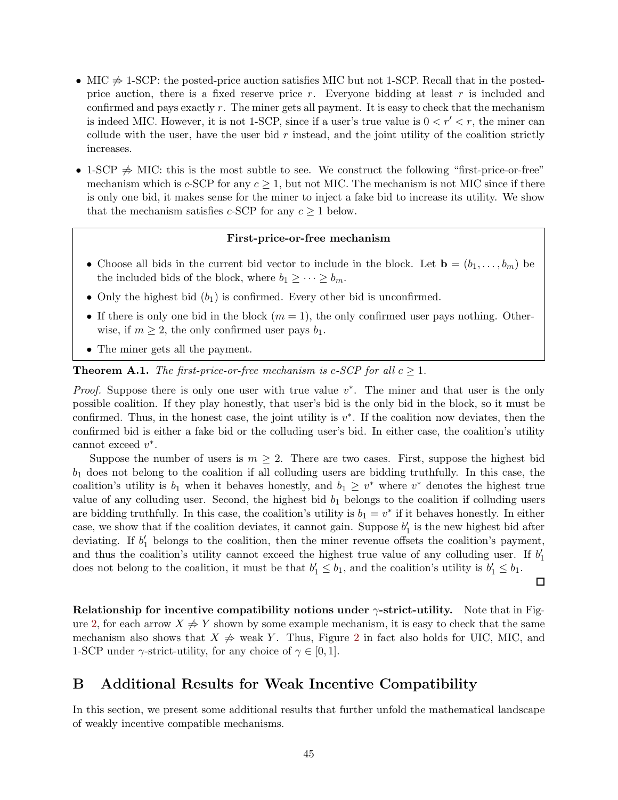- MIC  $\Rightarrow$  1-SCP: the posted-price auction satisfies MIC but not 1-SCP. Recall that in the postedprice auction, there is a fixed reserve price r. Everyone bidding at least r is included and confirmed and pays exactly r. The miner gets all payment. It is easy to check that the mechanism is indeed MIC. However, it is not 1-SCP, since if a user's true value is  $0 < r' < r$ , the miner can collude with the user, have the user bid  $r$  instead, and the joint utility of the coalition strictly increases.
- 1-SCP  $\Rightarrow$  MIC: this is the most subtle to see. We construct the following "first-price-or-free" mechanism which is c-SCP for any  $c \geq 1$ , but not MIC. The mechanism is not MIC since if there is only one bid, it makes sense for the miner to inject a fake bid to increase its utility. We show that the mechanism satisfies c-SCP for any  $c \geq 1$  below.

### First-price-or-free mechanism

- Choose all bids in the current bid vector to include in the block. Let  $\mathbf{b} = (b_1, \ldots, b_m)$  be the included bids of the block, where  $b_1 \geq \cdots \geq b_m$ .
- Only the highest bid  $(b_1)$  is confirmed. Every other bid is unconfirmed.
- If there is only one bid in the block  $(m = 1)$ , the only confirmed user pays nothing. Otherwise, if  $m \geq 2$ , the only confirmed user pays  $b_1$ .
- The miner gets all the payment.

**Theorem A.1.** The first-price-or-free mechanism is c-SCP for all  $c \geq 1$ .

*Proof.* Suppose there is only one user with true value  $v^*$ . The miner and that user is the only possible coalition. If they play honestly, that user's bid is the only bid in the block, so it must be confirmed. Thus, in the honest case, the joint utility is  $v^*$ . If the coalition now deviates, then the confirmed bid is either a fake bid or the colluding user's bid. In either case, the coalition's utility cannot exceed  $v^*$ .

Suppose the number of users is  $m \geq 2$ . There are two cases. First, suppose the highest bid  $b_1$  does not belong to the coalition if all colluding users are bidding truthfully. In this case, the coalition's utility is  $b_1$  when it behaves honestly, and  $b_1 \geq v^*$  where  $v^*$  denotes the highest true value of any colluding user. Second, the highest bid  $b_1$  belongs to the coalition if colluding users are bidding truthfully. In this case, the coalition's utility is  $b_1 = v^*$  if it behaves honestly. In either case, we show that if the coalition deviates, it cannot gain. Suppose  $b'_1$  is the new highest bid after deviating. If  $b'_1$  belongs to the coalition, then the miner revenue offsets the coalition's payment, and thus the coalition's utility cannot exceed the highest true value of any colluding user. If  $b'_1$ does not belong to the coalition, it must be that  $b'_1 \leq b_1$ , and the coalition's utility is  $b'_1 \leq b_1$ .

 $\Box$ 

Relationship for incentive compatibility notions under  $\gamma$ -strict-utility. Note that in Fig-ure [2,](#page-45-7) for each arrow  $X \neq Y$  shown by some example mechanism, it is easy to check that the same mechanism also shows that  $X \neq$  weak Y. Thus, Figure [2](#page-45-7) in fact also holds for UIC, MIC, and 1-SCP under  $\gamma$ -strict-utility, for any choice of  $\gamma \in [0, 1]$ .

## <span id="page-46-0"></span>B Additional Results for Weak Incentive Compatibility

In this section, we present some additional results that further unfold the mathematical landscape of weakly incentive compatible mechanisms.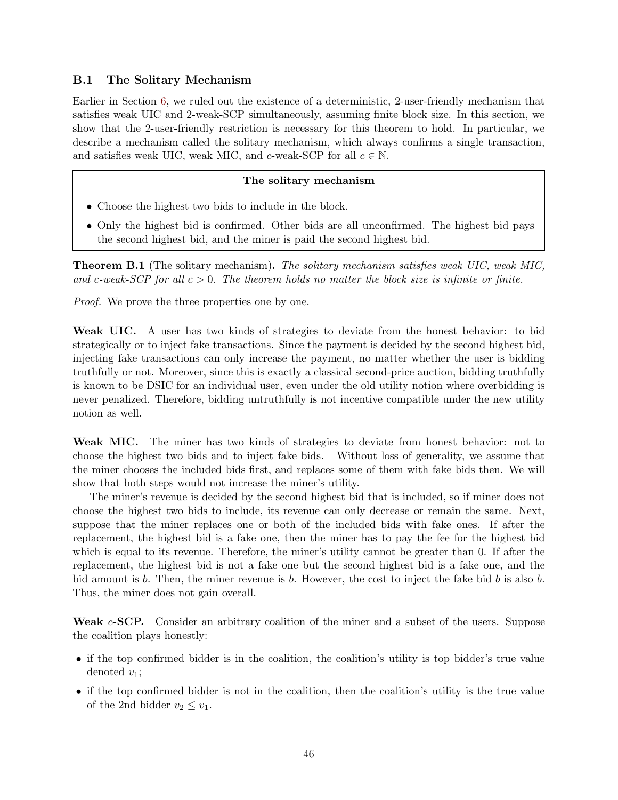## <span id="page-47-0"></span>B.1 The Solitary Mechanism

Earlier in Section [6,](#page-33-0) we ruled out the existence of a deterministic, 2-user-friendly mechanism that satisfies weak UIC and 2-weak-SCP simultaneously, assuming finite block size. In this section, we show that the 2-user-friendly restriction is necessary for this theorem to hold. In particular, we describe a mechanism called the solitary mechanism, which always confirms a single transaction, and satisfies weak UIC, weak MIC, and c-weak-SCP for all  $c \in \mathbb{N}$ .

### The solitary mechanism

- Choose the highest two bids to include in the block.
- Only the highest bid is confirmed. Other bids are all unconfirmed. The highest bid pays the second highest bid, and the miner is paid the second highest bid.

Theorem B.1 (The solitary mechanism). The solitary mechanism satisfies weak UIC, weak MIC, and c-weak-SCP for all  $c > 0$ . The theorem holds no matter the block size is infinite or finite.

*Proof.* We prove the three properties one by one.

Weak UIC. A user has two kinds of strategies to deviate from the honest behavior: to bid strategically or to inject fake transactions. Since the payment is decided by the second highest bid, injecting fake transactions can only increase the payment, no matter whether the user is bidding truthfully or not. Moreover, since this is exactly a classical second-price auction, bidding truthfully is known to be DSIC for an individual user, even under the old utility notion where overbidding is never penalized. Therefore, bidding untruthfully is not incentive compatible under the new utility notion as well.

Weak MIC. The miner has two kinds of strategies to deviate from honest behavior: not to choose the highest two bids and to inject fake bids. Without loss of generality, we assume that the miner chooses the included bids first, and replaces some of them with fake bids then. We will show that both steps would not increase the miner's utility.

The miner's revenue is decided by the second highest bid that is included, so if miner does not choose the highest two bids to include, its revenue can only decrease or remain the same. Next, suppose that the miner replaces one or both of the included bids with fake ones. If after the replacement, the highest bid is a fake one, then the miner has to pay the fee for the highest bid which is equal to its revenue. Therefore, the miner's utility cannot be greater than 0. If after the replacement, the highest bid is not a fake one but the second highest bid is a fake one, and the bid amount is b. Then, the miner revenue is b. However, the cost to inject the fake bid b is also b. Thus, the miner does not gain overall.

Weak c-SCP. Consider an arbitrary coalition of the miner and a subset of the users. Suppose the coalition plays honestly:

- if the top confirmed bidder is in the coalition, the coalition's utility is top bidder's true value denoted  $v_1$ ;
- if the top confirmed bidder is not in the coalition, then the coalition's utility is the true value of the 2nd bidder  $v_2 \leq v_1$ .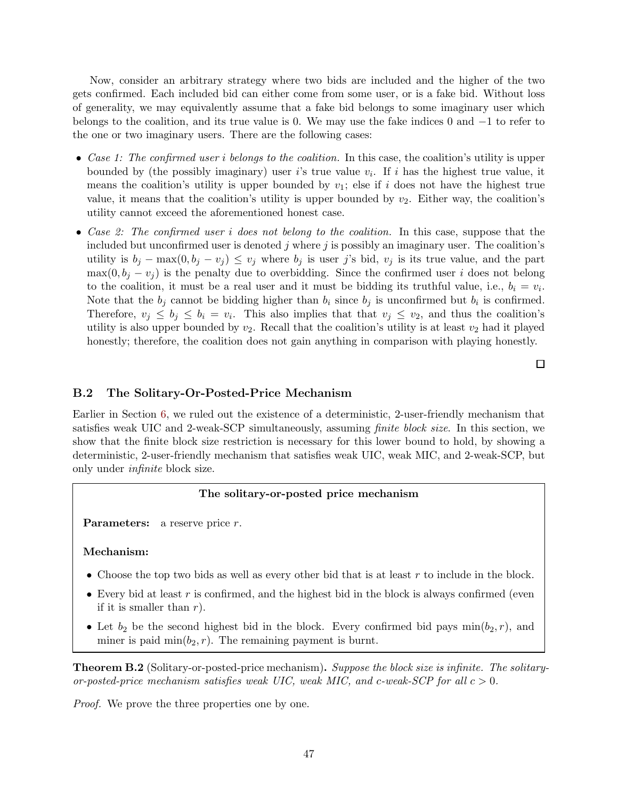Now, consider an arbitrary strategy where two bids are included and the higher of the two gets confirmed. Each included bid can either come from some user, or is a fake bid. Without loss of generality, we may equivalently assume that a fake bid belongs to some imaginary user which belongs to the coalition, and its true value is 0. We may use the fake indices 0 and −1 to refer to the one or two imaginary users. There are the following cases:

- Case 1: The confirmed user i belongs to the coalition. In this case, the coalition's utility is upper bounded by (the possibly imaginary) user i's true value  $v_i$ . If i has the highest true value, it means the coalition's utility is upper bounded by  $v_1$ ; else if i does not have the highest true value, it means that the coalition's utility is upper bounded by  $v_2$ . Either way, the coalition's utility cannot exceed the aforementioned honest case.
- Case 2: The confirmed user i does not belong to the coalition. In this case, suppose that the included but unconfirmed user is denoted j where j is possibly an imaginary user. The coalition's utility is  $b_j - \max(0, b_j - v_j) \leq v_j$  where  $b_j$  is user j's bid,  $v_j$  is its true value, and the part  $\max(0, b_i - v_i)$  is the penalty due to overbidding. Since the confirmed user i does not belong to the coalition, it must be a real user and it must be bidding its truthful value, i.e.,  $b_i = v_i$ . Note that the  $b_j$  cannot be bidding higher than  $b_i$  since  $b_j$  is unconfirmed but  $b_i$  is confirmed. Therefore,  $v_j \leq b_j \leq b_i = v_i$ . This also implies that that  $v_j \leq v_2$ , and thus the coalition's utility is also upper bounded by  $v_2$ . Recall that the coalition's utility is at least  $v_2$  had it played honestly; therefore, the coalition does not gain anything in comparison with playing honestly.

 $\Box$ 

#### <span id="page-48-0"></span>B.2 The Solitary-Or-Posted-Price Mechanism

Earlier in Section [6,](#page-33-0) we ruled out the existence of a deterministic, 2-user-friendly mechanism that satisfies weak UIC and 2-weak-SCP simultaneously, assuming finite block size. In this section, we show that the finite block size restriction is necessary for this lower bound to hold, by showing a deterministic, 2-user-friendly mechanism that satisfies weak UIC, weak MIC, and 2-weak-SCP, but only under infinite block size.

### The solitary-or-posted price mechanism

**Parameters:** a reserve price  $r$ .

#### Mechanism:

- Choose the top two bids as well as every other bid that is at least  $r$  to include in the block.
- Every bid at least  $r$  is confirmed, and the highest bid in the block is always confirmed (even if it is smaller than  $r$ ).
- Let  $b_2$  be the second highest bid in the block. Every confirmed bid pays  $\min(b_2, r)$ , and miner is paid  $\min(b_2, r)$ . The remaining payment is burnt.

Theorem B.2 (Solitary-or-posted-price mechanism). Suppose the block size is infinite. The solitaryor-posted-price mechanism satisfies weak UIC, weak MIC, and c-weak-SCP for all  $c > 0$ .

*Proof.* We prove the three properties one by one.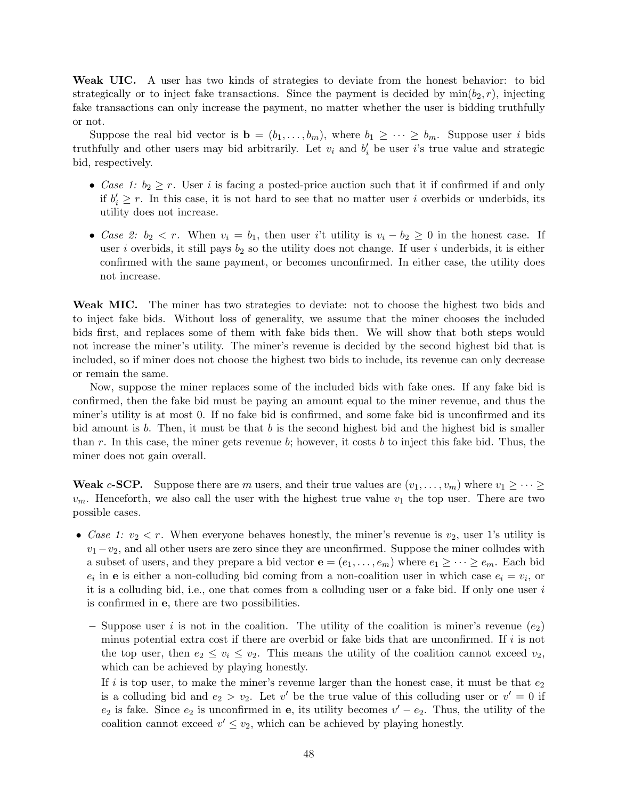Weak UIC. A user has two kinds of strategies to deviate from the honest behavior: to bid strategically or to inject fake transactions. Since the payment is decided by  $\min(b_2, r)$ , injecting fake transactions can only increase the payment, no matter whether the user is bidding truthfully or not.

Suppose the real bid vector is  $\mathbf{b} = (b_1, \ldots, b_m)$ , where  $b_1 \geq \cdots \geq b_m$ . Suppose user i bids truthfully and other users may bid arbitrarily. Let  $v_i$  and  $b'_i$  be user i's true value and strategic bid, respectively.

- Case 1:  $b_2 \geq r$ . User i is facing a posted-price auction such that it if confirmed if and only if  $b'_i \geq r$ . In this case, it is not hard to see that no matter user i overbids or underbids, its utility does not increase.
- Case 2:  $b_2 < r$ . When  $v_i = b_1$ , then user i't utility is  $v_i b_2 \geq 0$  in the honest case. If user i overbids, it still pays  $b_2$  so the utility does not change. If user i underbids, it is either confirmed with the same payment, or becomes unconfirmed. In either case, the utility does not increase.

Weak MIC. The miner has two strategies to deviate: not to choose the highest two bids and to inject fake bids. Without loss of generality, we assume that the miner chooses the included bids first, and replaces some of them with fake bids then. We will show that both steps would not increase the miner's utility. The miner's revenue is decided by the second highest bid that is included, so if miner does not choose the highest two bids to include, its revenue can only decrease or remain the same.

Now, suppose the miner replaces some of the included bids with fake ones. If any fake bid is confirmed, then the fake bid must be paying an amount equal to the miner revenue, and thus the miner's utility is at most 0. If no fake bid is confirmed, and some fake bid is unconfirmed and its bid amount is b. Then, it must be that b is the second highest bid and the highest bid is smaller than r. In this case, the miner gets revenue b; however, it costs b to inject this fake bid. Thus, the miner does not gain overall.

**Weak c-SCP.** Suppose there are m users, and their true values are  $(v_1, \ldots, v_m)$  where  $v_1 \geq \cdots \geq$  $v_m$ . Henceforth, we also call the user with the highest true value  $v_1$  the top user. There are two possible cases.

- Case 1:  $v_2 < r$ . When everyone behaves honestly, the miner's revenue is  $v_2$ , user 1's utility is  $v_1 - v_2$ , and all other users are zero since they are unconfirmed. Suppose the miner colludes with a subset of users, and they prepare a bid vector  $e = (e_1, \ldots, e_m)$  where  $e_1 \geq \cdots \geq e_m$ . Each bid  $e_i$  in **e** is either a non-colluding bid coming from a non-coalition user in which case  $e_i = v_i$ , or it is a colluding bid, i.e., one that comes from a colluding user or a fake bid. If only one user  $i$ is confirmed in e, there are two possibilities.
	- Suppose user i is not in the coalition. The utility of the coalition is miner's revenue  $(e_2)$ minus potential extra cost if there are overbid or fake bids that are unconfirmed. If i is not the top user, then  $e_2 \leq v_i \leq v_2$ . This means the utility of the coalition cannot exceed  $v_2$ , which can be achieved by playing honestly.

If i is top user, to make the miner's revenue larger than the honest case, it must be that  $e_2$ is a colluding bid and  $e_2 > v_2$ . Let v' be the true value of this colluding user or  $v' = 0$  if  $e_2$  is fake. Since  $e_2$  is unconfirmed in **e**, its utility becomes  $v' - e_2$ . Thus, the utility of the coalition cannot exceed  $v' \leq v_2$ , which can be achieved by playing honestly.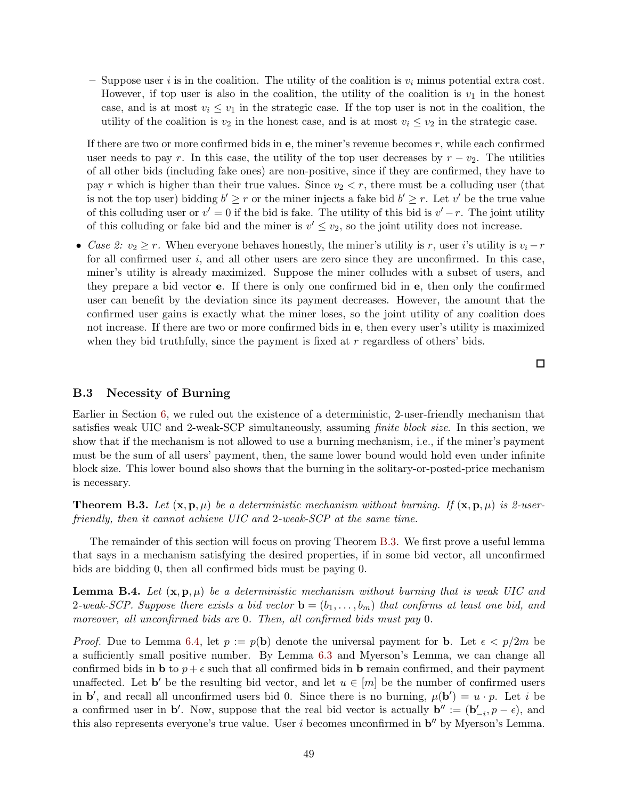– Suppose user i is in the coalition. The utility of the coalition is  $v_i$  minus potential extra cost. However, if top user is also in the coalition, the utility of the coalition is  $v_1$  in the honest case, and is at most  $v_i \leq v_1$  in the strategic case. If the top user is not in the coalition, the utility of the coalition is  $v_2$  in the honest case, and is at most  $v_i \le v_2$  in the strategic case.

If there are two or more confirmed bids in  $e$ , the miner's revenue becomes  $r$ , while each confirmed user needs to pay r. In this case, the utility of the top user decreases by  $r - v_2$ . The utilities of all other bids (including fake ones) are non-positive, since if they are confirmed, they have to pay r which is higher than their true values. Since  $v_2 < r$ , there must be a colluding user (that is not the top user) bidding  $b' \geq r$  or the miner injects a fake bid  $b' \geq r$ . Let v' be the true value of this colluding user or  $v' = 0$  if the bid is fake. The utility of this bid is  $v' - r$ . The joint utility of this colluding or fake bid and the miner is  $v' \le v_2$ , so the joint utility does not increase.

• Case 2:  $v_2 \ge r$ . When everyone behaves honestly, the miner's utility is r, user i's utility is  $v_i - r$ for all confirmed user  $i$ , and all other users are zero since they are unconfirmed. In this case, miner's utility is already maximized. Suppose the miner colludes with a subset of users, and they prepare a bid vector e. If there is only one confirmed bid in e, then only the confirmed user can benefit by the deviation since its payment decreases. However, the amount that the confirmed user gains is exactly what the miner loses, so the joint utility of any coalition does not increase. If there are two or more confirmed bids in e, then every user's utility is maximized when they bid truthfully, since the payment is fixed at  $r$  regardless of others' bids.

### <span id="page-50-0"></span>B.3 Necessity of Burning

Earlier in Section [6,](#page-33-0) we ruled out the existence of a deterministic, 2-user-friendly mechanism that satisfies weak UIC and 2-weak-SCP simultaneously, assuming finite block size. In this section, we show that if the mechanism is not allowed to use a burning mechanism, i.e., if the miner's payment must be the sum of all users' payment, then, the same lower bound would hold even under infinite block size. This lower bound also shows that the burning in the solitary-or-posted-price mechanism is necessary.

<span id="page-50-1"></span>**Theorem B.3.** Let  $(\mathbf{x}, \mathbf{p}, \mu)$  be a deterministic mechanism without burning. If  $(\mathbf{x}, \mathbf{p}, \mu)$  is 2-userfriendly, then it cannot achieve UIC and 2-weak-SCP at the same time.

The remainder of this section will focus on proving Theorem [B.3.](#page-50-1) We first prove a useful lemma that says in a mechanism satisfying the desired properties, if in some bid vector, all unconfirmed bids are bidding 0, then all confirmed bids must be paying 0.

<span id="page-50-2"></span>**Lemma B.4.** Let  $(\mathbf{x}, \mathbf{p}, \mu)$  be a deterministic mechanism without burning that is weak UIC and 2-weak-SCP. Suppose there exists a bid vector  $\mathbf{b} = (b_1, \ldots, b_m)$  that confirms at least one bid, and moreover, all unconfirmed bids are 0. Then, all confirmed bids must pay 0.

*Proof.* Due to Lemma [6.4,](#page-35-0) let  $p := p(\mathbf{b})$  denote the universal payment for **b**. Let  $\epsilon < p/2m$  be a sufficiently small positive number. By Lemma [6.3](#page-34-0) and Myerson's Lemma, we can change all confirmed bids in **b** to  $p + \epsilon$  such that all confirmed bids in **b** remain confirmed, and their payment unaffected. Let **b'** be the resulting bid vector, and let  $u \in [m]$  be the number of confirmed users in b', and recall all unconfirmed users bid 0. Since there is no burning,  $\mu(\mathbf{b}') = u \cdot p$ . Let i be a confirmed user in **b'**. Now, suppose that the real bid vector is actually  $\mathbf{b}'' := (\mathbf{b}'_{-i}, p - \epsilon)$ , and this also represents everyone's true value. User  $i$  becomes unconfirmed in  $\mathbf{b}''$  by Myerson's Lemma.

口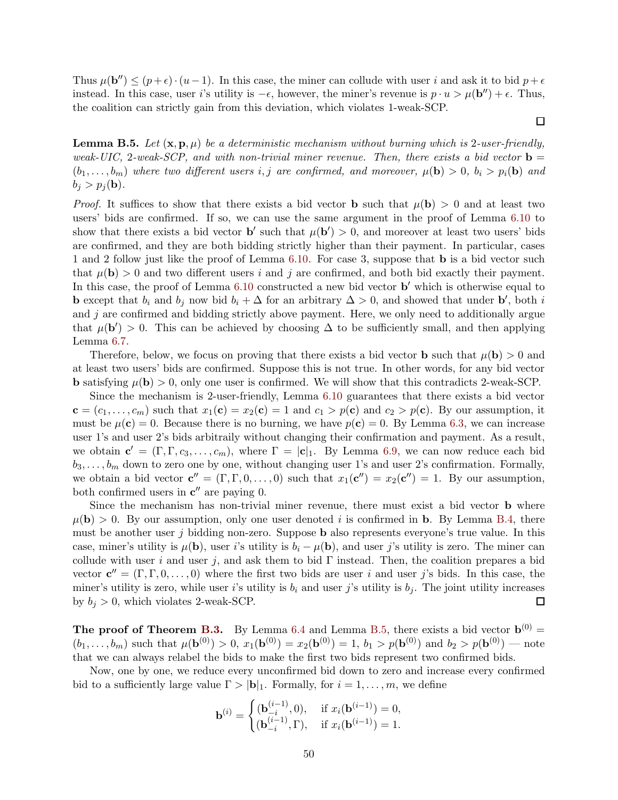Thus  $\mu(\mathbf{b}'') \leq (p+\epsilon) \cdot (u-1)$ . In this case, the miner can collude with user i and ask it to bid  $p+\epsilon$ instead. In this case, user i's utility is  $-\epsilon$ , however, the miner's revenue is  $p \cdot u > \mu(\mathbf{b}'') + \epsilon$ . Thus, the coalition can strictly gain from this deviation, which violates 1-weak-SCP.

 $\Box$ 

<span id="page-51-0"></span>**Lemma B.5.** Let  $(\mathbf{x}, \mathbf{p}, \mu)$  be a deterministic mechanism without burning which is 2-user-friendly, weak-UIC, 2-weak-SCP, and with non-trivial miner revenue. Then, there exists a bid vector  $\mathbf{b} =$  $(b_1, \ldots, b_m)$  where two different users i, j are confirmed, and moreover,  $\mu(\mathbf{b}) > 0$ ,  $b_i > p_i(\mathbf{b})$  and  $b_i > p_i(\mathbf{b}).$ 

*Proof.* It suffices to show that there exists a bid vector **b** such that  $\mu(\mathbf{b}) > 0$  and at least two users' bids are confirmed. If so, we can use the same argument in the proof of Lemma [6.10](#page-38-2) to show that there exists a bid vector **b'** such that  $\mu(\mathbf{b}') > 0$ , and moreover at least two users' bids are confirmed, and they are both bidding strictly higher than their payment. In particular, cases 1 and 2 follow just like the proof of Lemma [6.10.](#page-38-2) For case 3, suppose that b is a bid vector such that  $\mu(\mathbf{b}) > 0$  and two different users i and j are confirmed, and both bid exactly their payment. In this case, the proof of Lemma [6.10](#page-38-2) constructed a new bid vector **b'** which is otherwise equal to **b** except that  $b_i$  and  $b_j$  now bid  $b_i + \Delta$  for an arbitrary  $\Delta > 0$ , and showed that under **b'**, both *i* and  $j$  are confirmed and bidding strictly above payment. Here, we only need to additionally argue that  $\mu(\mathbf{b}') > 0$ . This can be achieved by choosing  $\Delta$  to be sufficiently small, and then applying Lemma [6.7.](#page-36-1)

Therefore, below, we focus on proving that there exists a bid vector **b** such that  $\mu(\mathbf{b}) > 0$  and at least two users' bids are confirmed. Suppose this is not true. In other words, for any bid vector **b** satisfying  $\mu(\mathbf{b}) > 0$ , only one user is confirmed. We will show that this contradicts 2-weak-SCP.

Since the mechanism is 2-user-friendly, Lemma [6.10](#page-38-2) guarantees that there exists a bid vector  $\mathbf{c} = (c_1, \ldots, c_m)$  such that  $x_1(\mathbf{c}) = x_2(\mathbf{c}) = 1$  and  $c_1 > p(\mathbf{c})$  and  $c_2 > p(\mathbf{c})$ . By our assumption, it must be  $\mu(c) = 0$ . Because there is no burning, we have  $p(c) = 0$ . By Lemma [6.3,](#page-34-0) we can increase user 1's and user 2's bids arbitraily without changing their confirmation and payment. As a result, we obtain  $\mathbf{c}' = (\Gamma, \Gamma, c_3, \dots, c_m)$ , where  $\Gamma = |\mathbf{c}|_1$ . By Lemma [6.9,](#page-37-1) we can now reduce each bid  $b_3, \ldots, b_m$  down to zero one by one, without changing user 1's and user 2's confirmation. Formally, we obtain a bid vector  $\mathbf{c}'' = (\Gamma, \Gamma, 0, \dots, 0)$  such that  $x_1(\mathbf{c}'') = x_2(\mathbf{c}'') = 1$ . By our assumption, both confirmed users in  $c''$  are paying 0.

Since the mechanism has non-trivial miner revenue, there must exist a bid vector b where  $\mu(\mathbf{b}) > 0$ . By our assumption, only one user denoted i is confirmed in **b**. By Lemma [B.4,](#page-50-2) there must be another user j bidding non-zero. Suppose **b** also represents everyone's true value. In this case, miner's utility is  $\mu(\mathbf{b})$ , user i's utility is  $b_i - \mu(\mathbf{b})$ , and user j's utility is zero. The miner can collude with user i and user j, and ask them to bid  $\Gamma$  instead. Then, the coalition prepares a bid vector  $\mathbf{c}'' = (\Gamma, \Gamma, 0, \dots, 0)$  where the first two bids are user i and user j's bids. In this case, the miner's utility is zero, while user i's utility is  $b_i$  and user j's utility is  $b_j$ . The joint utility increases by  $b_i > 0$ , which violates 2-weak-SCP. □

**The proof of Theorem [B.3.](#page-50-1)** By Lemma [6.4](#page-35-0) and Lemma [B.5,](#page-51-0) there exists a bid vector  $\mathbf{b}^{(0)}$  =  $(b_1, \ldots, b_m)$  such that  $\mu(\mathbf{b}^{(0)}) > 0$ ,  $x_1(\mathbf{b}^{(0)}) = x_2(\mathbf{b}^{(0)}) = 1$ ,  $b_1 > p(\mathbf{b}^{(0)})$  and  $b_2 > p(\mathbf{b}^{(0)})$  - note that we can always relabel the bids to make the first two bids represent two confirmed bids.

Now, one by one, we reduce every unconfirmed bid down to zero and increase every confirmed bid to a sufficiently large value  $\Gamma > |\mathbf{b}|_1$ . Formally, for  $i = 1, \ldots, m$ , we define

$$
\mathbf{b}^{(i)} = \begin{cases} (\mathbf{b}_{-i}^{(i-1)}, 0), & \text{if } x_i(\mathbf{b}^{(i-1)}) = 0, \\ (\mathbf{b}_{-i}^{(i-1)}, \Gamma), & \text{if } x_i(\mathbf{b}^{(i-1)}) = 1. \end{cases}
$$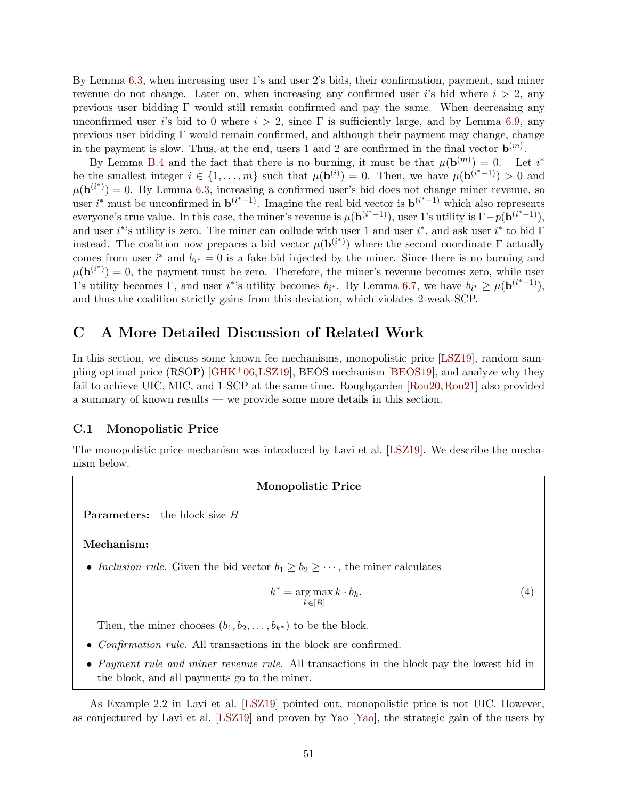By Lemma [6.3,](#page-34-0) when increasing user 1's and user 2's bids, their confirmation, payment, and miner revenue do not change. Later on, when increasing any confirmed user i's bid where  $i > 2$ , any previous user bidding Γ would still remain confirmed and pay the same. When decreasing any unconfirmed user is bid to 0 where  $i > 2$ , since  $\Gamma$  is sufficiently large, and by Lemma [6.9,](#page-37-1) any previous user bidding  $\Gamma$  would remain confirmed, and although their payment may change, change in the payment is slow. Thus, at the end, users 1 and 2 are confirmed in the final vector  $\mathbf{b}^{(m)}$ .

By Lemma [B.4](#page-50-2) and the fact that there is no burning, it must be that  $\mu(\mathbf{b}^{(m)}) = 0$ . Let i<sup>\*</sup> be the smallest integer  $i \in \{1, \ldots, m\}$  such that  $\mu(\mathbf{b}^{(i)}) = 0$ . Then, we have  $\mu(\mathbf{b}^{(i^*-1)}) > 0$  and  $\mu(\mathbf{b}^{(i^*)}) = 0$ . By Lemma [6.3,](#page-34-0) increasing a confirmed user's bid does not change miner revenue, so user i<sup>\*</sup> must be unconfirmed in  $\mathbf{b}^{(i^*-1)}$ . Imagine the real bid vector is  $\mathbf{b}^{(i^*-1)}$  which also represents everyone's true value. In this case, the miner's revenue is  $\mu(\mathbf{b}^{(i^*-1)})$ , user 1's utility is  $\Gamma - p(\mathbf{b}^{(i^*-1)})$ , and user i<sup>\*</sup>'s utility is zero. The miner can collude with user 1 and user i<sup>\*</sup>, and ask user i<sup>\*</sup> to bid  $\Gamma$ instead. The coalition now prepares a bid vector  $\mu(\mathbf{b}^{(i^*)})$  where the second coordinate  $\Gamma$  actually comes from user  $i^*$  and  $b_{i^*} = 0$  is a fake bid injected by the miner. Since there is no burning and  $\mu(\mathbf{b}^{(i^*)})=0$ , the payment must be zero. Therefore, the miner's revenue becomes zero, while user 1's utility becomes  $\Gamma$ , and user i<sup>\*</sup>'s utility becomes  $b_{i^*}$ . By Lemma [6.7,](#page-36-1) we have  $b_{i^*} \ge \mu(\mathbf{b}^{(i^*-1)})$ , and thus the coalition strictly gains from this deviation, which violates 2-weak-SCP.

## <span id="page-52-0"></span>C A More Detailed Discussion of Related Work

In this section, we discuss some known fee mechanisms, monopolistic price [\[LSZ19\]](#page-44-0), random sampling optimal price  $(RSOP)$  [\[GHK](#page-44-11)<sup>+</sup>06[,LSZ19\]](#page-44-0), BEOS mechanism [\[BEOS19\]](#page-43-0), and analyze why they fail to achieve UIC, MIC, and 1-SCP at the same time. Roughgarden [\[Rou20,](#page-44-1)[Rou21\]](#page-45-2) also provided a summary of known results — we provide some more details in this section.

## <span id="page-52-1"></span>C.1 Monopolistic Price

The monopolistic price mechanism was introduced by Lavi et al. [\[LSZ19\]](#page-44-0). We describe the mechanism below.

#### Monopolistic Price

**Parameters:** the block size  $B$ 

Mechanism:

• Inclusion rule. Given the bid vector  $b_1 \geq b_2 \geq \cdots$ , the miner calculates

<span id="page-52-2"></span>
$$
k^* = \underset{k \in [B]}{\arg \max} k \cdot b_k. \tag{4}
$$

Then, the miner chooses  $(b_1, b_2, \ldots, b_{k^*})$  to be the block.

- Confirmation rule. All transactions in the block are confirmed.
- Payment rule and miner revenue rule. All transactions in the block pay the lowest bid in the block, and all payments go to the miner.

As Example 2.2 in Lavi et al. [\[LSZ19\]](#page-44-0) pointed out, monopolistic price is not UIC. However, as conjectured by Lavi et al. [\[LSZ19\]](#page-44-0) and proven by Yao [\[Yao\]](#page-45-1), the strategic gain of the users by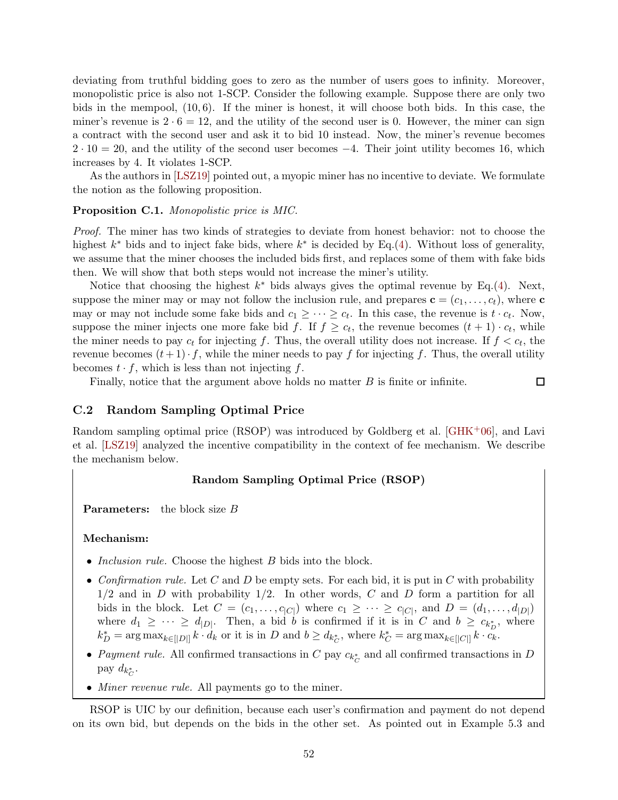deviating from truthful bidding goes to zero as the number of users goes to infinity. Moreover, monopolistic price is also not 1-SCP. Consider the following example. Suppose there are only two bids in the mempool,  $(10, 6)$ . If the miner is honest, it will choose both bids. In this case, the miner's revenue is  $2 \cdot 6 = 12$ , and the utility of the second user is 0. However, the miner can sign a contract with the second user and ask it to bid 10 instead. Now, the miner's revenue becomes  $2 \cdot 10 = 20$ , and the utility of the second user becomes  $-4$ . Their joint utility becomes 16, which increases by 4. It violates 1-SCP.

As the authors in [\[LSZ19\]](#page-44-0) pointed out, a myopic miner has no incentive to deviate. We formulate the notion as the following proposition.

#### Proposition C.1. Monopolistic price is MIC.

Proof. The miner has two kinds of strategies to deviate from honest behavior: not to choose the highest  $k^*$  bids and to inject fake bids, where  $k^*$  is decided by Eq.[\(4\)](#page-52-2). Without loss of generality, we assume that the miner chooses the included bids first, and replaces some of them with fake bids then. We will show that both steps would not increase the miner's utility.

Notice that choosing the highest  $k^*$  bids always gives the optimal revenue by Eq.[\(4\)](#page-52-2). Next, suppose the miner may or may not follow the inclusion rule, and prepares  $\mathbf{c} = (c_1, \ldots, c_t)$ , where  $\mathbf{c}$ may or may not include some fake bids and  $c_1 \geq \cdots \geq c_t$ . In this case, the revenue is  $t \cdot c_t$ . Now, suppose the miner injects one more fake bid f. If  $f \geq c_t$ , the revenue becomes  $(t+1) \cdot c_t$ , while the miner needs to pay  $c_t$  for injecting f. Thus, the overall utility does not increase. If  $f < c_t$ , the revenue becomes  $(t+1)\cdot f$ , while the miner needs to pay f for injecting f. Thus, the overall utility becomes  $t \cdot f$ , which is less than not injecting f.

Finally, notice that the argument above holds no matter  $B$  is finite or infinite.

 $\Box$ 

## <span id="page-53-0"></span>C.2 Random Sampling Optimal Price

Random sampling optimal price  $(RSOP)$  was introduced by Goldberg et al. [\[GHK](#page-44-11)<sup>+</sup>06], and Lavi et al. [\[LSZ19\]](#page-44-0) analyzed the incentive compatibility in the context of fee mechanism. We describe the mechanism below.

#### Random Sampling Optimal Price (RSOP)

**Parameters:** the block size B

#### Mechanism:

- *Inclusion rule.* Choose the highest B bids into the block.
- Confirmation rule. Let C and D be empty sets. For each bid, it is put in C with probability  $1/2$  and in D with probability  $1/2$ . In other words, C and D form a partition for all bids in the block. Let  $C = (c_1, \ldots, c_{|C|})$  where  $c_1 \geq \cdots \geq c_{|C|}$ , and  $D = (d_1, \ldots, d_{|D|})$ where  $d_1 \geq \cdots \geq d_{|D|}$ . Then, a bid b is confirmed if it is in C and  $b \geq c_{k_D^*}$ , where  $k_D^* = \arg \max_{k \in [D]} k \cdot d_k$  or it is in D and  $b \ge d_{k_C^*}$ , where  $k_C^* = \arg \max_{k \in [C]} k \cdot c_k$ .
- Payment rule. All confirmed transactions in C pay  $c_{k_C^*}$  and all confirmed transactions in D pay  $d_{k_C^*}$ .
- *Miner revenue rule.* All payments go to the miner.

RSOP is UIC by our definition, because each user's confirmation and payment do not depend on its own bid, but depends on the bids in the other set. As pointed out in Example 5.3 and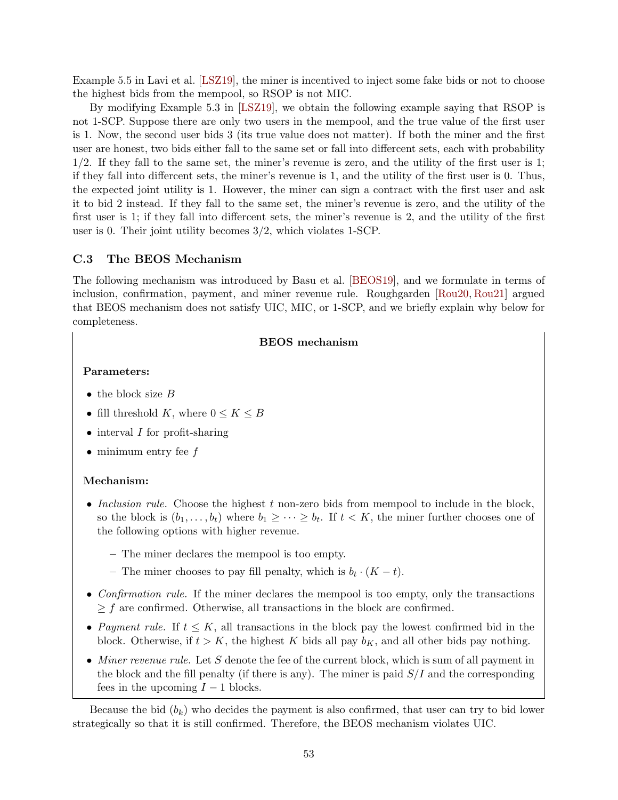Example 5.5 in Lavi et al. [\[LSZ19\]](#page-44-0), the miner is incentived to inject some fake bids or not to choose the highest bids from the mempool, so RSOP is not MIC.

By modifying Example 5.3 in [\[LSZ19\]](#page-44-0), we obtain the following example saying that RSOP is not 1-SCP. Suppose there are only two users in the mempool, and the true value of the first user is 1. Now, the second user bids 3 (its true value does not matter). If both the miner and the first user are honest, two bids either fall to the same set or fall into differcent sets, each with probability 1/2. If they fall to the same set, the miner's revenue is zero, and the utility of the first user is 1; if they fall into differcent sets, the miner's revenue is 1, and the utility of the first user is 0. Thus, the expected joint utility is 1. However, the miner can sign a contract with the first user and ask it to bid 2 instead. If they fall to the same set, the miner's revenue is zero, and the utility of the first user is 1; if they fall into differcent sets, the miner's revenue is 2, and the utility of the first user is 0. Their joint utility becomes 3/2, which violates 1-SCP.

### <span id="page-54-0"></span>C.3 The BEOS Mechanism

The following mechanism was introduced by Basu et al. [\[BEOS19\]](#page-43-0), and we formulate in terms of inclusion, confirmation, payment, and miner revenue rule. Roughgarden [\[Rou20,](#page-44-1) [Rou21\]](#page-45-2) argued that BEOS mechanism does not satisfy UIC, MIC, or 1-SCP, and we briefly explain why below for completeness.

#### BEOS mechanism

## Parameters:

- the block size  $B$
- fill threshold K, where  $0 \leq K \leq B$
- $\bullet$  interval *I* for profit-sharing
- minimum entry fee  $f$

#### Mechanism:

- Inclusion rule. Choose the highest  $t$  non-zero bids from mempool to include in the block, so the block is  $(b_1, \ldots, b_t)$  where  $b_1 \geq \cdots \geq b_t$ . If  $t < K$ , the miner further chooses one of the following options with higher revenue.
	- The miner declares the mempool is too empty.
	- The miner chooses to pay fill penalty, which is  $b_t \cdot (K t)$ .
- Confirmation rule. If the miner declares the mempool is too empty, only the transactions  $\geq f$  are confirmed. Otherwise, all transactions in the block are confirmed.
- Payment rule. If  $t \leq K$ , all transactions in the block pay the lowest confirmed bid in the block. Otherwise, if  $t > K$ , the highest K bids all pay  $b<sub>K</sub>$ , and all other bids pay nothing.
- Miner revenue rule. Let  $S$  denote the fee of the current block, which is sum of all payment in the block and the fill penalty (if there is any). The miner is paid  $S/I$  and the corresponding fees in the upcoming  $I - 1$  blocks.

Because the bid  $(b_k)$  who decides the payment is also confirmed, that user can try to bid lower strategically so that it is still confirmed. Therefore, the BEOS mechanism violates UIC.